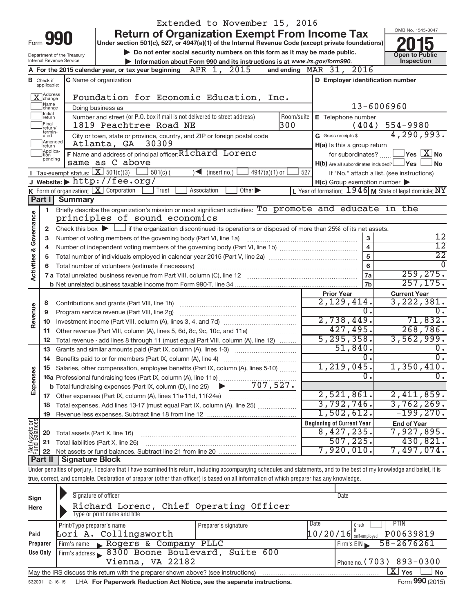| OMB No. 1545-0047<br><b>Return of Organization Exempt From Income Tax</b><br>990<br>Form<br>Under section 501(c), 527, or 4947(a)(1) of the Internal Revenue Code (except private foundations)<br>Do not enter social security numbers on this form as it may be made public.<br><b>Open to Public</b><br>Department of the Treasury<br>Inspection<br>Internal Revenue Service<br>Information about Form 990 and its instructions is at www.irs.gov/form990.<br>and ending $\n  MAR\n  31,\n  2016$<br>A For the 2015 calendar year, or tax year beginning $APR$ 1, $2015$<br>C Name of organization<br>D Employer identification number<br><b>B</b> Check if<br>applicable:<br>X Address<br>Foundation for Economic Education, Inc.<br>Name<br>13-6006960<br>Doing business as<br>change<br>Initial<br>Number and street (or P.O. box if mail is not delivered to street address)<br>Room/suite<br>E Telephone number<br> return<br>Final<br>1819 Peachtree Road NE<br>300<br>554-9980<br>(404)<br>return/<br>termin-<br>G Gross receipts \$<br>City or town, state or province, country, and ZIP or foreign postal code<br>ated<br>Amended<br>Atlanta, GA 30309<br>H(a) Is this a group return<br>return<br>Applica-<br>F Name and address of principal officer: Richard Lorenc<br>for subordinates?<br>tion<br>pending<br>same as C above<br>H(b) Are all subordinates included? Ves<br><b>I</b> Tax-exempt status: $X \ 501(c)(3)$<br>$501(c)$ (<br>$\sum$ (insert no.)<br>$4947(a)(1)$ or<br>527<br>If "No," attach a list. (see instructions)<br>J Website: $\blacktriangleright$ http://fee.org/<br>$H(c)$ Group exemption number $\blacktriangleright$<br><b>K</b> Form of organization: $\boxed{\mathbf{X}}$ Corporation<br>Trust<br>Other $\blacktriangleright$<br>L Year of formation: $1946$ M State of legal domicile: NY<br>Association | 4,290,993.<br>$\sqrt{}$ Yes $\sqrt{}$ X $\sqrt{}$ No<br><b>No</b> |
|-------------------------------------------------------------------------------------------------------------------------------------------------------------------------------------------------------------------------------------------------------------------------------------------------------------------------------------------------------------------------------------------------------------------------------------------------------------------------------------------------------------------------------------------------------------------------------------------------------------------------------------------------------------------------------------------------------------------------------------------------------------------------------------------------------------------------------------------------------------------------------------------------------------------------------------------------------------------------------------------------------------------------------------------------------------------------------------------------------------------------------------------------------------------------------------------------------------------------------------------------------------------------------------------------------------------------------------------------------------------------------------------------------------------------------------------------------------------------------------------------------------------------------------------------------------------------------------------------------------------------------------------------------------------------------------------------------------------------------------------------------------------------------------------------------------------------------------------------------|-------------------------------------------------------------------|
|                                                                                                                                                                                                                                                                                                                                                                                                                                                                                                                                                                                                                                                                                                                                                                                                                                                                                                                                                                                                                                                                                                                                                                                                                                                                                                                                                                                                                                                                                                                                                                                                                                                                                                                                                                                                                                                       |                                                                   |
|                                                                                                                                                                                                                                                                                                                                                                                                                                                                                                                                                                                                                                                                                                                                                                                                                                                                                                                                                                                                                                                                                                                                                                                                                                                                                                                                                                                                                                                                                                                                                                                                                                                                                                                                                                                                                                                       |                                                                   |
|                                                                                                                                                                                                                                                                                                                                                                                                                                                                                                                                                                                                                                                                                                                                                                                                                                                                                                                                                                                                                                                                                                                                                                                                                                                                                                                                                                                                                                                                                                                                                                                                                                                                                                                                                                                                                                                       |                                                                   |
|                                                                                                                                                                                                                                                                                                                                                                                                                                                                                                                                                                                                                                                                                                                                                                                                                                                                                                                                                                                                                                                                                                                                                                                                                                                                                                                                                                                                                                                                                                                                                                                                                                                                                                                                                                                                                                                       |                                                                   |
|                                                                                                                                                                                                                                                                                                                                                                                                                                                                                                                                                                                                                                                                                                                                                                                                                                                                                                                                                                                                                                                                                                                                                                                                                                                                                                                                                                                                                                                                                                                                                                                                                                                                                                                                                                                                                                                       |                                                                   |
|                                                                                                                                                                                                                                                                                                                                                                                                                                                                                                                                                                                                                                                                                                                                                                                                                                                                                                                                                                                                                                                                                                                                                                                                                                                                                                                                                                                                                                                                                                                                                                                                                                                                                                                                                                                                                                                       |                                                                   |
|                                                                                                                                                                                                                                                                                                                                                                                                                                                                                                                                                                                                                                                                                                                                                                                                                                                                                                                                                                                                                                                                                                                                                                                                                                                                                                                                                                                                                                                                                                                                                                                                                                                                                                                                                                                                                                                       |                                                                   |
|                                                                                                                                                                                                                                                                                                                                                                                                                                                                                                                                                                                                                                                                                                                                                                                                                                                                                                                                                                                                                                                                                                                                                                                                                                                                                                                                                                                                                                                                                                                                                                                                                                                                                                                                                                                                                                                       |                                                                   |
|                                                                                                                                                                                                                                                                                                                                                                                                                                                                                                                                                                                                                                                                                                                                                                                                                                                                                                                                                                                                                                                                                                                                                                                                                                                                                                                                                                                                                                                                                                                                                                                                                                                                                                                                                                                                                                                       |                                                                   |
|                                                                                                                                                                                                                                                                                                                                                                                                                                                                                                                                                                                                                                                                                                                                                                                                                                                                                                                                                                                                                                                                                                                                                                                                                                                                                                                                                                                                                                                                                                                                                                                                                                                                                                                                                                                                                                                       |                                                                   |
|                                                                                                                                                                                                                                                                                                                                                                                                                                                                                                                                                                                                                                                                                                                                                                                                                                                                                                                                                                                                                                                                                                                                                                                                                                                                                                                                                                                                                                                                                                                                                                                                                                                                                                                                                                                                                                                       |                                                                   |
|                                                                                                                                                                                                                                                                                                                                                                                                                                                                                                                                                                                                                                                                                                                                                                                                                                                                                                                                                                                                                                                                                                                                                                                                                                                                                                                                                                                                                                                                                                                                                                                                                                                                                                                                                                                                                                                       |                                                                   |
|                                                                                                                                                                                                                                                                                                                                                                                                                                                                                                                                                                                                                                                                                                                                                                                                                                                                                                                                                                                                                                                                                                                                                                                                                                                                                                                                                                                                                                                                                                                                                                                                                                                                                                                                                                                                                                                       |                                                                   |
|                                                                                                                                                                                                                                                                                                                                                                                                                                                                                                                                                                                                                                                                                                                                                                                                                                                                                                                                                                                                                                                                                                                                                                                                                                                                                                                                                                                                                                                                                                                                                                                                                                                                                                                                                                                                                                                       |                                                                   |
|                                                                                                                                                                                                                                                                                                                                                                                                                                                                                                                                                                                                                                                                                                                                                                                                                                                                                                                                                                                                                                                                                                                                                                                                                                                                                                                                                                                                                                                                                                                                                                                                                                                                                                                                                                                                                                                       |                                                                   |
|                                                                                                                                                                                                                                                                                                                                                                                                                                                                                                                                                                                                                                                                                                                                                                                                                                                                                                                                                                                                                                                                                                                                                                                                                                                                                                                                                                                                                                                                                                                                                                                                                                                                                                                                                                                                                                                       |                                                                   |
| Part I<br>Summary                                                                                                                                                                                                                                                                                                                                                                                                                                                                                                                                                                                                                                                                                                                                                                                                                                                                                                                                                                                                                                                                                                                                                                                                                                                                                                                                                                                                                                                                                                                                                                                                                                                                                                                                                                                                                                     |                                                                   |
| Briefly describe the organization's mission or most significant activities: To promote and educate in the<br>1.                                                                                                                                                                                                                                                                                                                                                                                                                                                                                                                                                                                                                                                                                                                                                                                                                                                                                                                                                                                                                                                                                                                                                                                                                                                                                                                                                                                                                                                                                                                                                                                                                                                                                                                                       |                                                                   |
| <b>Activities &amp; Governance</b><br>principles of sound economics                                                                                                                                                                                                                                                                                                                                                                                                                                                                                                                                                                                                                                                                                                                                                                                                                                                                                                                                                                                                                                                                                                                                                                                                                                                                                                                                                                                                                                                                                                                                                                                                                                                                                                                                                                                   |                                                                   |
| Check this box $\blacktriangleright$ $\Box$ if the organization discontinued its operations or disposed of more than 25% of its net assets.<br>2                                                                                                                                                                                                                                                                                                                                                                                                                                                                                                                                                                                                                                                                                                                                                                                                                                                                                                                                                                                                                                                                                                                                                                                                                                                                                                                                                                                                                                                                                                                                                                                                                                                                                                      |                                                                   |
| 3<br>Number of voting members of the governing body (Part VI, line 1a)<br>з                                                                                                                                                                                                                                                                                                                                                                                                                                                                                                                                                                                                                                                                                                                                                                                                                                                                                                                                                                                                                                                                                                                                                                                                                                                                                                                                                                                                                                                                                                                                                                                                                                                                                                                                                                           | 12                                                                |
| $\overline{\mathbf{4}}$<br>4                                                                                                                                                                                                                                                                                                                                                                                                                                                                                                                                                                                                                                                                                                                                                                                                                                                                                                                                                                                                                                                                                                                                                                                                                                                                                                                                                                                                                                                                                                                                                                                                                                                                                                                                                                                                                          | $\overline{12}$                                                   |
| 5<br>5                                                                                                                                                                                                                                                                                                                                                                                                                                                                                                                                                                                                                                                                                                                                                                                                                                                                                                                                                                                                                                                                                                                                                                                                                                                                                                                                                                                                                                                                                                                                                                                                                                                                                                                                                                                                                                                | $\overline{22}$                                                   |
| 6<br>6                                                                                                                                                                                                                                                                                                                                                                                                                                                                                                                                                                                                                                                                                                                                                                                                                                                                                                                                                                                                                                                                                                                                                                                                                                                                                                                                                                                                                                                                                                                                                                                                                                                                                                                                                                                                                                                | <sup>0</sup>                                                      |
| 7a                                                                                                                                                                                                                                                                                                                                                                                                                                                                                                                                                                                                                                                                                                                                                                                                                                                                                                                                                                                                                                                                                                                                                                                                                                                                                                                                                                                                                                                                                                                                                                                                                                                                                                                                                                                                                                                    | 259, 275.                                                         |
| 7b                                                                                                                                                                                                                                                                                                                                                                                                                                                                                                                                                                                                                                                                                                                                                                                                                                                                                                                                                                                                                                                                                                                                                                                                                                                                                                                                                                                                                                                                                                                                                                                                                                                                                                                                                                                                                                                    | 257, 175.                                                         |
| <b>Prior Year</b><br><b>Current Year</b>                                                                                                                                                                                                                                                                                                                                                                                                                                                                                                                                                                                                                                                                                                                                                                                                                                                                                                                                                                                                                                                                                                                                                                                                                                                                                                                                                                                                                                                                                                                                                                                                                                                                                                                                                                                                              |                                                                   |
| 2,129,414.<br>Contributions and grants (Part VIII, line 1h)<br>8                                                                                                                                                                                                                                                                                                                                                                                                                                                                                                                                                                                                                                                                                                                                                                                                                                                                                                                                                                                                                                                                                                                                                                                                                                                                                                                                                                                                                                                                                                                                                                                                                                                                                                                                                                                      | 3,222,381.                                                        |
| Revenue<br>0.<br>Program service revenue (Part VIII, line 2g)<br>9                                                                                                                                                                                                                                                                                                                                                                                                                                                                                                                                                                                                                                                                                                                                                                                                                                                                                                                                                                                                                                                                                                                                                                                                                                                                                                                                                                                                                                                                                                                                                                                                                                                                                                                                                                                    | 0.<br>71,832.                                                     |
| 2,738,449.<br>10<br>427,495.                                                                                                                                                                                                                                                                                                                                                                                                                                                                                                                                                                                                                                                                                                                                                                                                                                                                                                                                                                                                                                                                                                                                                                                                                                                                                                                                                                                                                                                                                                                                                                                                                                                                                                                                                                                                                          | 268,786.                                                          |
| 11<br>5, 295, 358.                                                                                                                                                                                                                                                                                                                                                                                                                                                                                                                                                                                                                                                                                                                                                                                                                                                                                                                                                                                                                                                                                                                                                                                                                                                                                                                                                                                                                                                                                                                                                                                                                                                                                                                                                                                                                                    | 3,562,999.                                                        |
| Total revenue - add lines 8 through 11 (must equal Part VIII, column (A), line 12)<br>12<br>51,840.<br>Grants and similar amounts paid (Part IX, column (A), lines 1-3)<br>13                                                                                                                                                                                                                                                                                                                                                                                                                                                                                                                                                                                                                                                                                                                                                                                                                                                                                                                                                                                                                                                                                                                                                                                                                                                                                                                                                                                                                                                                                                                                                                                                                                                                         | Ο.                                                                |
| 0.<br>14 Benefits paid to or for members (Part IX, column (A), line 4)                                                                                                                                                                                                                                                                                                                                                                                                                                                                                                                                                                                                                                                                                                                                                                                                                                                                                                                                                                                                                                                                                                                                                                                                                                                                                                                                                                                                                                                                                                                                                                                                                                                                                                                                                                                | σ.                                                                |
| 1,219,045.<br>15 Salaries, other compensation, employee benefits (Part IX, column (A), lines 5-10)                                                                                                                                                                                                                                                                                                                                                                                                                                                                                                                                                                                                                                                                                                                                                                                                                                                                                                                                                                                                                                                                                                                                                                                                                                                                                                                                                                                                                                                                                                                                                                                                                                                                                                                                                    | $1,350,410$ .                                                     |
| Expenses<br>$\overline{0}$ .                                                                                                                                                                                                                                                                                                                                                                                                                                                                                                                                                                                                                                                                                                                                                                                                                                                                                                                                                                                                                                                                                                                                                                                                                                                                                                                                                                                                                                                                                                                                                                                                                                                                                                                                                                                                                          | σ.                                                                |
|                                                                                                                                                                                                                                                                                                                                                                                                                                                                                                                                                                                                                                                                                                                                                                                                                                                                                                                                                                                                                                                                                                                                                                                                                                                                                                                                                                                                                                                                                                                                                                                                                                                                                                                                                                                                                                                       |                                                                   |
| 2,521,861.                                                                                                                                                                                                                                                                                                                                                                                                                                                                                                                                                                                                                                                                                                                                                                                                                                                                                                                                                                                                                                                                                                                                                                                                                                                                                                                                                                                                                                                                                                                                                                                                                                                                                                                                                                                                                                            | 2,411,859.                                                        |
| 3,792,746.<br>Total expenses. Add lines 13-17 (must equal Part IX, column (A), line 25)<br>18                                                                                                                                                                                                                                                                                                                                                                                                                                                                                                                                                                                                                                                                                                                                                                                                                                                                                                                                                                                                                                                                                                                                                                                                                                                                                                                                                                                                                                                                                                                                                                                                                                                                                                                                                         | 3,762,269.                                                        |
|                                                                                                                                                                                                                                                                                                                                                                                                                                                                                                                                                                                                                                                                                                                                                                                                                                                                                                                                                                                                                                                                                                                                                                                                                                                                                                                                                                                                                                                                                                                                                                                                                                                                                                                                                                                                                                                       | $-199,270$ .                                                      |
| 1,502,612.<br>19                                                                                                                                                                                                                                                                                                                                                                                                                                                                                                                                                                                                                                                                                                                                                                                                                                                                                                                                                                                                                                                                                                                                                                                                                                                                                                                                                                                                                                                                                                                                                                                                                                                                                                                                                                                                                                      |                                                                   |
| <b>Beginning of Current Year</b><br><b>End of Year</b>                                                                                                                                                                                                                                                                                                                                                                                                                                                                                                                                                                                                                                                                                                                                                                                                                                                                                                                                                                                                                                                                                                                                                                                                                                                                                                                                                                                                                                                                                                                                                                                                                                                                                                                                                                                                |                                                                   |
| 8,427,235.<br>Total assets (Part X, line 16)<br>20                                                                                                                                                                                                                                                                                                                                                                                                                                                                                                                                                                                                                                                                                                                                                                                                                                                                                                                                                                                                                                                                                                                                                                                                                                                                                                                                                                                                                                                                                                                                                                                                                                                                                                                                                                                                    | 7,927,895.                                                        |
| 507, 225.<br>Total liabilities (Part X, line 26)<br>21                                                                                                                                                                                                                                                                                                                                                                                                                                                                                                                                                                                                                                                                                                                                                                                                                                                                                                                                                                                                                                                                                                                                                                                                                                                                                                                                                                                                                                                                                                                                                                                                                                                                                                                                                                                                | 430,821.                                                          |
| Net Assets or<br>7,920,010.<br>22                                                                                                                                                                                                                                                                                                                                                                                                                                                                                                                                                                                                                                                                                                                                                                                                                                                                                                                                                                                                                                                                                                                                                                                                                                                                                                                                                                                                                                                                                                                                                                                                                                                                                                                                                                                                                     | 7,497,074.                                                        |
| <b>Part II</b><br><b>Signature Block</b>                                                                                                                                                                                                                                                                                                                                                                                                                                                                                                                                                                                                                                                                                                                                                                                                                                                                                                                                                                                                                                                                                                                                                                                                                                                                                                                                                                                                                                                                                                                                                                                                                                                                                                                                                                                                              |                                                                   |
| Under penalties of perjury, I declare that I have examined this return, including accompanying schedules and statements, and to the best of my knowledge and belief, it is                                                                                                                                                                                                                                                                                                                                                                                                                                                                                                                                                                                                                                                                                                                                                                                                                                                                                                                                                                                                                                                                                                                                                                                                                                                                                                                                                                                                                                                                                                                                                                                                                                                                            |                                                                   |
| true, correct, and complete. Declaration of preparer (other than officer) is based on all information of which preparer has any knowledge.                                                                                                                                                                                                                                                                                                                                                                                                                                                                                                                                                                                                                                                                                                                                                                                                                                                                                                                                                                                                                                                                                                                                                                                                                                                                                                                                                                                                                                                                                                                                                                                                                                                                                                            |                                                                   |

| Sign     | Signature of officer                                                              |                      | Date                       |                              |
|----------|-----------------------------------------------------------------------------------|----------------------|----------------------------|------------------------------|
| Here     | Richard Lorenc, Chief Operating Officer                                           |                      |                            |                              |
|          | Type or print name and title                                                      |                      |                            |                              |
|          | Print/Type preparer's name                                                        | Preparer's signature | Date<br>Check              | PTIN.                        |
| Paid     | Lori A. Collingsworth                                                             |                      | $10/20/16$ self-employed   | P00639819                    |
| Preparer | Firm's name Rogers & Company PLLC                                                 |                      | Firm's EIN                 | $58 - 2676261$               |
| Use Only | Firm's address 8300 Boone Boulevard, Suite 600                                    |                      |                            |                              |
|          | Vienna, VA 22182                                                                  |                      | Phone no. $(703)$ 893-0300 |                              |
|          | May the IRS discuss this return with the preparer shown above? (see instructions) |                      |                            | $X \mid$<br>Yes<br><b>No</b> |
|          |                                                                                   |                      |                            | $\sim$                       |

532001 12-16-15 **For Paperwork Reduction Act Notice, see the separate instructions.**  LHA Form (2015)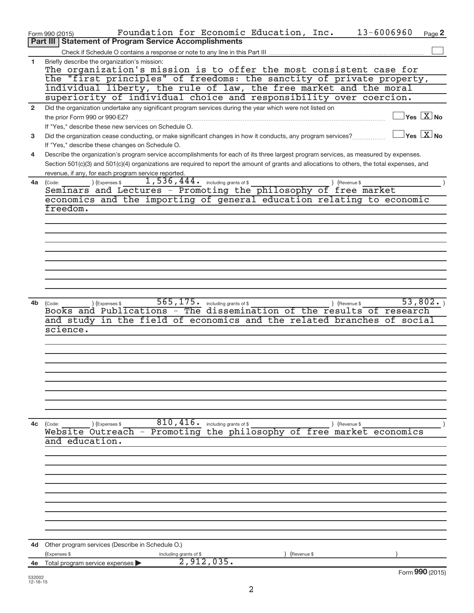|              | 13-6006960<br>Foundation for Economic Education, Inc.<br>Page 2<br>Form 990 (2015)                                                                                   |
|--------------|----------------------------------------------------------------------------------------------------------------------------------------------------------------------|
|              | <b>Part III Statement of Program Service Accomplishments</b>                                                                                                         |
|              |                                                                                                                                                                      |
| 1.           | Briefly describe the organization's mission:<br>The organization's mission is to offer the most consistent case for                                                  |
|              | the "first principles" of freedoms: the sanctity of private property,                                                                                                |
|              | individual liberty, the rule of law, the free market and the moral                                                                                                   |
|              | superiority of individual choice and responsibility over coercion.                                                                                                   |
| $\mathbf{2}$ | Did the organization undertake any significant program services during the year which were not listed on                                                             |
|              | $\sqrt{\mathsf{Yes}\ \mathbf{X}}$ No<br>the prior Form 990 or 990-EZ?                                                                                                |
|              | If "Yes," describe these new services on Schedule O.                                                                                                                 |
| 3            | $\sqrt{\mathsf{Yes}\ \mathsf{X}}$ No<br>Did the organization cease conducting, or make significant changes in how it conducts, any program services?                 |
|              | If "Yes," describe these changes on Schedule O.                                                                                                                      |
| 4            | Describe the organization's program service accomplishments for each of its three largest program services, as measured by expenses.                                 |
|              | Section 501(c)(3) and 501(c)(4) organizations are required to report the amount of grants and allocations to others, the total expenses, and                         |
|              | revenue, if any, for each program service reported.                                                                                                                  |
| 4a l         | 1,536,444. including grants of \$<br>) (Expenses \$<br>) (Revenue \$<br>(Code:<br>Seminars and Lectures - Promoting the philosophy of free market                    |
|              | economics and the importing of general education relating to economic                                                                                                |
|              | freedom.                                                                                                                                                             |
|              |                                                                                                                                                                      |
|              |                                                                                                                                                                      |
|              |                                                                                                                                                                      |
|              |                                                                                                                                                                      |
|              |                                                                                                                                                                      |
|              |                                                                                                                                                                      |
|              |                                                                                                                                                                      |
|              |                                                                                                                                                                      |
|              |                                                                                                                                                                      |
| 4b           | 565, 175.<br>53,802.<br>including grants of \$<br>) (Expenses \$<br>) (Revenue \$<br>(Code:<br>Books and Publications - The dissemination of the results of research |
|              | and study in the field of economics and the related branches<br>$\circ$ f<br>social                                                                                  |
|              | science.                                                                                                                                                             |
|              |                                                                                                                                                                      |
|              |                                                                                                                                                                      |
|              |                                                                                                                                                                      |
|              |                                                                                                                                                                      |
|              |                                                                                                                                                                      |
|              |                                                                                                                                                                      |
|              |                                                                                                                                                                      |
|              |                                                                                                                                                                      |
|              |                                                                                                                                                                      |
| 4c           | 810,416.<br>including grants of \$<br>(Code:<br>(Expenses \$<br>) (Revenue \$                                                                                        |
|              | Website Outreach - Promoting the philosophy of free market economics<br>and education.                                                                               |
|              |                                                                                                                                                                      |
|              |                                                                                                                                                                      |
|              |                                                                                                                                                                      |
|              |                                                                                                                                                                      |
|              |                                                                                                                                                                      |
|              |                                                                                                                                                                      |
|              |                                                                                                                                                                      |
|              |                                                                                                                                                                      |
|              |                                                                                                                                                                      |
|              |                                                                                                                                                                      |
| 4d           | Other program services (Describe in Schedule O.)                                                                                                                     |
|              | (Expenses \$<br>(Revenue \$<br>including grants of \$                                                                                                                |
| 4e           | 2,912,035.<br>Total program service expenses                                                                                                                         |
| 532002       | Form 990 (2015)                                                                                                                                                      |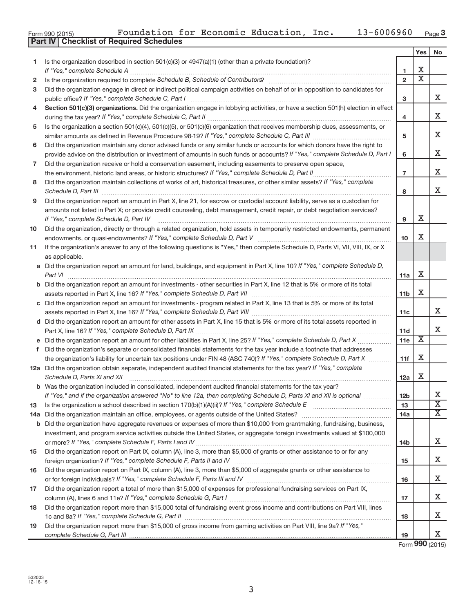|  | Form 990 (2015) |
|--|-----------------|

|     |                                                                                                                                                                                                                                                                                                                                                                     |                | Yes                         | <b>No</b>                   |
|-----|---------------------------------------------------------------------------------------------------------------------------------------------------------------------------------------------------------------------------------------------------------------------------------------------------------------------------------------------------------------------|----------------|-----------------------------|-----------------------------|
| 1   | Is the organization described in section $501(c)(3)$ or $4947(a)(1)$ (other than a private foundation)?                                                                                                                                                                                                                                                             |                |                             |                             |
|     |                                                                                                                                                                                                                                                                                                                                                                     | 1              | х                           |                             |
| 2   | Is the organization required to complete Schedule B, Schedule of Contributors? [11] the organization required to complete Schedule B, Schedule of Contributors?                                                                                                                                                                                                     | $\mathbf{2}$   | $\overline{\textnormal{x}}$ |                             |
| 3   | Did the organization engage in direct or indirect political campaign activities on behalf of or in opposition to candidates for                                                                                                                                                                                                                                     | 3              |                             | x                           |
| 4   | Section 501(c)(3) organizations. Did the organization engage in lobbying activities, or have a section 501(h) election in effect                                                                                                                                                                                                                                    |                |                             |                             |
|     |                                                                                                                                                                                                                                                                                                                                                                     | 4              |                             | x                           |
| 5   | Is the organization a section 501(c)(4), 501(c)(5), or 501(c)(6) organization that receives membership dues, assessments, or                                                                                                                                                                                                                                        |                |                             |                             |
|     |                                                                                                                                                                                                                                                                                                                                                                     | 5              |                             | x                           |
| 6   | Did the organization maintain any donor advised funds or any similar funds or accounts for which donors have the right to                                                                                                                                                                                                                                           |                |                             |                             |
|     | provide advice on the distribution or investment of amounts in such funds or accounts? If "Yes," complete Schedule D, Part I                                                                                                                                                                                                                                        | 6              |                             | x                           |
| 7   | Did the organization receive or hold a conservation easement, including easements to preserve open space,                                                                                                                                                                                                                                                           |                |                             |                             |
|     |                                                                                                                                                                                                                                                                                                                                                                     | $\overline{7}$ |                             | x                           |
| 8   | Did the organization maintain collections of works of art, historical treasures, or other similar assets? If "Yes," complete<br>Schedule D, Part III <b>Martin Communication</b> Contract and Contract of Technical Contract of Technical Contract of Technical Contract of Technical Contract of Technical Contract of Technical Contract of Technical Contract of | 8              |                             | x                           |
| 9   | Did the organization report an amount in Part X, line 21, for escrow or custodial account liability, serve as a custodian for                                                                                                                                                                                                                                       |                |                             |                             |
|     | amounts not listed in Part X; or provide credit counseling, debt management, credit repair, or debt negotiation services?                                                                                                                                                                                                                                           |                |                             |                             |
|     | If "Yes," complete Schedule D, Part IV                                                                                                                                                                                                                                                                                                                              | 9              | х                           |                             |
| 10  | Did the organization, directly or through a related organization, hold assets in temporarily restricted endowments, permanent                                                                                                                                                                                                                                       |                |                             |                             |
|     |                                                                                                                                                                                                                                                                                                                                                                     | 10             | x                           |                             |
| 11  | If the organization's answer to any of the following questions is "Yes," then complete Schedule D, Parts VI, VII, VIII, IX, or X                                                                                                                                                                                                                                    |                |                             |                             |
|     | as applicable.                                                                                                                                                                                                                                                                                                                                                      |                |                             |                             |
|     | a Did the organization report an amount for land, buildings, and equipment in Part X, line 10? If "Yes," complete Schedule D,                                                                                                                                                                                                                                       |                |                             |                             |
|     | Part VI                                                                                                                                                                                                                                                                                                                                                             | 11a            | х                           |                             |
|     | <b>b</b> Did the organization report an amount for investments - other securities in Part X, line 12 that is 5% or more of its total                                                                                                                                                                                                                                | 11b            | Χ                           |                             |
|     | c Did the organization report an amount for investments - program related in Part X, line 13 that is 5% or more of its total                                                                                                                                                                                                                                        |                |                             |                             |
|     |                                                                                                                                                                                                                                                                                                                                                                     | 11c            |                             | x                           |
|     | d Did the organization report an amount for other assets in Part X, line 15 that is 5% or more of its total assets reported in                                                                                                                                                                                                                                      |                |                             |                             |
|     |                                                                                                                                                                                                                                                                                                                                                                     | 11d            |                             | x                           |
|     |                                                                                                                                                                                                                                                                                                                                                                     | 11e            | $\overline{\textbf{X}}$     |                             |
|     | f Did the organization's separate or consolidated financial statements for the tax year include a footnote that addresses                                                                                                                                                                                                                                           |                |                             |                             |
|     | the organization's liability for uncertain tax positions under FIN 48 (ASC 740)? If "Yes," complete Schedule D, Part X                                                                                                                                                                                                                                              | 11f            | х                           |                             |
|     | 12a Did the organization obtain separate, independent audited financial statements for the tax year? If "Yes," complete                                                                                                                                                                                                                                             |                |                             |                             |
|     | Schedule D, Parts XI and XII                                                                                                                                                                                                                                                                                                                                        | 12a            | х                           |                             |
|     | <b>b</b> Was the organization included in consolidated, independent audited financial statements for the tax year?                                                                                                                                                                                                                                                  |                |                             |                             |
|     | If "Yes," and if the organization answered "No" to line 12a, then completing Schedule D, Parts XI and XII is optional                                                                                                                                                                                                                                               | 12b            |                             | Х                           |
| 13  |                                                                                                                                                                                                                                                                                                                                                                     | 13             |                             | $\overline{\textnormal{x}}$ |
| 14a |                                                                                                                                                                                                                                                                                                                                                                     | 14a            |                             | X                           |
|     | <b>b</b> Did the organization have aggregate revenues or expenses of more than \$10,000 from grantmaking, fundraising, business,                                                                                                                                                                                                                                    |                |                             |                             |
|     | investment, and program service activities outside the United States, or aggregate foreign investments valued at \$100,000                                                                                                                                                                                                                                          |                |                             | x                           |
| 15  | Did the organization report on Part IX, column (A), line 3, more than \$5,000 of grants or other assistance to or for any                                                                                                                                                                                                                                           | 14b            |                             |                             |
|     |                                                                                                                                                                                                                                                                                                                                                                     | 15             |                             | x                           |
| 16  | Did the organization report on Part IX, column (A), line 3, more than \$5,000 of aggregate grants or other assistance to                                                                                                                                                                                                                                            |                |                             |                             |
|     |                                                                                                                                                                                                                                                                                                                                                                     | 16             |                             | x                           |
| 17  | Did the organization report a total of more than \$15,000 of expenses for professional fundraising services on Part IX,                                                                                                                                                                                                                                             |                |                             |                             |
|     |                                                                                                                                                                                                                                                                                                                                                                     | 17             |                             | x                           |
| 18  | Did the organization report more than \$15,000 total of fundraising event gross income and contributions on Part VIII. lines                                                                                                                                                                                                                                        |                |                             |                             |
|     |                                                                                                                                                                                                                                                                                                                                                                     | 18             |                             | x                           |
| 19  | Did the organization report more than \$15,000 of gross income from gaming activities on Part VIII, line 9a? If "Yes,"                                                                                                                                                                                                                                              |                |                             |                             |
|     |                                                                                                                                                                                                                                                                                                                                                                     | 19             |                             | X.                          |

Form **990** (2015)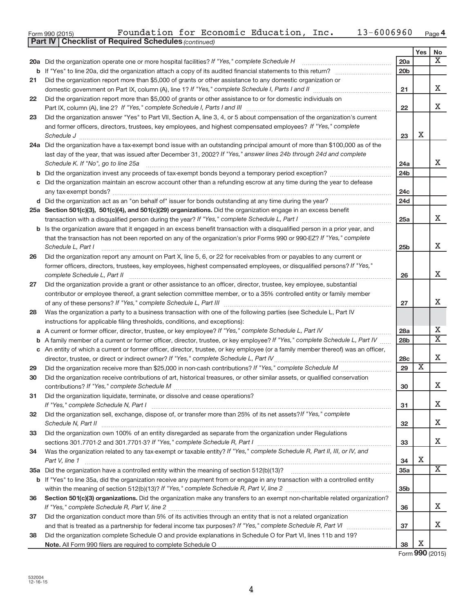| Form 990 (2015)                                            | Foundation for Economic Education, Inc. |  |  |  |  | $13 - 6006960$ Page 4 |  |  |
|------------------------------------------------------------|-----------------------------------------|--|--|--|--|-----------------------|--|--|
| <b>Dart IV Checklist of Required Schedules (continued)</b> |                                         |  |  |  |  |                       |  |  |

|    | Parl IV I<br>Criecklist of Required Scriedules (continued)                                                                          |                 |     |                         |
|----|-------------------------------------------------------------------------------------------------------------------------------------|-----------------|-----|-------------------------|
|    |                                                                                                                                     |                 | Yes | No                      |
|    | 20a Did the organization operate one or more hospital facilities? If "Yes," complete Schedule H                                     | 20a             |     | X                       |
|    |                                                                                                                                     | 20 <sub>b</sub> |     |                         |
| 21 | Did the organization report more than \$5,000 of grants or other assistance to any domestic organization or                         |                 |     | x                       |
|    |                                                                                                                                     | 21              |     |                         |
| 22 | Did the organization report more than \$5,000 of grants or other assistance to or for domestic individuals on                       |                 |     | x                       |
|    | Part IX, column (A), line 2? If "Yes," complete Schedule I, Parts I and III                                                         | 22              |     |                         |
| 23 | Did the organization answer "Yes" to Part VII, Section A, line 3, 4, or 5 about compensation of the organization's current          |                 |     |                         |
|    | and former officers, directors, trustees, key employees, and highest compensated employees? If "Yes," complete<br>Schedule J        | 23              | Χ   |                         |
|    | 24a Did the organization have a tax-exempt bond issue with an outstanding principal amount of more than \$100,000 as of the         |                 |     |                         |
|    | last day of the year, that was issued after December 31, 2002? If "Yes," answer lines 24b through 24d and complete                  |                 |     |                         |
|    | Schedule K. If "No", go to line 25a                                                                                                 | 24a             |     | X                       |
|    |                                                                                                                                     | 24 <sub>b</sub> |     |                         |
|    | c Did the organization maintain an escrow account other than a refunding escrow at any time during the year to defease              |                 |     |                         |
|    | any tax-exempt bonds?                                                                                                               | 24 <sub>c</sub> |     |                         |
|    |                                                                                                                                     | 24d             |     |                         |
|    | 25a Section 501(c)(3), 501(c)(4), and 501(c)(29) organizations. Did the organization engage in an excess benefit                    |                 |     |                         |
|    |                                                                                                                                     | 25a             |     | X                       |
|    | <b>b</b> Is the organization aware that it engaged in an excess benefit transaction with a disqualified person in a prior year, and |                 |     |                         |
|    | that the transaction has not been reported on any of the organization's prior Forms 990 or 990-EZ? If "Yes," complete               |                 |     |                         |
|    | Schedule L, Part I                                                                                                                  | 25 <sub>b</sub> |     | х                       |
| 26 | Did the organization report any amount on Part X, line 5, 6, or 22 for receivables from or payables to any current or               |                 |     |                         |
|    | former officers, directors, trustees, key employees, highest compensated employees, or disqualified persons? If "Yes,"              |                 |     |                         |
|    | complete Schedule L, Part II                                                                                                        | 26              |     | x                       |
| 27 | Did the organization provide a grant or other assistance to an officer, director, trustee, key employee, substantial                |                 |     |                         |
|    | contributor or employee thereof, a grant selection committee member, or to a 35% controlled entity or family member                 |                 |     |                         |
|    |                                                                                                                                     | 27              |     | x                       |
| 28 | Was the organization a party to a business transaction with one of the following parties (see Schedule L, Part IV                   |                 |     |                         |
|    | instructions for applicable filing thresholds, conditions, and exceptions):                                                         |                 |     |                         |
|    | a A current or former officer, director, trustee, or key employee? If "Yes," complete Schedule L, Part IV                           | 28a             |     | x                       |
|    | <b>b</b> A family member of a current or former officer, director, trustee, or key employee? If "Yes," complete Schedule L, Part IV | 28 <sub>b</sub> |     | $\overline{\mathbf{x}}$ |
|    | c An entity of which a current or former officer, director, trustee, or key employee (or a family member thereof) was an officer,   |                 |     |                         |
|    | director, trustee, or direct or indirect owner? If "Yes," complete Schedule L, Part IV.                                             | 28c             |     | X                       |
| 29 |                                                                                                                                     | 29              | x   |                         |
| 30 | Did the organization receive contributions of art, historical treasures, or other similar assets, or qualified conservation         |                 |     |                         |
|    | contributions? If "Yes," complete Schedule M                                                                                        | 30              |     | X                       |
| 31 | Did the organization liquidate, terminate, or dissolve and cease operations?                                                        |                 |     |                         |
|    |                                                                                                                                     | 31              |     | x                       |
| 32 | Did the organization sell, exchange, dispose of, or transfer more than 25% of its net assets? If "Yes," complete                    |                 |     |                         |
|    | Schedule N, Part II                                                                                                                 | 32              |     | x                       |
| 33 | Did the organization own 100% of an entity disregarded as separate from the organization under Regulations                          |                 |     |                         |
|    |                                                                                                                                     | 33              |     | X.                      |
| 34 | Was the organization related to any tax-exempt or taxable entity? If "Yes," complete Schedule R, Part II, III, or IV, and           |                 |     |                         |
|    | Part V, line 1                                                                                                                      | 34              | Χ   |                         |
|    |                                                                                                                                     | <b>35a</b>      |     | X                       |
|    | b If "Yes" to line 35a, did the organization receive any payment from or engage in any transaction with a controlled entity         |                 |     |                         |
|    |                                                                                                                                     | 35 <sub>b</sub> |     |                         |
| 36 | Section 501(c)(3) organizations. Did the organization make any transfers to an exempt non-charitable related organization?          |                 |     | x                       |
|    |                                                                                                                                     | 36              |     |                         |
| 37 | Did the organization conduct more than 5% of its activities through an entity that is not a related organization                    |                 |     | X.                      |
|    |                                                                                                                                     | 37              |     |                         |
| 38 | Did the organization complete Schedule O and provide explanations in Schedule O for Part VI, lines 11b and 19?                      | 38              | х   |                         |
|    |                                                                                                                                     |                 |     |                         |

Form **990** (2015)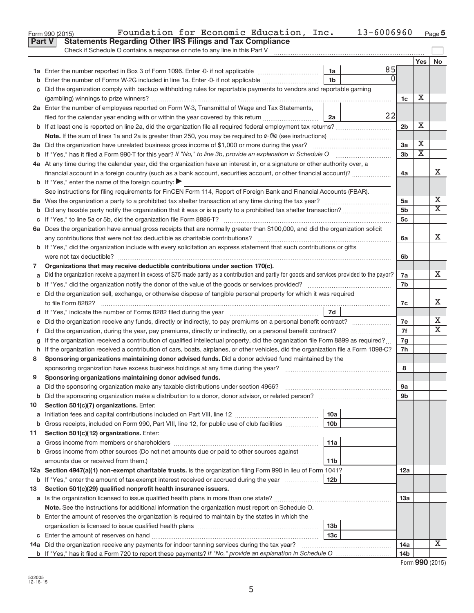|               | 13-6006960<br>Foundation for Economic Education, Inc.<br>Form 990 (2015)                                                                        |                |                             | Page 5                  |
|---------------|-------------------------------------------------------------------------------------------------------------------------------------------------|----------------|-----------------------------|-------------------------|
| <b>Part V</b> | <b>Statements Regarding Other IRS Filings and Tax Compliance</b>                                                                                |                |                             |                         |
|               | Check if Schedule O contains a response or note to any line in this Part V                                                                      |                |                             |                         |
|               |                                                                                                                                                 |                | Yes                         | No                      |
|               | 85<br>1a                                                                                                                                        |                |                             |                         |
|               | 1 <sub>b</sub><br>Enter the number of Forms W-2G included in line 1a. Enter -0- if not applicable                                               |                |                             |                         |
|               | Did the organization comply with backup withholding rules for reportable payments to vendors and reportable gaming                              |                |                             |                         |
|               |                                                                                                                                                 | 1c             | х                           |                         |
|               | 2a Enter the number of employees reported on Form W-3, Transmittal of Wage and Tax Statements,                                                  |                |                             |                         |
|               | 22<br>filed for the calendar year ending with or within the year covered by this return<br>2a                                                   |                |                             |                         |
|               |                                                                                                                                                 | 2 <sub>b</sub> | x                           |                         |
|               |                                                                                                                                                 |                |                             |                         |
|               | 3a Did the organization have unrelated business gross income of \$1,000 or more during the year?                                                | 3a             | х                           |                         |
|               |                                                                                                                                                 | 3 <sub>b</sub> | $\overline{\textnormal{x}}$ |                         |
|               | 4a At any time during the calendar year, did the organization have an interest in, or a signature or other authority over, a                    |                |                             |                         |
|               | financial account in a foreign country (such as a bank account, securities account, or other financial account)?                                | 4a             |                             | X.                      |
|               | <b>b</b> If "Yes," enter the name of the foreign country: $\blacktriangleright$                                                                 |                |                             |                         |
|               | See instructions for filing requirements for FinCEN Form 114, Report of Foreign Bank and Financial Accounts (FBAR).                             |                |                             |                         |
|               |                                                                                                                                                 | 5a             |                             | Х                       |
|               |                                                                                                                                                 | 5 <sub>b</sub> |                             | $\overline{\mathtt{x}}$ |
|               |                                                                                                                                                 | 5c             |                             |                         |
|               | 6a Does the organization have annual gross receipts that are normally greater than \$100,000, and did the organization solicit                  |                |                             |                         |
|               | any contributions that were not tax deductible as charitable contributions?                                                                     | 6a             |                             | x                       |
|               | <b>b</b> If "Yes," did the organization include with every solicitation an express statement that such contributions or gifts                   |                |                             |                         |
|               | were not tax deductible?                                                                                                                        | 6b             |                             |                         |
| 7             | Organizations that may receive deductible contributions under section 170(c).                                                                   |                |                             |                         |
|               | Did the organization receive a payment in excess of \$75 made partly as a contribution and partly for goods and services provided to the payor? | 7a             |                             | x                       |
|               |                                                                                                                                                 |                |                             |                         |
|               | c Did the organization sell, exchange, or otherwise dispose of tangible personal property for which it was required                             |                |                             |                         |
|               | to file Form 8282?                                                                                                                              | 7c             |                             | X.                      |
|               | 7d                                                                                                                                              |                |                             |                         |
|               |                                                                                                                                                 | 7e             |                             | x                       |
| τ.            | Did the organization, during the year, pay premiums, directly or indirectly, on a personal benefit contract?                                    | 7f             |                             | $\overline{\mathtt{x}}$ |
|               | If the organization received a contribution of qualified intellectual property, did the organization file Form 8899 as required?                | 7g             |                             |                         |
|               | h If the organization received a contribution of cars, boats, airplanes, or other vehicles, did the organization file a Form 1098-C?            | 7h             |                             |                         |
| 8             | Sponsoring organizations maintaining donor advised funds. Did a donor advised fund maintained by the                                            |                |                             |                         |
|               | sponsoring organization have excess business holdings at any time during the year?                                                              | 8              |                             |                         |
| 9             | Sponsoring organizations maintaining donor advised funds.                                                                                       |                |                             |                         |
| а             | Did the sponsoring organization make any taxable distributions under section 4966?                                                              | <b>9a</b>      |                             |                         |
| b             | Did the sponsoring organization make a distribution to a donor, donor advisor, or related person? [[[[[[[[[[[                                   | 9b             |                             |                         |
| 10            | Section 501(c)(7) organizations. Enter:                                                                                                         |                |                             |                         |
| а             | 10a                                                                                                                                             |                |                             |                         |
| b             | Gross receipts, included on Form 990, Part VIII, line 12, for public use of club facilities<br>10 <sub>b</sub>                                  |                |                             |                         |
| 11            | Section 501(c)(12) organizations. Enter:                                                                                                        |                |                             |                         |
| а             | 11a                                                                                                                                             |                |                             |                         |
|               | b Gross income from other sources (Do not net amounts due or paid to other sources against                                                      |                |                             |                         |
|               | amounts due or received from them.)<br>11b                                                                                                      |                |                             |                         |
|               | 12a Section 4947(a)(1) non-exempt charitable trusts. Is the organization filing Form 990 in lieu of Form 1041?                                  | 12a            |                             |                         |
|               | <b>b</b> If "Yes," enter the amount of tax-exempt interest received or accrued during the year<br>12b                                           |                |                             |                         |
| 13            | Section 501(c)(29) qualified nonprofit health insurance issuers.                                                                                |                |                             |                         |
|               | a Is the organization licensed to issue qualified health plans in more than one state?                                                          | 13а            |                             |                         |
|               | Note. See the instructions for additional information the organization must report on Schedule O.                                               |                |                             |                         |
|               | <b>b</b> Enter the amount of reserves the organization is required to maintain by the states in which the                                       |                |                             |                         |
|               | 13 <sub>b</sub>                                                                                                                                 |                |                             |                         |
|               | 13 <sub>c</sub>                                                                                                                                 |                |                             |                         |
|               | 14a Did the organization receive any payments for indoor tanning services during the tax year?                                                  | 14a            |                             | Χ                       |
|               |                                                                                                                                                 | 14b            |                             |                         |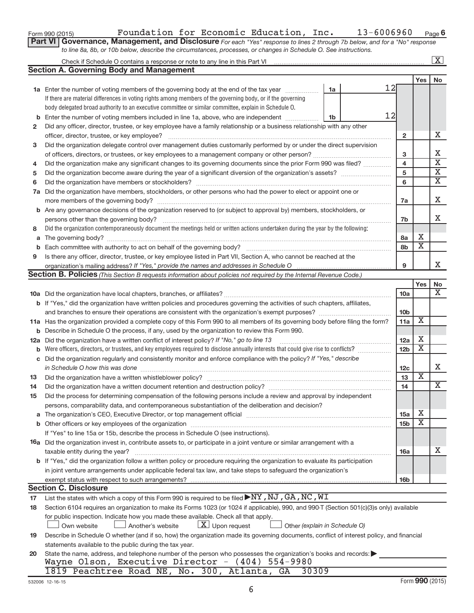| Form 990 (2015) |  |
|-----------------|--|
|-----------------|--|

# Form 990 (2015)  $\qquad \qquad$  Foundation for Economic Education, Inc.  $\qquad \qquad 13-6006960$   $\qquad$   $_{\text{Page}}$

**6**

| Part VI   Governance, Management, and Disclosure For each "Yes" response to lines 2 through 7b below, and for a "No" response |  |
|-------------------------------------------------------------------------------------------------------------------------------|--|
| to line 8a, 8b, or 10b below, describe the circumstances, processes, or changes in Schedule O. See instructions.              |  |

|     | Check if Schedule O contains a response or note to any line in this Part VI [11] [12] Check if Schedule O contains a response or note to any line in this Part VI                                                       |    |    |                              |                         | $\mathbf{X}$                                       |
|-----|-------------------------------------------------------------------------------------------------------------------------------------------------------------------------------------------------------------------------|----|----|------------------------------|-------------------------|----------------------------------------------------|
|     | <b>Section A. Governing Body and Management</b>                                                                                                                                                                         |    |    |                              |                         |                                                    |
|     |                                                                                                                                                                                                                         |    |    |                              | Yes                     | No                                                 |
|     | <b>1a</b> Enter the number of voting members of the governing body at the end of the tax year                                                                                                                           | 1a | 12 |                              |                         |                                                    |
|     | If there are material differences in voting rights among members of the governing body, or if the governing                                                                                                             |    |    |                              |                         |                                                    |
|     | body delegated broad authority to an executive committee or similar committee, explain in Schedule O.                                                                                                                   |    |    |                              |                         |                                                    |
| b   | Enter the number of voting members included in line 1a, above, who are independent <i>manumum</i>                                                                                                                       | 1b | 12 |                              |                         |                                                    |
| 2   | Did any officer, director, trustee, or key employee have a family relationship or a business relationship with any other                                                                                                |    |    |                              |                         |                                                    |
|     | officer, director, trustee, or key employee?                                                                                                                                                                            |    |    | 2                            |                         | х                                                  |
| 3   | Did the organization delegate control over management duties customarily performed by or under the direct supervision                                                                                                   |    |    |                              |                         |                                                    |
|     |                                                                                                                                                                                                                         |    |    | 3                            |                         | х                                                  |
|     | Did the organization make any significant changes to its governing documents since the prior Form 990 was filed?<br>4                                                                                                   |    |    |                              |                         |                                                    |
| 5   |                                                                                                                                                                                                                         |    |    | $\overline{\mathbf{4}}$<br>5 |                         | $\overline{\mathbf{x}}$<br>$\overline{\mathbf{X}}$ |
| 6   |                                                                                                                                                                                                                         |    |    | 6                            |                         | $\overline{\mathbf{X}}$                            |
| 7a  | Did the organization have members, stockholders, or other persons who had the power to elect or appoint one or                                                                                                          |    |    |                              |                         |                                                    |
|     |                                                                                                                                                                                                                         |    |    | 7a                           |                         | х                                                  |
|     | b Are any governance decisions of the organization reserved to (or subject to approval by) members, stockholders, or                                                                                                    |    |    |                              |                         |                                                    |
|     |                                                                                                                                                                                                                         |    |    | 7b                           |                         | x                                                  |
| 8   | Did the organization contemporaneously document the meetings held or written actions undertaken during the year by the following:                                                                                       |    |    |                              |                         |                                                    |
| a   |                                                                                                                                                                                                                         |    |    | 8a                           | х                       |                                                    |
| b   |                                                                                                                                                                                                                         |    |    | 8b                           | $\overline{\textbf{X}}$ |                                                    |
| 9   | Is there any officer, director, trustee, or key employee listed in Part VII, Section A, who cannot be reached at the                                                                                                    |    |    |                              |                         |                                                    |
|     |                                                                                                                                                                                                                         |    |    | 9                            |                         | x                                                  |
|     | Section B. Policies (This Section B requests information about policies not required by the Internal Revenue Code.)                                                                                                     |    |    |                              |                         |                                                    |
|     |                                                                                                                                                                                                                         |    |    |                              | Yes                     | No                                                 |
|     |                                                                                                                                                                                                                         |    |    | 10a                          |                         | x                                                  |
|     | <b>b</b> If "Yes," did the organization have written policies and procedures governing the activities of such chapters, affiliates,                                                                                     |    |    |                              |                         |                                                    |
|     |                                                                                                                                                                                                                         |    |    | 10b                          |                         |                                                    |
|     | 11a Has the organization provided a complete copy of this Form 990 to all members of its governing body before filing the form?                                                                                         |    |    | 11a                          | Χ                       |                                                    |
|     | <b>b</b> Describe in Schedule O the process, if any, used by the organization to review this Form 990.                                                                                                                  |    |    |                              |                         |                                                    |
| 12a | Did the organization have a written conflict of interest policy? If "No," go to line 13                                                                                                                                 |    |    | 12a                          | х                       |                                                    |
| b   | Were officers, directors, or trustees, and key employees required to disclose annually interests that could give rise to conflicts?                                                                                     |    |    | 12 <sub>b</sub>              | $\overline{\textbf{x}}$ |                                                    |
| С   | Did the organization regularly and consistently monitor and enforce compliance with the policy? If "Yes," describe                                                                                                      |    |    |                              |                         |                                                    |
|     | in Schedule O how this was done                                                                                                                                                                                         |    |    | 12c                          |                         | x                                                  |
| 13  |                                                                                                                                                                                                                         |    |    | 13                           | $\overline{\textbf{x}}$ |                                                    |
| 14  |                                                                                                                                                                                                                         |    |    | 14                           |                         | X                                                  |
| 15  |                                                                                                                                                                                                                         |    |    |                              |                         |                                                    |
|     | Did the process for determining compensation of the following persons include a review and approval by independent<br>persons, comparability data, and contemporaneous substantiation of the deliberation and decision? |    |    |                              |                         |                                                    |
|     |                                                                                                                                                                                                                         |    |    | 15a                          | х                       |                                                    |
| a   |                                                                                                                                                                                                                         |    |    | 15 <sub>b</sub>              | х                       |                                                    |
|     | If "Yes" to line 15a or 15b, describe the process in Schedule O (see instructions).                                                                                                                                     |    |    |                              |                         |                                                    |
|     | 16a Did the organization invest in, contribute assets to, or participate in a joint venture or similar arrangement with a                                                                                               |    |    |                              |                         |                                                    |
|     | taxable entity during the year?                                                                                                                                                                                         |    |    | 16a                          |                         | x                                                  |
|     | b If "Yes," did the organization follow a written policy or procedure requiring the organization to evaluate its participation                                                                                          |    |    |                              |                         |                                                    |
|     | in joint venture arrangements under applicable federal tax law, and take steps to safeguard the organization's                                                                                                          |    |    |                              |                         |                                                    |
|     | exempt status with respect to such arrangements?                                                                                                                                                                        |    |    | 16b                          |                         |                                                    |
|     | <b>Section C. Disclosure</b>                                                                                                                                                                                            |    |    |                              |                         |                                                    |
| 17  | List the states with which a copy of this Form 990 is required to be filed $\blacktriangleright$ NY, NJ, GA, NC, WI                                                                                                     |    |    |                              |                         |                                                    |
| 18  | Section 6104 requires an organization to make its Forms 1023 (or 1024 if applicable), 990, and 990-T (Section 501(c)(3)s only) available                                                                                |    |    |                              |                         |                                                    |
|     | for public inspection. Indicate how you made these available. Check all that apply.                                                                                                                                     |    |    |                              |                         |                                                    |
|     | $\lfloor \underline{X} \rfloor$ Upon request<br>Another's website<br>Own website<br>Other (explain in Schedule O)                                                                                                       |    |    |                              |                         |                                                    |
|     | Describe in Schedule O whether (and if so, how) the organization made its governing documents, conflict of interest policy, and financial                                                                               |    |    |                              |                         |                                                    |
| 19  | statements available to the public during the tax year.                                                                                                                                                                 |    |    |                              |                         |                                                    |
|     | State the name, address, and telephone number of the person who possesses the organization's books and records:                                                                                                         |    |    |                              |                         |                                                    |
| 20  | Wayne Olson, Executive Director - (404) 554-9980                                                                                                                                                                        |    |    |                              |                         |                                                    |
|     | 1819 Peachtree Road NE, No. 300, Atlanta, GA<br>30309                                                                                                                                                                   |    |    |                              |                         |                                                    |
|     |                                                                                                                                                                                                                         |    |    |                              |                         |                                                    |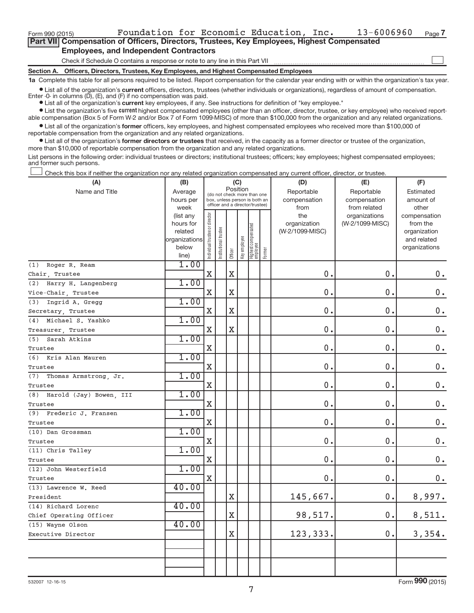Form 990 (2015)  $\qquad \qquad$  Foundation for Economic Education, Inc.  $\qquad \qquad 13-6006960$   $\qquad$   $_{\text{Page}}$ 

 $\begin{array}{c} \hline \end{array}$ 

| Part VII Compensation of Officers, Directors, Trustees, Key Employees, Highest Compensated |
|--------------------------------------------------------------------------------------------|
| <b>Employees, and Independent Contractors</b>                                              |

Check if Schedule O contains a response or note to any line in this Part VII

**Section A. Officers, Directors, Trustees, Key Employees, and Highest Compensated Employees**

**1a**  Complete this table for all persons required to be listed. Report compensation for the calendar year ending with or within the organization's tax year.

 $\bullet$  List all of the organization's current officers, directors, trustees (whether individuals or organizations), regardless of amount of compensation. Enter -0- in columns  $(D)$ ,  $(E)$ , and  $(F)$  if no compensation was paid.

**•** List all of the organization's **current** key employees, if any. See instructions for definition of "key employee."

**Examber 1** List the organization's five current highest compensated employees (other than an officer, director, trustee, or key employee) who received reportable compensation (Box 5 of Form W-2 and/or Box 7 of Form 1099-MISC) of more than \$100,000 from the organization and any related organizations.

 $\bullet$  List all of the organization's former officers, key employees, and highest compensated employees who received more than \$100,000 of reportable compensation from the organization and any related organizations.

**•** List all of the organization's former directors or trustees that received, in the capacity as a former director or trustee of the organization, more than \$10,000 of reportable compensation from the organization and any related organizations.

List persons in the following order: individual trustees or directors; institutional trustees; officers; key employees; highest compensated employees; and former such persons.

Check this box if neither the organization nor any related organization compensated any current officer, director, or trustee.  $\overline{\phantom{a}}$ 

| (A)                            | (B)                    |                                |                                                                  |                         | (C)          |                                 |        | (D)             | (E)             | (F)                          |
|--------------------------------|------------------------|--------------------------------|------------------------------------------------------------------|-------------------------|--------------|---------------------------------|--------|-----------------|-----------------|------------------------------|
| Name and Title                 | Average                |                                | (do not check more than one                                      | Position                |              |                                 |        | Reportable      | Reportable      | Estimated                    |
|                                | hours per              |                                | box, unless person is both an<br>officer and a director/trustee) |                         |              |                                 |        | compensation    | compensation    | amount of                    |
|                                | week                   |                                |                                                                  |                         |              |                                 |        | from            | from related    | other                        |
|                                | (list any              |                                |                                                                  |                         |              |                                 |        | the             | organizations   | compensation                 |
|                                | hours for              |                                |                                                                  |                         |              |                                 |        | organization    | (W-2/1099-MISC) | from the                     |
|                                | related                |                                |                                                                  |                         |              |                                 |        | (W-2/1099-MISC) |                 | organization                 |
|                                | organizations<br>below |                                |                                                                  |                         |              |                                 |        |                 |                 | and related<br>organizations |
|                                | line)                  | Individual trustee or director | nstitutional trustee                                             | Officer                 | Key employee | Highest compensated<br>employee | Former |                 |                 |                              |
| Roger R. Ream<br>(1)           | 1.00                   |                                |                                                                  |                         |              |                                 |        |                 |                 |                              |
| Chair, Trustee                 |                        | $\mathbf X$                    |                                                                  | $\mathbf X$             |              |                                 |        | 0.              | $\mathbf 0$     | 0.                           |
| (2)<br>Harry H. Langenberg     | 1.00                   |                                |                                                                  |                         |              |                                 |        |                 |                 |                              |
| Vice-Chair, Trustee            |                        | $\mathbf X$                    |                                                                  | $\mathbf X$             |              |                                 |        | 0.              | 0.              | $0$ .                        |
| (3)<br>Ingrid A. Gregg         | 1.00                   |                                |                                                                  |                         |              |                                 |        |                 |                 |                              |
| Secretary, Trustee             |                        | X                              |                                                                  | $\mathbf X$             |              |                                 |        | 0.              | $\mathbf 0$ .   | $\mathbf 0$ .                |
| Michael S. Yashko<br>(4)       | 1.00                   |                                |                                                                  |                         |              |                                 |        |                 |                 |                              |
| Treasurer, Trustee             |                        | X                              |                                                                  | $\mathbf X$             |              |                                 |        | 0.              | 0.              | $0$ .                        |
| Sarah Atkins<br>(5)            | 1.00                   |                                |                                                                  |                         |              |                                 |        |                 |                 |                              |
| Trustee                        |                        | $\mathbf X$                    |                                                                  |                         |              |                                 |        | 0.              | 0.              | $\mathbf 0$ .                |
| (6) Kris Alan Mauren           | 1.00                   |                                |                                                                  |                         |              |                                 |        |                 |                 |                              |
| Trustee                        |                        | $\mathbf X$                    |                                                                  |                         |              |                                 |        | 0.              | 0.              | $0$ .                        |
| (7)<br>Thomas Armstrong, Jr.   | 1.00                   |                                |                                                                  |                         |              |                                 |        |                 |                 |                              |
| Trustee                        |                        | X                              |                                                                  |                         |              |                                 |        | 0.              | 0.              | $\mathbf 0$ .                |
| Harold (Jay) Bowen, III<br>(8) | 1.00                   |                                |                                                                  |                         |              |                                 |        |                 |                 |                              |
| Trustee                        |                        | X                              |                                                                  |                         |              |                                 |        | 0.              | 0.              | $\mathbf 0$ .                |
| (9) Frederic J. Fransen        | 1.00                   |                                |                                                                  |                         |              |                                 |        |                 |                 |                              |
| Trustee                        |                        | $\mathbf X$                    |                                                                  |                         |              |                                 |        | 0.              | 0.              | $\mathbf 0$ .                |
| (10) Dan Grossman              | 1.00                   |                                |                                                                  |                         |              |                                 |        |                 |                 |                              |
| Trustee                        |                        | X                              |                                                                  |                         |              |                                 |        | 0.              | 0.              | $0$ .                        |
| (11) Chris Talley              | 1.00                   |                                |                                                                  |                         |              |                                 |        |                 |                 |                              |
| Trustee                        |                        | $\mathbf X$                    |                                                                  |                         |              |                                 |        | 0.              | 0.              | $0$ .                        |
| (12) John Westerfield          | 1.00                   |                                |                                                                  |                         |              |                                 |        |                 |                 |                              |
| Trustee                        |                        | X                              |                                                                  |                         |              |                                 |        | 0.              | 0.              | 0.                           |
| (13) Lawrence W. Reed          | 40.00                  |                                |                                                                  |                         |              |                                 |        |                 |                 |                              |
| President                      |                        |                                |                                                                  | $\mathbf X$             |              |                                 |        | 145,667.        | 0.              | 8,997.                       |
| (14) Richard Lorenc            | 40.00                  |                                |                                                                  |                         |              |                                 |        |                 |                 |                              |
| Chief Operating Officer        |                        |                                |                                                                  | $\rm X$                 |              |                                 |        | 98,517.         | 0.              | 8,511.                       |
| (15) Wayne Olson               | 40.00                  |                                |                                                                  |                         |              |                                 |        |                 |                 |                              |
| Executive Director             |                        |                                |                                                                  | $\overline{\mathbf{X}}$ |              |                                 |        | 123, 333.       | 0.              | 3,354.                       |
|                                |                        |                                |                                                                  |                         |              |                                 |        |                 |                 |                              |
|                                |                        |                                |                                                                  |                         |              |                                 |        |                 |                 |                              |
|                                |                        |                                |                                                                  |                         |              |                                 |        |                 |                 |                              |
|                                |                        |                                |                                                                  |                         |              |                                 |        |                 |                 |                              |

Form **990** (2015)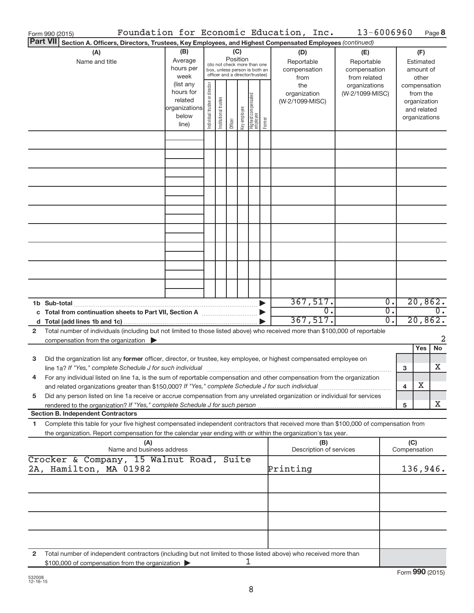| Form 990 (2015)                                                                                                                                                                                                                                              |                                                                      |                                |                       |                 |              |                                                                                                 |        | Foundation for Economic Education, Inc.   | 13-6006960                                        |                           |                               | Page 8                                  |                  |
|--------------------------------------------------------------------------------------------------------------------------------------------------------------------------------------------------------------------------------------------------------------|----------------------------------------------------------------------|--------------------------------|-----------------------|-----------------|--------------|-------------------------------------------------------------------------------------------------|--------|-------------------------------------------|---------------------------------------------------|---------------------------|-------------------------------|-----------------------------------------|------------------|
| <b>Part VII</b><br>Section A. Officers, Directors, Trustees, Key Employees, and Highest Compensated Employees (continued)                                                                                                                                    |                                                                      |                                |                       |                 |              |                                                                                                 |        |                                           |                                                   |                           |                               |                                         |                  |
| (A)<br>Name and title                                                                                                                                                                                                                                        | (B)<br>Average<br>hours per<br>week                                  |                                |                       | (C)<br>Position |              | (do not check more than one<br>box, unless person is both an<br>officer and a director/trustee) |        | (D)<br>Reportable<br>compensation<br>from | (E)<br>Reportable<br>compensation<br>from related |                           |                               | (F)<br>Estimated<br>amount of<br>other  |                  |
|                                                                                                                                                                                                                                                              | (list any<br>hours for<br>related<br>organizations<br>below<br>line) | Individual trustee or director | Institutional trustee | Officer         | Key employee | Highest compensated<br>  employee                                                               | Former | the<br>organization<br>(W-2/1099-MISC)    | organizations<br>(W-2/1099-MISC)                  |                           | compensation<br>organizations | from the<br>organization<br>and related |                  |
|                                                                                                                                                                                                                                                              |                                                                      |                                |                       |                 |              |                                                                                                 |        |                                           |                                                   |                           |                               |                                         |                  |
|                                                                                                                                                                                                                                                              |                                                                      |                                |                       |                 |              |                                                                                                 |        |                                           |                                                   |                           |                               |                                         |                  |
|                                                                                                                                                                                                                                                              |                                                                      |                                |                       |                 |              |                                                                                                 |        |                                           |                                                   |                           |                               |                                         |                  |
|                                                                                                                                                                                                                                                              |                                                                      |                                |                       |                 |              |                                                                                                 |        |                                           |                                                   |                           |                               |                                         |                  |
|                                                                                                                                                                                                                                                              |                                                                      |                                |                       |                 |              |                                                                                                 |        |                                           |                                                   |                           |                               |                                         |                  |
|                                                                                                                                                                                                                                                              |                                                                      |                                |                       |                 |              |                                                                                                 |        |                                           |                                                   |                           |                               |                                         |                  |
|                                                                                                                                                                                                                                                              |                                                                      |                                |                       |                 |              |                                                                                                 |        |                                           |                                                   |                           |                               |                                         |                  |
|                                                                                                                                                                                                                                                              |                                                                      |                                |                       |                 |              |                                                                                                 |        |                                           |                                                   |                           |                               |                                         |                  |
| 1b Sub-total                                                                                                                                                                                                                                                 |                                                                      |                                |                       |                 |              |                                                                                                 |        | 367,517.                                  |                                                   | $\overline{0}$ .          |                               | 20,862.                                 |                  |
|                                                                                                                                                                                                                                                              |                                                                      |                                |                       |                 |              |                                                                                                 |        | $\overline{0}$ .<br>367,517.              |                                                   | $\overline{0}$ .<br>$0$ . |                               | 20,862.                                 | $\overline{0}$ . |
| Total number of individuals (including but not limited to those listed above) who received more than \$100,000 of reportable<br>2<br>compensation from the organization $\blacktriangleright$                                                                |                                                                      |                                |                       |                 |              |                                                                                                 |        |                                           |                                                   |                           |                               |                                         | $\overline{2}$   |
|                                                                                                                                                                                                                                                              |                                                                      |                                |                       |                 |              |                                                                                                 |        |                                           |                                                   |                           |                               | Yes                                     | No               |
| Did the organization list any former officer, director, or trustee, key employee, or highest compensated employee on<br>3                                                                                                                                    |                                                                      |                                |                       |                 |              |                                                                                                 |        |                                           |                                                   |                           | 3                             |                                         | X                |
| For any individual listed on line 1a, is the sum of reportable compensation and other compensation from the organization<br>and related organizations greater than \$150,000? If "Yes," complete Schedule J for such individual                              |                                                                      |                                |                       |                 |              |                                                                                                 |        |                                           |                                                   |                           | 4                             | х                                       |                  |
| Did any person listed on line 1a receive or accrue compensation from any unrelated organization or individual for services<br>5                                                                                                                              |                                                                      |                                |                       |                 |              |                                                                                                 |        |                                           |                                                   |                           | 5                             |                                         | X                |
| <b>Section B. Independent Contractors</b>                                                                                                                                                                                                                    |                                                                      |                                |                       |                 |              |                                                                                                 |        |                                           |                                                   |                           |                               |                                         |                  |
| Complete this table for your five highest compensated independent contractors that received more than \$100,000 of compensation from<br>1.<br>the organization. Report compensation for the calendar year ending with or within the organization's tax year. |                                                                      |                                |                       |                 |              |                                                                                                 |        |                                           |                                                   |                           |                               |                                         |                  |
| (A)<br>Name and business address<br>Crocker & Company, 15 Walnut Road, Suite                                                                                                                                                                                 |                                                                      |                                |                       |                 |              |                                                                                                 |        | (B)<br>Description of services            |                                                   |                           | (C)<br>Compensation           |                                         |                  |
| 2A, Hamilton, MA 01982                                                                                                                                                                                                                                       |                                                                      |                                |                       |                 |              |                                                                                                 |        | Printing                                  |                                                   |                           | 136,946.                      |                                         |                  |
|                                                                                                                                                                                                                                                              |                                                                      |                                |                       |                 |              |                                                                                                 |        |                                           |                                                   |                           |                               |                                         |                  |
|                                                                                                                                                                                                                                                              |                                                                      |                                |                       |                 |              |                                                                                                 |        |                                           |                                                   |                           |                               |                                         |                  |
|                                                                                                                                                                                                                                                              |                                                                      |                                |                       |                 |              |                                                                                                 |        |                                           |                                                   |                           |                               |                                         |                  |
| Total number of independent contractors (including but not limited to those listed above) who received more than<br>2<br>\$100,000 of compensation from the organization                                                                                     |                                                                      |                                |                       |                 |              | ı                                                                                               |        |                                           |                                                   |                           |                               |                                         |                  |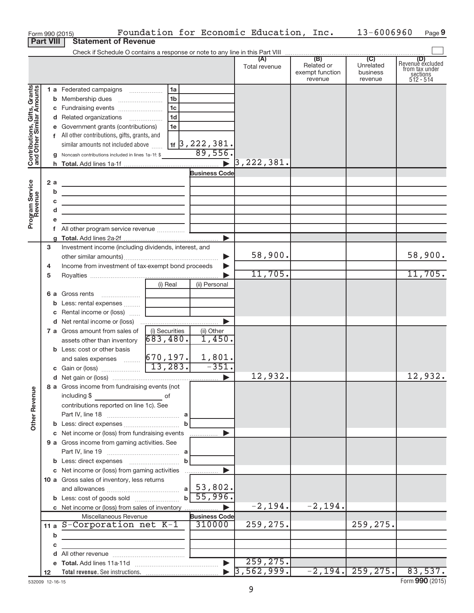|                                                           |                  |   | Form 990 (2015)                                                                                                                                                                                                                                                                                |                |                         | Foundation for Economic Education, Inc.       |                                                 | 13-6006960                              | Page 9                                                             |
|-----------------------------------------------------------|------------------|---|------------------------------------------------------------------------------------------------------------------------------------------------------------------------------------------------------------------------------------------------------------------------------------------------|----------------|-------------------------|-----------------------------------------------|-------------------------------------------------|-----------------------------------------|--------------------------------------------------------------------|
|                                                           | <b>Part VIII</b> |   | <b>Statement of Revenue</b>                                                                                                                                                                                                                                                                    |                |                         |                                               |                                                 |                                         |                                                                    |
|                                                           |                  |   |                                                                                                                                                                                                                                                                                                |                |                         |                                               |                                                 |                                         |                                                                    |
|                                                           |                  |   |                                                                                                                                                                                                                                                                                                |                |                         | (A)<br>Total revenue                          | (B)<br>Related or<br>exempt function<br>revenue | (C)<br>Unrelated<br>business<br>revenue | (D)<br>Revenue excluded<br>from tax under<br>sections<br>512 - 514 |
|                                                           |                  |   | 1 a Federated campaigns                                                                                                                                                                                                                                                                        | 1a             |                         |                                               |                                                 |                                         |                                                                    |
| Contributions, Gifts, Grants<br>and Other Similar Amounts |                  |   |                                                                                                                                                                                                                                                                                                | 1 <sub>b</sub> |                         |                                               |                                                 |                                         |                                                                    |
|                                                           |                  |   |                                                                                                                                                                                                                                                                                                | 1c             |                         |                                               |                                                 |                                         |                                                                    |
|                                                           |                  |   | d Related organizations                                                                                                                                                                                                                                                                        | 1 <sub>d</sub> |                         |                                               |                                                 |                                         |                                                                    |
|                                                           |                  |   | e Government grants (contributions)                                                                                                                                                                                                                                                            | 1e             |                         |                                               |                                                 |                                         |                                                                    |
|                                                           |                  |   | f All other contributions, gifts, grants, and                                                                                                                                                                                                                                                  |                |                         |                                               |                                                 |                                         |                                                                    |
|                                                           |                  |   | similar amounts not included above $\frac{11}{15}$ , 222, 381.<br><b>g</b> Noncash contributions included in lines 1a-1f: \$ 89, 556.                                                                                                                                                          |                |                         |                                               |                                                 |                                         |                                                                    |
|                                                           |                  |   |                                                                                                                                                                                                                                                                                                |                |                         |                                               |                                                 |                                         |                                                                    |
|                                                           |                  |   |                                                                                                                                                                                                                                                                                                |                |                         | $\triangleright$ 3,222,381.                   |                                                 |                                         |                                                                    |
|                                                           |                  |   |                                                                                                                                                                                                                                                                                                |                | <b>Business Code</b>    |                                               |                                                 |                                         |                                                                    |
| Program Service<br>Revenue                                | 2a               |   | the control of the control of the control of the control of the control of                                                                                                                                                                                                                     |                |                         |                                               |                                                 |                                         |                                                                    |
|                                                           |                  | b | <u> 1980 - Johann Barn, mars ann an t-Amhain ann an t-Amhain an t-Amhain an t-Amhain an t-Amhain an t-Amhain an t-</u>                                                                                                                                                                         |                |                         |                                               |                                                 |                                         |                                                                    |
|                                                           |                  | С | <u> 1989 - Johann John Stein, mars an deus Amerikaansk kommunister (</u>                                                                                                                                                                                                                       |                |                         |                                               |                                                 |                                         |                                                                    |
|                                                           |                  | d | <u> 1989 - Johann John Stein, mars an de Frankryk († 1958)</u>                                                                                                                                                                                                                                 |                |                         |                                               |                                                 |                                         |                                                                    |
|                                                           |                  |   |                                                                                                                                                                                                                                                                                                |                |                         |                                               |                                                 |                                         |                                                                    |
|                                                           |                  |   |                                                                                                                                                                                                                                                                                                |                |                         |                                               |                                                 |                                         |                                                                    |
|                                                           | 3                |   | Investment income (including dividends, interest, and                                                                                                                                                                                                                                          |                |                         |                                               |                                                 |                                         |                                                                    |
|                                                           |                  |   |                                                                                                                                                                                                                                                                                                |                | ▶                       | 58,900.                                       |                                                 |                                         | 58,900.                                                            |
|                                                           | 4                |   | Income from investment of tax-exempt bond proceeds                                                                                                                                                                                                                                             |                |                         |                                               |                                                 |                                         |                                                                    |
|                                                           | 5                |   |                                                                                                                                                                                                                                                                                                |                |                         | 11,705.                                       |                                                 |                                         | 11,705.                                                            |
|                                                           |                  |   |                                                                                                                                                                                                                                                                                                | (i) Real       | (ii) Personal           |                                               |                                                 |                                         |                                                                    |
|                                                           |                  |   | <b>6 a</b> Gross rents                                                                                                                                                                                                                                                                         |                |                         |                                               |                                                 |                                         |                                                                    |
|                                                           |                  |   | <b>b</b> Less: rental expenses                                                                                                                                                                                                                                                                 |                |                         |                                               |                                                 |                                         |                                                                    |
|                                                           |                  |   | c Rental income or (loss)                                                                                                                                                                                                                                                                      |                |                         |                                               |                                                 |                                         |                                                                    |
|                                                           |                  |   |                                                                                                                                                                                                                                                                                                |                |                         |                                               |                                                 |                                         |                                                                    |
|                                                           |                  |   | <b>7 a</b> Gross amount from sales of                                                                                                                                                                                                                                                          | (i) Securities | (ii) Other              |                                               |                                                 |                                         |                                                                    |
|                                                           |                  |   | assets other than inventory                                                                                                                                                                                                                                                                    | 683,480.       | 1,450.                  |                                               |                                                 |                                         |                                                                    |
|                                                           |                  |   | <b>b</b> Less: cost or other basis                                                                                                                                                                                                                                                             |                |                         |                                               |                                                 |                                         |                                                                    |
|                                                           |                  |   | and sales expenses  670, 197.                                                                                                                                                                                                                                                                  |                | $\frac{1,801.}{-351.}$  |                                               |                                                 |                                         |                                                                    |
|                                                           |                  |   |                                                                                                                                                                                                                                                                                                |                |                         |                                               |                                                 |                                         |                                                                    |
|                                                           |                  |   |                                                                                                                                                                                                                                                                                                |                |                         | 12,932.                                       |                                                 |                                         | 12,932.                                                            |
|                                                           |                  |   | 8 a Gross income from fundraising events (not                                                                                                                                                                                                                                                  |                |                         |                                               |                                                 |                                         |                                                                    |
| <b>Other Revenue</b>                                      |                  |   | including \$<br><u>of</u> the contract of the contract of the contract of the contract of the contract of the contract of the contract of the contract of the contract of the contract of the contract of the contract of the contract of the contr<br>contributions reported on line 1c). See |                |                         |                                               |                                                 |                                         |                                                                    |
|                                                           |                  |   |                                                                                                                                                                                                                                                                                                |                |                         |                                               |                                                 |                                         |                                                                    |
|                                                           |                  |   |                                                                                                                                                                                                                                                                                                |                |                         |                                               |                                                 |                                         |                                                                    |
|                                                           |                  |   | c Net income or (loss) from fundraising events                                                                                                                                                                                                                                                 |                |                         |                                               |                                                 |                                         |                                                                    |
|                                                           |                  |   | 9 a Gross income from gaming activities. See                                                                                                                                                                                                                                                   |                |                         |                                               |                                                 |                                         |                                                                    |
|                                                           |                  |   |                                                                                                                                                                                                                                                                                                |                |                         |                                               |                                                 |                                         |                                                                    |
|                                                           |                  |   |                                                                                                                                                                                                                                                                                                |                |                         |                                               |                                                 |                                         |                                                                    |
|                                                           |                  |   | c Net income or (loss) from gaming activities                                                                                                                                                                                                                                                  |                | $\blacktriangleright$   |                                               |                                                 |                                         |                                                                    |
|                                                           |                  |   | 10 a Gross sales of inventory, less returns                                                                                                                                                                                                                                                    |                |                         |                                               |                                                 |                                         |                                                                    |
|                                                           |                  |   |                                                                                                                                                                                                                                                                                                |                |                         |                                               |                                                 |                                         |                                                                    |
|                                                           |                  |   |                                                                                                                                                                                                                                                                                                |                | $b \overline{55,996}$ . |                                               |                                                 |                                         |                                                                    |
|                                                           |                  |   | c Net income or (loss) from sales of inventory                                                                                                                                                                                                                                                 |                | $\blacktriangleright$   | $-2, 194.$                                    | $-2,194.$                                       |                                         |                                                                    |
|                                                           |                  |   | Miscellaneous Revenue                                                                                                                                                                                                                                                                          |                | <b>Business Code</b>    |                                               |                                                 |                                         |                                                                    |
|                                                           |                  |   | 11 a S-Corporation net K-1                                                                                                                                                                                                                                                                     |                | 310000                  | 259,275.                                      |                                                 | 259,275.                                |                                                                    |
|                                                           |                  | b |                                                                                                                                                                                                                                                                                                |                |                         |                                               |                                                 |                                         |                                                                    |
|                                                           |                  | с |                                                                                                                                                                                                                                                                                                |                |                         |                                               |                                                 |                                         |                                                                    |
|                                                           |                  |   |                                                                                                                                                                                                                                                                                                |                |                         |                                               |                                                 |                                         |                                                                    |
|                                                           |                  |   |                                                                                                                                                                                                                                                                                                |                | $\blacktriangleright$   | 259, 275.<br>$\blacktriangleright$ 3,562,999. |                                                 | $-2, 194.   259, 275.  $                | 83,537.                                                            |
|                                                           | 12               |   |                                                                                                                                                                                                                                                                                                |                |                         |                                               |                                                 |                                         |                                                                    |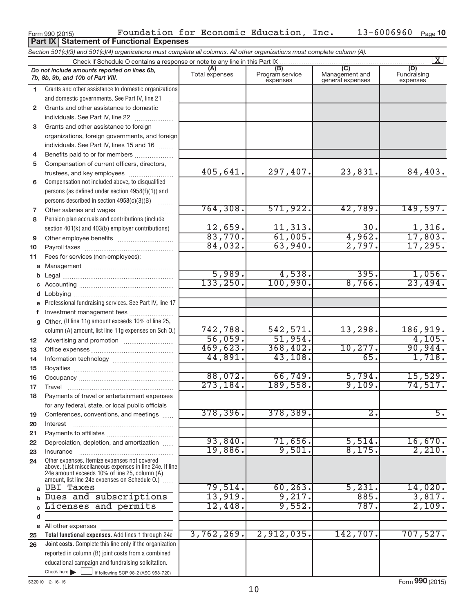|              | Do not include amounts reported on lines 6b,<br>7b, 8b, 9b, and 10b of Part VIII.               | (A)<br>Total expenses | (B)<br>Program service | (C)<br>Management and | (D)<br>Fundraising       |
|--------------|-------------------------------------------------------------------------------------------------|-----------------------|------------------------|-----------------------|--------------------------|
| 1            | Grants and other assistance to domestic organizations                                           |                       | expenses               | general expenses      | expenses                 |
|              | and domestic governments. See Part IV, line 21                                                  |                       |                        |                       |                          |
| $\mathbf{2}$ | Grants and other assistance to domestic                                                         |                       |                        |                       |                          |
|              |                                                                                                 |                       |                        |                       |                          |
|              | individuals. See Part IV, line 22                                                               |                       |                        |                       |                          |
| 3            | Grants and other assistance to foreign                                                          |                       |                        |                       |                          |
|              | organizations, foreign governments, and foreign                                                 |                       |                        |                       |                          |
|              | individuals. See Part IV, lines 15 and 16                                                       |                       |                        |                       |                          |
| 4            | Benefits paid to or for members                                                                 |                       |                        |                       |                          |
| 5            | Compensation of current officers, directors,                                                    |                       |                        |                       |                          |
|              | trustees, and key employees                                                                     | 405,641.              | 297,407.               | 23,831.               | 84,403.                  |
| 6            | Compensation not included above, to disqualified                                                |                       |                        |                       |                          |
|              | persons (as defined under section 4958(f)(1)) and                                               |                       |                        |                       |                          |
|              | persons described in section 4958(c)(3)(B)                                                      |                       |                        |                       |                          |
| 7            |                                                                                                 | 764,308.              | 571,922.               | 42,789.               | 149,597.                 |
| 8            | Pension plan accruals and contributions (include                                                |                       |                        |                       |                          |
|              | section 401(k) and 403(b) employer contributions)                                               | 12,659.               | 11,313.                | 30.                   | $\frac{1,316}{17,803}$ . |
| 9            |                                                                                                 | 83,770.               | 61,005.                | 4,962.                |                          |
| 10           |                                                                                                 | 84,032.               | 63,940.                | 2,797.                | 17,295.                  |
| 11           | Fees for services (non-employees):                                                              |                       |                        |                       |                          |
| a            |                                                                                                 |                       |                        |                       |                          |
| b            |                                                                                                 | 5,989.                | 4,538.                 | 395.                  | 1,056.                   |
| C            |                                                                                                 | 133, 250.             | 100,990.               | 8,766.                | 23,494.                  |
| d            |                                                                                                 |                       |                        |                       |                          |
| е            | Professional fundraising services. See Part IV, line 17                                         |                       |                        |                       |                          |
| f            | Investment management fees                                                                      |                       |                        |                       |                          |
| $\mathbf{q}$ | Other. (If line 11g amount exceeds 10% of line 25,                                              |                       |                        |                       |                          |
|              | column (A) amount, list line 11g expenses on Sch O.)                                            | 742,788.              | 542,571.               | 13,298.               | 186,919.                 |
| 12           |                                                                                                 | 56,059.               | 51,954.                |                       | 4,105.                   |
| 13           |                                                                                                 | 469,623.              | 368,402.               | 10, 277.              | 90,944.                  |
| 14           |                                                                                                 | 44,891.               | 43,108.                | 65.                   | 1,718.                   |
| 15           |                                                                                                 |                       |                        |                       |                          |
| 16           |                                                                                                 | 88,072.               | 66,749.                | 5,794.                | 15,529.                  |
| 17           |                                                                                                 | 273, 184.             | 189,558.               | 9,109.                | 74,517.                  |
| 18           | Payments of travel or entertainment expenses                                                    |                       |                        |                       |                          |
|              | for any federal, state, or local public officials                                               |                       |                        |                       |                          |
| 19           | Conferences, conventions, and meetings                                                          | 378,396.              | 378,389.               | $\overline{2}$        | $\overline{5}$           |
| 20           | Interest                                                                                        |                       |                        |                       |                          |
| 21           |                                                                                                 |                       |                        |                       |                          |
| 22           | Depreciation, depletion, and amortization                                                       | 93,840.               | 71,656.                | 5,514.                | 16,670.                  |
| 23           | Insurance                                                                                       | 19,886.               | 9,501.                 | 8,175.                | 2,210.                   |
| 24           | Other expenses. Itemize expenses not covered                                                    |                       |                        |                       |                          |
|              | above. (List miscellaneous expenses in line 24e. If line                                        |                       |                        |                       |                          |
|              | 24e amount exceeds 10% of line 25, column (A)<br>amount, list line 24e expenses on Schedule O.) |                       |                        |                       |                          |
| $\mathbf{a}$ | <b>UBI Taxes</b>                                                                                | 79,514.               | 60, 263.               | 5,231.                | 14,020.                  |
| $\mathbf b$  | Dues and subscriptions                                                                          | 13,919.               | 9,217.                 | 885.                  | 3,817.                   |
| C            | Licenses and permits                                                                            | 12,448.               | 9,552.                 | 787.                  | 2,109.                   |
|              |                                                                                                 |                       |                        |                       |                          |
| d            |                                                                                                 |                       |                        |                       |                          |
|              | e All other expenses                                                                            | 3,762,269.            | 2,912,035.             | 142,707.              | 707,527.                 |
| 25           | Total functional expenses. Add lines 1 through 24e                                              |                       |                        |                       |                          |
| 26           | Joint costs. Complete this line only if the organization                                        |                       |                        |                       |                          |
|              | reported in column (B) joint costs from a combined                                              |                       |                        |                       |                          |
|              | educational campaign and fundraising solicitation.                                              |                       |                        |                       |                          |
|              | Check here $\blacktriangleright$<br>if following SOP 98-2 (ASC 958-720)                         |                       |                        |                       |                          |

Form 990 (2015) Toundation for Economic Education, Inc.  $13-6006960$  Page **Part IX Statement of Functional Expenses**

*Section 501(c)(3) and 501(c)(4) organizations must complete all columns. All other organizations must complete column (A).*

Check if Schedule O contains a response or note to any line in this Part IX

**10**

 $\boxed{\text{X}}$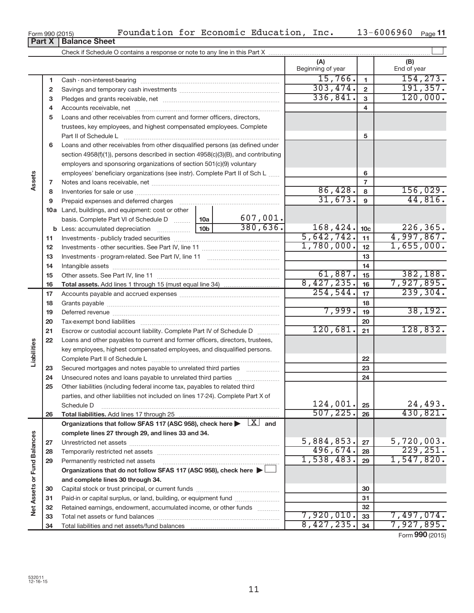**Net Assets or Fund Balances**

Net Assets or Fund Balances

**and complete lines 30 through 34.**

Total liabilities and net assets/fund balances

Capital stock or trust principal, or current funds ~~~~~~~~~~~~~~~ Paid-in or capital surplus, or land, building, or equipment fund ...................... Retained earnings, endowment, accumulated income, or other funds ............ Total net assets or fund balances ~~~~~~~~~~~~~~~~~~~~~~

| 5  | Loans and other receivables from current and former officers, directors,                  |                 |          |            |                 |            |
|----|-------------------------------------------------------------------------------------------|-----------------|----------|------------|-----------------|------------|
|    | trustees, key employees, and highest compensated employees. Complete                      |                 |          |            |                 |            |
|    | Part II of Schedule L                                                                     |                 |          |            | 5               |            |
| 6  | Loans and other receivables from other disqualified persons (as defined under             |                 |          |            |                 |            |
|    | section 4958(f)(1)), persons described in section 4958(c)(3)(B), and contributing         |                 |          |            |                 |            |
|    | employers and sponsoring organizations of section 501(c)(9) voluntary                     |                 |          |            |                 |            |
|    | employees' beneficiary organizations (see instr). Complete Part II of Sch L               |                 |          |            | 6               |            |
| 7  |                                                                                           |                 |          |            | $\overline{7}$  |            |
| 8  |                                                                                           |                 |          | 86,428.    | 8               | 156,029.   |
| 9  | Prepaid expenses and deferred charges                                                     |                 |          | 31,673.    | 9               | 44,816.    |
|    | <b>10a</b> Land, buildings, and equipment: cost or other                                  |                 |          |            |                 |            |
|    | basis. Complete Part VI of Schedule D  10a                                                |                 | 607,001. |            |                 |            |
|    |                                                                                           | 10 <sub>b</sub> | 380,636. | 168,424.   | 10 <sub>c</sub> | 226,365.   |
| 11 |                                                                                           |                 |          | 5,642,742. | 11              | 4,997,867. |
| 12 |                                                                                           |                 |          | 1,780,000. | 12              | 1,655,000. |
| 13 |                                                                                           |                 |          |            | 13              |            |
| 14 |                                                                                           |                 |          |            | 14              |            |
| 15 |                                                                                           |                 |          | 61,887.    | 15              | 382,188.   |
| 16 |                                                                                           |                 |          | 8,427,235. | 16              | 7,927,895. |
| 17 |                                                                                           |                 |          | 254,544.   | 17              | 239,304.   |
| 18 |                                                                                           |                 |          |            | 18              |            |
| 19 |                                                                                           |                 |          | 7,999.     | 19              | 38, 192.   |
| 20 |                                                                                           |                 |          |            | 20              |            |
| 21 | Escrow or custodial account liability. Complete Part IV of Schedule D                     |                 |          | 120,681.   | 21              | 128,832.   |
| 22 | Loans and other payables to current and former officers, directors, trustees,             |                 |          |            |                 |            |
|    | key employees, highest compensated employees, and disqualified persons.                   |                 |          |            |                 |            |
|    |                                                                                           |                 |          |            | 22              |            |
| 23 | Secured mortgages and notes payable to unrelated third parties                            |                 |          |            | 23              |            |
| 24 | Unsecured notes and loans payable to unrelated third parties                              |                 |          |            | 24              |            |
| 25 | Other liabilities (including federal income tax, payables to related third                |                 |          |            |                 |            |
|    | parties, and other liabilities not included on lines 17-24). Complete Part X of           |                 |          |            |                 |            |
|    | Schedule D                                                                                |                 |          | 124,001.   | 25              | 24,493.    |
| 26 |                                                                                           |                 |          | 507, 225.  | 26              | 430,821.   |
|    | Organizations that follow SFAS 117 (ASC 958), check here $\blacktriangleright \;  X $ and |                 |          |            |                 |            |
|    | complete lines 27 through 29, and lines 33 and 34.                                        |                 |          |            |                 |            |
| 27 |                                                                                           |                 |          | 5,884,853. | 27              | 5,720,003. |
| 28 |                                                                                           |                 |          | 496,674.   | 28              | 229, 251.  |
| 29 | Permanently restricted net assets                                                         |                 |          | 1,538,483. | 29              | 1,547,820. |
|    | Organizations that do not follow SFAS 117 (ASC 958), check here >                         |                 |          |            |                 |            |

Check if Schedule O contains a response or note to any line in this Part X

Cash - non-interest-bearing ~~~~~~~~~~~~~~~~~~~~~~~~~ Savings and temporary cash investments ~~~~~~~~~~~~~~~~~~ Pledges and grants receivable, net ~~~~~~~~~~~~~~~~~~~~~ Accounts receivable, net ~~~~~~~~~~~~~~~~~~~~~~~~~~

 $\Box$ 

120,000.

Form **990** (2015)

7,920,010. 7,497,074.  $8,427,235.$   $34$  | 7,927,895.

**(A) (B)**

Beginning of year  $\parallel$  | End of year

 $15,766.$  154,273. 303,474. 2 191,357.<br>336,841. 3 120,000.

**Assets**

**Liabilities**

| Form 990 (2015)               |  |  |
|-------------------------------|--|--|
| <b>Part X   Balance Sheet</b> |  |  |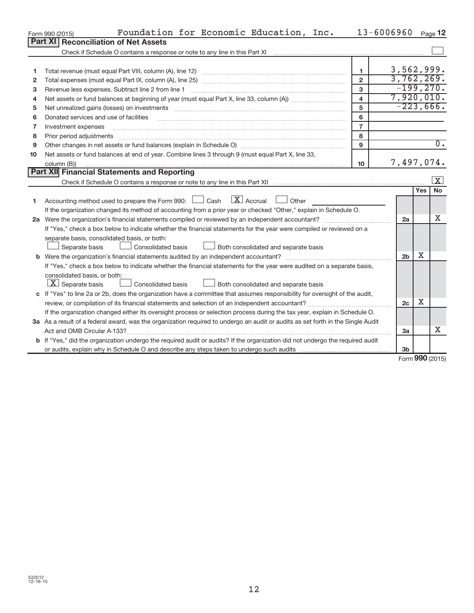|    | Foundation for Economic Education, Inc.<br>Form 990 (2015)                                                                                                                                                                                                                                                                                                                                                                                                               |                         | 13-6006960     |        | Page 12                 |
|----|--------------------------------------------------------------------------------------------------------------------------------------------------------------------------------------------------------------------------------------------------------------------------------------------------------------------------------------------------------------------------------------------------------------------------------------------------------------------------|-------------------------|----------------|--------|-------------------------|
|    | <b>Part XI</b><br><b>Reconciliation of Net Assets</b>                                                                                                                                                                                                                                                                                                                                                                                                                    |                         |                |        |                         |
|    | Check if Schedule O contains a response or note to any line in this Part XI                                                                                                                                                                                                                                                                                                                                                                                              |                         |                |        |                         |
|    |                                                                                                                                                                                                                                                                                                                                                                                                                                                                          |                         |                |        |                         |
| 1  |                                                                                                                                                                                                                                                                                                                                                                                                                                                                          | 1.                      | 3,562,999.     |        |                         |
| 2  |                                                                                                                                                                                                                                                                                                                                                                                                                                                                          | $\overline{2}$          | 3,762,269.     |        |                         |
| з  | Revenue less expenses. Subtract line 2 from line 1                                                                                                                                                                                                                                                                                                                                                                                                                       | 3                       | $-199,270$ .   |        |                         |
| 4  |                                                                                                                                                                                                                                                                                                                                                                                                                                                                          | $\overline{\mathbf{4}}$ | 7,920,010.     |        |                         |
| 5  | Net unrealized gains (losses) on investments [11] matter contracts and the state of the state of the state of the state of the state of the state of the state of the state of the state of the state of the state of the stat                                                                                                                                                                                                                                           | 5                       | $-223,666.$    |        |                         |
| 6  | Donated services and use of facilities                                                                                                                                                                                                                                                                                                                                                                                                                                   | 6                       |                |        |                         |
| 7  | Investment expenses                                                                                                                                                                                                                                                                                                                                                                                                                                                      | $\overline{7}$          |                |        |                         |
| 8  | Prior period adjustments<br>$\begin{minipage}{0.5\textwidth} \begin{tabular}{ l l l } \hline \multicolumn{1}{ l l l } \hline \multicolumn{1}{ l l } \hline \multicolumn{1}{ l } \multicolumn{1}{ l } \hline \multicolumn{1}{ l } \multicolumn{1}{ l } \multicolumn{1}{ l } \multicolumn{1}{ l } \hline \multicolumn{1}{ l } \multicolumn{1}{ l } \multicolumn{1}{ l } \multicolumn{1}{ l } \hline \multicolumn{1}{ l } \multicolumn{1}{ l } \multicolumn{1}{ l } \hline$ | 8                       |                |        |                         |
| 9  |                                                                                                                                                                                                                                                                                                                                                                                                                                                                          | 9                       |                |        | $\overline{0}$ .        |
| 10 | Net assets or fund balances at end of year. Combine lines 3 through 9 (must equal Part X, line 33,                                                                                                                                                                                                                                                                                                                                                                       |                         |                |        |                         |
|    | column (B))                                                                                                                                                                                                                                                                                                                                                                                                                                                              | 10 <sup>10</sup>        | 7,497,074.     |        |                         |
|    | Part XII Financial Statements and Reporting                                                                                                                                                                                                                                                                                                                                                                                                                              |                         |                |        |                         |
|    |                                                                                                                                                                                                                                                                                                                                                                                                                                                                          |                         |                |        | $\overline{\mathbf{X}}$ |
|    |                                                                                                                                                                                                                                                                                                                                                                                                                                                                          |                         |                | Yes    | <b>No</b>               |
| 1  | $\mathbf{X}$ Accrual<br>Accounting method used to prepare the Form 990: [130] Cash<br>$\Box$ Other                                                                                                                                                                                                                                                                                                                                                                       |                         |                |        |                         |
|    | If the organization changed its method of accounting from a prior year or checked "Other," explain in Schedule O.                                                                                                                                                                                                                                                                                                                                                        |                         |                |        |                         |
|    | 2a Were the organization's financial statements compiled or reviewed by an independent accountant?                                                                                                                                                                                                                                                                                                                                                                       |                         | 2a             |        | x                       |
|    | If "Yes," check a box below to indicate whether the financial statements for the year were compiled or reviewed on a                                                                                                                                                                                                                                                                                                                                                     |                         |                |        |                         |
|    | separate basis, consolidated basis, or both:                                                                                                                                                                                                                                                                                                                                                                                                                             |                         |                |        |                         |
|    | <b>Consolidated basis</b><br>Both consolidated and separate basis<br>Separate basis                                                                                                                                                                                                                                                                                                                                                                                      |                         |                |        |                         |
|    |                                                                                                                                                                                                                                                                                                                                                                                                                                                                          |                         | 2 <sub>b</sub> | X      |                         |
|    | If "Yes," check a box below to indicate whether the financial statements for the year were audited on a separate basis,                                                                                                                                                                                                                                                                                                                                                  |                         |                |        |                         |
|    | consolidated basis, or both:                                                                                                                                                                                                                                                                                                                                                                                                                                             |                         |                |        |                         |
|    | $ \mathbf{X} $ Separate basis<br>Consolidated basis<br>Both consolidated and separate basis                                                                                                                                                                                                                                                                                                                                                                              |                         |                |        |                         |
|    | c If "Yes" to line 2a or 2b, does the organization have a committee that assumes responsibility for oversight of the audit,                                                                                                                                                                                                                                                                                                                                              |                         |                |        |                         |
|    |                                                                                                                                                                                                                                                                                                                                                                                                                                                                          |                         | 2c             | X      |                         |
|    | If the organization changed either its oversight process or selection process during the tax year, explain in Schedule O.                                                                                                                                                                                                                                                                                                                                                |                         |                |        |                         |
|    | 3a As a result of a federal award, was the organization required to undergo an audit or audits as set forth in the Single Audit                                                                                                                                                                                                                                                                                                                                          |                         |                |        |                         |
|    |                                                                                                                                                                                                                                                                                                                                                                                                                                                                          |                         | 3a             |        | x                       |
|    | b If "Yes," did the organization undergo the required audit or audits? If the organization did not undergo the required audit                                                                                                                                                                                                                                                                                                                                            |                         |                |        |                         |
|    |                                                                                                                                                                                                                                                                                                                                                                                                                                                                          |                         | 3 <sub>b</sub> | $\sim$ |                         |

Form **990** (2015)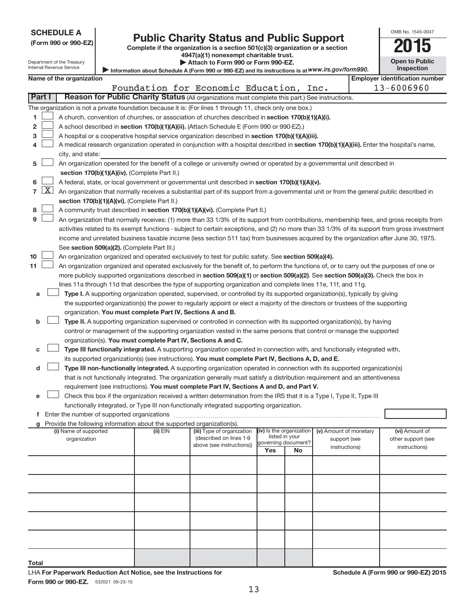| <b>SCHEDULE A</b> |
|-------------------|
|-------------------|

Department of the Treasury

| (Form 990 or 990-EZ |  |  |  |  |
|---------------------|--|--|--|--|
|---------------------|--|--|--|--|

# Form 990 or 990-EZ) **Public Charity Status and Public Support**<br>
Complete if the organization is a section 501(c)(3) organization or a section<br> **2015**

**4947(a)(1) nonexempt charitable trust. | Attach to Form 990 or Form 990-EZ.** 

| <b>Open to Public</b><br>Inspection |  |
|-------------------------------------|--|

OMB No. 1545-0047

| Internal Revenue Service | Information about Schedule A (Form 990 or 990-EZ) and its instructions is at WWW.irs.gov/form990. |     |
|--------------------------|---------------------------------------------------------------------------------------------------|-----|
| Name of the organization |                                                                                                   | Emn |

|    |                 | Name of the organization                                                                                                           |            |                                         |                                       |    |                        | <b>Employer identification number</b>                                                                                                         |
|----|-----------------|------------------------------------------------------------------------------------------------------------------------------------|------------|-----------------------------------------|---------------------------------------|----|------------------------|-----------------------------------------------------------------------------------------------------------------------------------------------|
|    |                 |                                                                                                                                    |            | Foundation for Economic Education, Inc. |                                       |    |                        | 13-6006960                                                                                                                                    |
|    | Part I          | Reason for Public Charity Status (All organizations must complete this part.) See instructions.                                    |            |                                         |                                       |    |                        |                                                                                                                                               |
|    |                 | The organization is not a private foundation because it is: (For lines 1 through 11, check only one box.)                          |            |                                         |                                       |    |                        |                                                                                                                                               |
| 1. |                 | A church, convention of churches, or association of churches described in section 170(b)(1)(A)(i).                                 |            |                                         |                                       |    |                        |                                                                                                                                               |
| 2  |                 | A school described in section 170(b)(1)(A)(ii). (Attach Schedule E (Form 990 or 990-EZ).)                                          |            |                                         |                                       |    |                        |                                                                                                                                               |
|    |                 |                                                                                                                                    |            |                                         |                                       |    |                        |                                                                                                                                               |
| З  |                 | A hospital or a cooperative hospital service organization described in section 170(b)(1)(A)(iii).                                  |            |                                         |                                       |    |                        |                                                                                                                                               |
| 4  |                 |                                                                                                                                    |            |                                         |                                       |    |                        | A medical research organization operated in conjunction with a hospital described in section 170(b)(1)(A)(iii). Enter the hospital's name,    |
|    |                 | city, and state:                                                                                                                   |            |                                         |                                       |    |                        |                                                                                                                                               |
| 5  |                 | An organization operated for the benefit of a college or university owned or operated by a governmental unit described in          |            |                                         |                                       |    |                        |                                                                                                                                               |
|    |                 | section 170(b)(1)(A)(iv). (Complete Part II.)                                                                                      |            |                                         |                                       |    |                        |                                                                                                                                               |
| 6. |                 | A federal, state, or local government or governmental unit described in section 170(b)(1)(A)(v).                                   |            |                                         |                                       |    |                        |                                                                                                                                               |
|    | $7 \mid X \mid$ |                                                                                                                                    |            |                                         |                                       |    |                        | An organization that normally receives a substantial part of its support from a governmental unit or from the general public described in     |
|    |                 | section 170(b)(1)(A)(vi). (Complete Part II.)                                                                                      |            |                                         |                                       |    |                        |                                                                                                                                               |
| 8  |                 | A community trust described in section 170(b)(1)(A)(vi). (Complete Part II.)                                                       |            |                                         |                                       |    |                        |                                                                                                                                               |
| 9  |                 |                                                                                                                                    |            |                                         |                                       |    |                        | An organization that normally receives: (1) more than 33 1/3% of its support from contributions, membership fees, and gross receipts from     |
|    |                 |                                                                                                                                    |            |                                         |                                       |    |                        | activities related to its exempt functions - subject to certain exceptions, and (2) no more than 33 1/3% of its support from gross investment |
|    |                 |                                                                                                                                    |            |                                         |                                       |    |                        | income and unrelated business taxable income (less section 511 tax) from businesses acquired by the organization after June 30, 1975.         |
|    |                 | See section 509(a)(2). (Complete Part III.)                                                                                        |            |                                         |                                       |    |                        |                                                                                                                                               |
| 10 |                 | An organization organized and operated exclusively to test for public safety. See section 509(a)(4).                               |            |                                         |                                       |    |                        |                                                                                                                                               |
| 11 |                 |                                                                                                                                    |            |                                         |                                       |    |                        | An organization organized and operated exclusively for the benefit of, to perform the functions of, or to carry out the purposes of one or    |
|    |                 | more publicly supported organizations described in section 509(a)(1) or section 509(a)(2). See section 509(a)(3). Check the box in |            |                                         |                                       |    |                        |                                                                                                                                               |
|    |                 | lines 11a through 11d that describes the type of supporting organization and complete lines 11e, 11f, and 11g.                     |            |                                         |                                       |    |                        |                                                                                                                                               |
| а  |                 | Type I. A supporting organization operated, supervised, or controlled by its supported organization(s), typically by giving        |            |                                         |                                       |    |                        |                                                                                                                                               |
|    |                 | the supported organization(s) the power to regularly appoint or elect a majority of the directors or trustees of the supporting    |            |                                         |                                       |    |                        |                                                                                                                                               |
|    |                 | organization. You must complete Part IV, Sections A and B.                                                                         |            |                                         |                                       |    |                        |                                                                                                                                               |
| b  |                 | Type II. A supporting organization supervised or controlled in connection with its supported organization(s), by having            |            |                                         |                                       |    |                        |                                                                                                                                               |
|    |                 | control or management of the supporting organization vested in the same persons that control or manage the supported               |            |                                         |                                       |    |                        |                                                                                                                                               |
|    |                 | organization(s). You must complete Part IV, Sections A and C.                                                                      |            |                                         |                                       |    |                        |                                                                                                                                               |
| с  |                 | Type III functionally integrated. A supporting organization operated in connection with, and functionally integrated with,         |            |                                         |                                       |    |                        |                                                                                                                                               |
|    |                 | its supported organization(s) (see instructions). You must complete Part IV, Sections A, D, and E.                                 |            |                                         |                                       |    |                        |                                                                                                                                               |
| d  |                 | Type III non-functionally integrated. A supporting organization operated in connection with its supported organization(s)          |            |                                         |                                       |    |                        |                                                                                                                                               |
|    |                 | that is not functionally integrated. The organization generally must satisfy a distribution requirement and an attentiveness       |            |                                         |                                       |    |                        |                                                                                                                                               |
|    |                 | requirement (see instructions). You must complete Part IV, Sections A and D, and Part V.                                           |            |                                         |                                       |    |                        |                                                                                                                                               |
| е  |                 | Check this box if the organization received a written determination from the IRS that it is a Type I, Type II, Type III            |            |                                         |                                       |    |                        |                                                                                                                                               |
|    |                 | functionally integrated, or Type III non-functionally integrated supporting organization.                                          |            |                                         |                                       |    |                        |                                                                                                                                               |
|    |                 |                                                                                                                                    |            |                                         |                                       |    |                        |                                                                                                                                               |
|    |                 | g Provide the following information about the supported organization(s).                                                           |            |                                         |                                       |    |                        |                                                                                                                                               |
|    |                 | (i) Name of supported                                                                                                              | $(ii)$ EIN | (iii) Type of organization              | (iv) Is the organization              |    | (v) Amount of monetary | (vi) Amount of                                                                                                                                |
|    |                 | organization                                                                                                                       |            | (described on lines 1-9                 | listed in your<br>governing document? |    | support (see           | other support (see                                                                                                                            |
|    |                 |                                                                                                                                    |            | above (see instructions))               | Yes                                   | No | instructions)          | instructions)                                                                                                                                 |
|    |                 |                                                                                                                                    |            |                                         |                                       |    |                        |                                                                                                                                               |
|    |                 |                                                                                                                                    |            |                                         |                                       |    |                        |                                                                                                                                               |
|    |                 |                                                                                                                                    |            |                                         |                                       |    |                        |                                                                                                                                               |
|    |                 |                                                                                                                                    |            |                                         |                                       |    |                        |                                                                                                                                               |
|    |                 |                                                                                                                                    |            |                                         |                                       |    |                        |                                                                                                                                               |
|    |                 |                                                                                                                                    |            |                                         |                                       |    |                        |                                                                                                                                               |

**Total**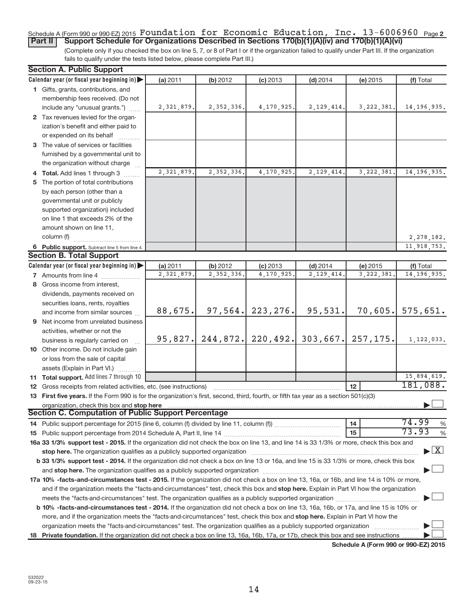# Schedule A (Form 990 or 990-EZ) 2015  $\verb|Foundation for Economic Education, Inc. 13-6006960$  <sub>Page 2</sub> **Part II** | Support Schedule for Organizations Described in Sections 170(b)(1)(A)(iv) and 170(b)(1)(A)(vi)

(Complete only if you checked the box on line 5, 7, or 8 of Part I or if the organization failed to qualify under Part III. If the organization fails to qualify under the tests listed below, please complete Part III.)

| <b>Section A. Public Support</b>                                                                                                                                                                                               |            |              |            |              |              |                                    |
|--------------------------------------------------------------------------------------------------------------------------------------------------------------------------------------------------------------------------------|------------|--------------|------------|--------------|--------------|------------------------------------|
| Calendar year (or fiscal year beginning in)                                                                                                                                                                                    | (a) 2011   | (b) 2012     | $(c)$ 2013 | $(d)$ 2014   | (e) 2015     | (f) Total                          |
| 1 Gifts, grants, contributions, and                                                                                                                                                                                            |            |              |            |              |              |                                    |
| membership fees received. (Do not                                                                                                                                                                                              |            |              |            |              |              |                                    |
| include any "unusual grants.")                                                                                                                                                                                                 | 2,321,879. | 2, 352, 336. | 4,170,925. | 2, 129, 414. | 3, 222, 381. | 14, 196, 935.                      |
| 2 Tax revenues levied for the organ-                                                                                                                                                                                           |            |              |            |              |              |                                    |
| ization's benefit and either paid to                                                                                                                                                                                           |            |              |            |              |              |                                    |
| or expended on its behalf                                                                                                                                                                                                      |            |              |            |              |              |                                    |
| 3 The value of services or facilities                                                                                                                                                                                          |            |              |            |              |              |                                    |
| furnished by a governmental unit to                                                                                                                                                                                            |            |              |            |              |              |                                    |
| the organization without charge                                                                                                                                                                                                |            |              |            |              |              |                                    |
| 4 Total. Add lines 1 through 3                                                                                                                                                                                                 | 2,321,879. | 2,352,336.   | 4,170,925. | 2,129,414    | 3, 222, 381  | 14, 196, 935.                      |
| 5 The portion of total contributions                                                                                                                                                                                           |            |              |            |              |              |                                    |
| by each person (other than a                                                                                                                                                                                                   |            |              |            |              |              |                                    |
| governmental unit or publicly                                                                                                                                                                                                  |            |              |            |              |              |                                    |
| supported organization) included                                                                                                                                                                                               |            |              |            |              |              |                                    |
| on line 1 that exceeds 2% of the                                                                                                                                                                                               |            |              |            |              |              |                                    |
| amount shown on line 11,                                                                                                                                                                                                       |            |              |            |              |              |                                    |
| column (f)                                                                                                                                                                                                                     |            |              |            |              |              | 2,278,182.                         |
| 6 Public support. Subtract line 5 from line 4.                                                                                                                                                                                 |            |              |            |              |              | 11,918,753.                        |
| <b>Section B. Total Support</b>                                                                                                                                                                                                |            |              |            |              |              |                                    |
| Calendar year (or fiscal year beginning in)                                                                                                                                                                                    | (a) 2011   | (b) 2012     | $(c)$ 2013 | $(d)$ 2014   | (e) 2015     | (f) Total                          |
| <b>7</b> Amounts from line 4                                                                                                                                                                                                   | 2,321,879. | 2, 352, 336. | 4,170,925  | 2, 129, 414  | 3, 222, 381  | 14, 196, 935.                      |
| 8 Gross income from interest,                                                                                                                                                                                                  |            |              |            |              |              |                                    |
| dividends, payments received on                                                                                                                                                                                                |            |              |            |              |              |                                    |
| securities loans, rents, royalties                                                                                                                                                                                             |            |              |            |              |              |                                    |
| and income from similar sources                                                                                                                                                                                                | 88,675.    | 97,564.      | 223, 276.  | 95,531.      | 70,605.      | 575,651.                           |
| 9 Net income from unrelated business                                                                                                                                                                                           |            |              |            |              |              |                                    |
| activities, whether or not the                                                                                                                                                                                                 |            |              |            |              |              |                                    |
| business is regularly carried on                                                                                                                                                                                               | 95,827.    | 244,872.     | 220, 492.  | 303,667.     | 257, 175.    | 1,122,033.                         |
| 10 Other income. Do not include gain                                                                                                                                                                                           |            |              |            |              |              |                                    |
| or loss from the sale of capital                                                                                                                                                                                               |            |              |            |              |              |                                    |
| assets (Explain in Part VI.)                                                                                                                                                                                                   |            |              |            |              |              |                                    |
| 11 Total support. Add lines 7 through 10                                                                                                                                                                                       |            |              |            |              |              | 15,894,619.                        |
| 12 Gross receipts from related activities, etc. (see instructions)                                                                                                                                                             |            |              |            |              | 12           | 181,088.                           |
| 13 First five years. If the Form 990 is for the organization's first, second, third, fourth, or fifth tax year as a section 501(c)(3)                                                                                          |            |              |            |              |              |                                    |
| organization, check this box and stop here                                                                                                                                                                                     |            |              |            |              |              |                                    |
| Section C. Computation of Public Support Percentage                                                                                                                                                                            |            |              |            |              |              |                                    |
|                                                                                                                                                                                                                                |            |              |            |              | 14           | 74.99<br>%                         |
|                                                                                                                                                                                                                                |            |              |            |              | 15           | 73.93<br>$\%$                      |
| 16a 33 1/3% support test - 2015. If the organization did not check the box on line 13, and line 14 is 33 1/3% or more, check this box and                                                                                      |            |              |            |              |              |                                    |
| stop here. The organization qualifies as a publicly supported organization manufactured content and the content of the state of the state of the state of the state of the state of the state of the state of the state of the |            |              |            |              |              | $\blacktriangleright$ $\mathbf{X}$ |
| b 33 1/3% support test - 2014. If the organization did not check a box on line 13 or 16a, and line 15 is 33 1/3% or more, check this box                                                                                       |            |              |            |              |              |                                    |
| and stop here. The organization qualifies as a publicly supported organization manufaction and stop here. The organization                                                                                                     |            |              |            |              |              |                                    |
| 17a 10% -facts-and-circumstances test - 2015. If the organization did not check a box on line 13, 16a, or 16b, and line 14 is 10% or more,                                                                                     |            |              |            |              |              |                                    |
| and if the organization meets the "facts-and-circumstances" test, check this box and stop here. Explain in Part VI how the organization                                                                                        |            |              |            |              |              |                                    |
|                                                                                                                                                                                                                                |            |              |            |              |              |                                    |
| b 10% -facts-and-circumstances test - 2014. If the organization did not check a box on line 13, 16a, 16b, or 17a, and line 15 is 10% or                                                                                        |            |              |            |              |              |                                    |
|                                                                                                                                                                                                                                |            |              |            |              |              |                                    |
| more, and if the organization meets the "facts-and-circumstances" test, check this box and stop here. Explain in Part VI how the                                                                                               |            |              |            |              |              |                                    |
| organization meets the "facts-and-circumstances" test. The organization qualifies as a publicly supported organization                                                                                                         |            |              |            |              |              |                                    |
| 18 Private foundation. If the organization did not check a box on line 13, 16a, 16b, 17a, or 17b, check this box and see instructions                                                                                          |            |              |            |              |              |                                    |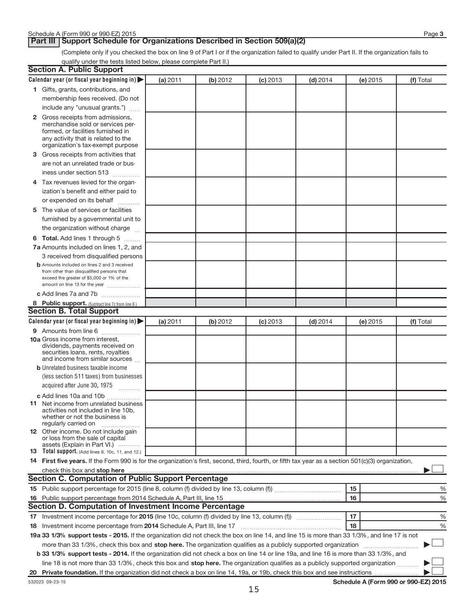# **Part III | Support Schedule for Organizations Described in Section 509(a)(2)**

(Complete only if you checked the box on line 9 of Part I or if the organization failed to qualify under Part II. If the organization fails to qualify under the tests listed below, please complete Part II.)

| <b>Section A. Public Support</b>                                                                                                                                                                                               |          |          |            |            |          |           |
|--------------------------------------------------------------------------------------------------------------------------------------------------------------------------------------------------------------------------------|----------|----------|------------|------------|----------|-----------|
| Calendar year (or fiscal year beginning in)                                                                                                                                                                                    | (a) 2011 | (b) 2012 | $(c)$ 2013 | $(d)$ 2014 | (e) 2015 | (f) Total |
| 1 Gifts, grants, contributions, and                                                                                                                                                                                            |          |          |            |            |          |           |
| membership fees received. (Do not                                                                                                                                                                                              |          |          |            |            |          |           |
| include any "unusual grants.")                                                                                                                                                                                                 |          |          |            |            |          |           |
| 2 Gross receipts from admissions,                                                                                                                                                                                              |          |          |            |            |          |           |
| merchandise sold or services per-                                                                                                                                                                                              |          |          |            |            |          |           |
| formed, or facilities furnished in                                                                                                                                                                                             |          |          |            |            |          |           |
| any activity that is related to the<br>organization's tax-exempt purpose                                                                                                                                                       |          |          |            |            |          |           |
| 3 Gross receipts from activities that                                                                                                                                                                                          |          |          |            |            |          |           |
| are not an unrelated trade or bus-                                                                                                                                                                                             |          |          |            |            |          |           |
| iness under section 513                                                                                                                                                                                                        |          |          |            |            |          |           |
| 4 Tax revenues levied for the organ-                                                                                                                                                                                           |          |          |            |            |          |           |
| ization's benefit and either paid to                                                                                                                                                                                           |          |          |            |            |          |           |
| or expended on its behalf                                                                                                                                                                                                      |          |          |            |            |          |           |
| 5 The value of services or facilities                                                                                                                                                                                          |          |          |            |            |          |           |
| furnished by a governmental unit to                                                                                                                                                                                            |          |          |            |            |          |           |
| the organization without charge                                                                                                                                                                                                |          |          |            |            |          |           |
| 6 Total. Add lines 1 through 5                                                                                                                                                                                                 |          |          |            |            |          |           |
| 7a Amounts included on lines 1, 2, and                                                                                                                                                                                         |          |          |            |            |          |           |
| 3 received from disqualified persons                                                                                                                                                                                           |          |          |            |            |          |           |
| <b>b</b> Amounts included on lines 2 and 3 received                                                                                                                                                                            |          |          |            |            |          |           |
| from other than disqualified persons that                                                                                                                                                                                      |          |          |            |            |          |           |
| exceed the greater of \$5,000 or 1% of the<br>amount on line 13 for the year                                                                                                                                                   |          |          |            |            |          |           |
| c Add lines 7a and 7b                                                                                                                                                                                                          |          |          |            |            |          |           |
| 8 Public support. (Subtract line 7c from line 6.)                                                                                                                                                                              |          |          |            |            |          |           |
| <b>Section B. Total Support</b>                                                                                                                                                                                                |          |          |            |            |          |           |
| Calendar year (or fiscal year beginning in)                                                                                                                                                                                    | (a) 2011 | (b) 2012 | $(c)$ 2013 | $(d)$ 2014 | (e) 2015 | (f) Total |
| 9 Amounts from line 6                                                                                                                                                                                                          |          |          |            |            |          |           |
| <b>10a</b> Gross income from interest,                                                                                                                                                                                         |          |          |            |            |          |           |
| dividends, payments received on                                                                                                                                                                                                |          |          |            |            |          |           |
| securities loans, rents, royalties<br>and income from similar sources                                                                                                                                                          |          |          |            |            |          |           |
| <b>b</b> Unrelated business taxable income                                                                                                                                                                                     |          |          |            |            |          |           |
| (less section 511 taxes) from businesses                                                                                                                                                                                       |          |          |            |            |          |           |
| acquired after June 30, 1975                                                                                                                                                                                                   |          |          |            |            |          |           |
| c Add lines 10a and 10b                                                                                                                                                                                                        |          |          |            |            |          |           |
| <b>11</b> Net income from unrelated business                                                                                                                                                                                   |          |          |            |            |          |           |
| activities not included in line 10b.                                                                                                                                                                                           |          |          |            |            |          |           |
| whether or not the business is<br>regularly carried on                                                                                                                                                                         |          |          |            |            |          |           |
| 12 Other income. Do not include gain                                                                                                                                                                                           |          |          |            |            |          |           |
| or loss from the sale of capital<br>assets (Explain in Part VI.)                                                                                                                                                               |          |          |            |            |          |           |
| <b>13</b> Total support. (Add lines 9, 10c, 11, and 12.)                                                                                                                                                                       |          |          |            |            |          |           |
| 14 First five years. If the Form 990 is for the organization's first, second, third, fourth, or fifth tax year as a section 501(c)(3) organization,                                                                            |          |          |            |            |          |           |
| check this box and stop here measurements and stop here and stop here are constructed and stop here and stop here and stop here and stop here and stop here and stop here and stop here and stop here and stop here and stop h |          |          |            |            |          |           |
| <b>Section C. Computation of Public Support Percentage</b>                                                                                                                                                                     |          |          |            |            |          |           |
|                                                                                                                                                                                                                                |          |          |            |            | 15       | %         |
|                                                                                                                                                                                                                                |          |          |            |            | 16       | %         |
| <b>Section D. Computation of Investment Income Percentage</b>                                                                                                                                                                  |          |          |            |            |          |           |
|                                                                                                                                                                                                                                |          |          |            |            | 17       | %         |
|                                                                                                                                                                                                                                |          |          |            |            | 18       | %         |
| 19a 33 1/3% support tests - 2015. If the organization did not check the box on line 14, and line 15 is more than 33 1/3%, and line 17 is not                                                                                   |          |          |            |            |          |           |
| more than 33 1/3%, check this box and stop here. The organization qualifies as a publicly supported organization                                                                                                               |          |          |            |            |          |           |
| b 33 1/3% support tests - 2014. If the organization did not check a box on line 14 or line 19a, and line 16 is more than 33 1/3%, and                                                                                          |          |          |            |            |          |           |
| line 18 is not more than 33 1/3%, check this box and stop here. The organization qualifies as a publicly supported organization                                                                                                |          |          |            |            |          |           |
|                                                                                                                                                                                                                                |          |          |            |            |          |           |
|                                                                                                                                                                                                                                |          |          |            |            |          |           |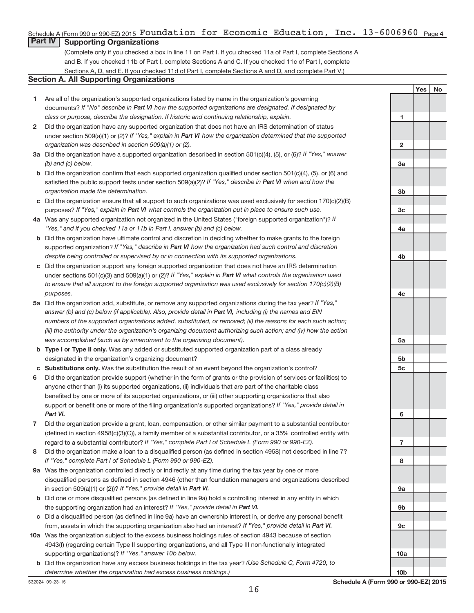# Schedule A (Form 990 or 990-EZ) 2015  $\verb|Foundation for Economic Education, Inc. 13-6006960$  <sub>Page 4</sub>

# **Part IV Supporting Organizations**

(Complete only if you checked a box in line 11 on Part I. If you checked 11a of Part I, complete Sections A and B. If you checked 11b of Part I, complete Sections A and C. If you checked 11c of Part I, complete Sections A, D, and E. If you checked 11d of Part I, complete Sections A and D, and complete Part V.)

# **Section A. All Supporting Organizations**

- **1** Are all of the organization's supported organizations listed by name in the organization's governing documents? If "No" describe in Part VI how the supported organizations are designated. If designated by *class or purpose, describe the designation. If historic and continuing relationship, explain.*
- **2** Did the organization have any supported organization that does not have an IRS determination of status under section 509(a)(1) or (2)? If "Yes," explain in Part VI how the organization determined that the supported *organization was described in section 509(a)(1) or (2).*
- **3a** Did the organization have a supported organization described in section 501(c)(4), (5), or (6)? If "Yes," answer *(b) and (c) below.*
- **b** Did the organization confirm that each supported organization qualified under section 501(c)(4), (5), or (6) and satisfied the public support tests under section 509(a)(2)? If "Yes," describe in Part VI when and how the *organization made the determination.*
- **c** Did the organization ensure that all support to such organizations was used exclusively for section 170(c)(2)(B) purposes? If "Yes," explain in Part VI what controls the organization put in place to ensure such use.
- **4 a** *If* Was any supported organization not organized in the United States ("foreign supported organization")? *"Yes," and if you checked 11a or 11b in Part I, answer (b) and (c) below.*
- **b** Did the organization have ultimate control and discretion in deciding whether to make grants to the foreign supported organization? If "Yes," describe in Part VI how the organization had such control and discretion *despite being controlled or supervised by or in connection with its supported organizations.*
- **c** Did the organization support any foreign supported organization that does not have an IRS determination under sections 501(c)(3) and 509(a)(1) or (2)? If "Yes," explain in Part VI what controls the organization used *to ensure that all support to the foreign supported organization was used exclusively for section 170(c)(2)(B) purposes.*
- **5a** Did the organization add, substitute, or remove any supported organizations during the tax year? If "Yes," answer (b) and (c) below (if applicable). Also, provide detail in Part VI, including (i) the names and EIN *numbers of the supported organizations added, substituted, or removed; (ii) the reasons for each such action; (iii) the authority under the organization's organizing document authorizing such action; and (iv) how the action was accomplished (such as by amendment to the organizing document).*
- **b** Type I or Type II only. Was any added or substituted supported organization part of a class already designated in the organization's organizing document?
- **c Substitutions only.**  Was the substitution the result of an event beyond the organization's control?
- **6** Did the organization provide support (whether in the form of grants or the provision of services or facilities) to support or benefit one or more of the filing organization's supported organizations? If "Yes," provide detail in anyone other than (i) its supported organizations, (ii) individuals that are part of the charitable class benefited by one or more of its supported organizations, or (iii) other supporting organizations that also *Part VI.*
- **7** Did the organization provide a grant, loan, compensation, or other similar payment to a substantial contributor regard to a substantial contributor? If "Yes," complete Part I of Schedule L (Form 990 or 990-EZ). (defined in section 4958(c)(3)(C)), a family member of a substantial contributor, or a 35% controlled entity with
- **8** Did the organization make a loan to a disqualified person (as defined in section 4958) not described in line 7? *If "Yes," complete Part I of Schedule L (Form 990 or 990-EZ).*
- **9 a** Was the organization controlled directly or indirectly at any time during the tax year by one or more in section 509(a)(1) or (2))? If "Yes," provide detail in Part VI. disqualified persons as defined in section 4946 (other than foundation managers and organizations described
- **b** Did one or more disqualified persons (as defined in line 9a) hold a controlling interest in any entity in which the supporting organization had an interest? If "Yes," provide detail in Part VI.
- **c** Did a disqualified person (as defined in line 9a) have an ownership interest in, or derive any personal benefit from, assets in which the supporting organization also had an interest? If "Yes," provide detail in Part VI.
- **10 a** Was the organization subject to the excess business holdings rules of section 4943 because of section supporting organizations)? If "Yes," answer 10b below. 4943(f) (regarding certain Type II supporting organizations, and all Type III non-functionally integrated
- **b** Did the organization have any excess business holdings in the tax year? (Use Schedule C, Form 4720, to *determine whether the organization had excess business holdings.)*

**1 2 3a 3b 3c 4a 4b 4c 5a 5b 5c 6 7 8 9a 9b 9c 10a**

**Yes No**

**10b**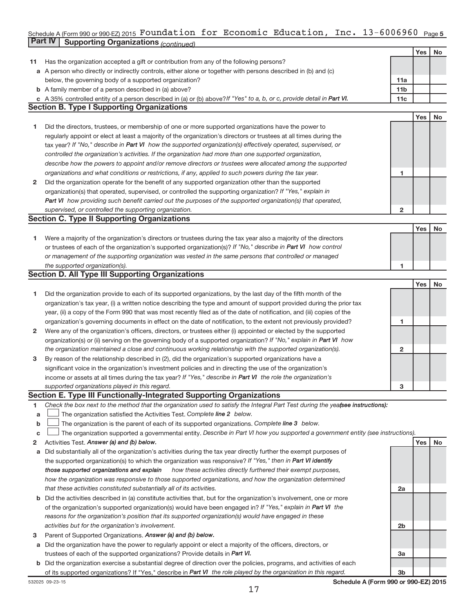#### **5** Schedule A (Form 990 or 990-EZ) 2015 FOUNdation for Economic Equcation, Inc. 13-6006960  $_{\rm Page}$ **Part IV Supporting Organizations** *(continued)* Foundation for Economic Education, Inc. 13-6006960

|    |                                                                                                                                 |                 | Yes | <b>No</b> |
|----|---------------------------------------------------------------------------------------------------------------------------------|-----------------|-----|-----------|
| 11 | Has the organization accepted a gift or contribution from any of the following persons?                                         |                 |     |           |
|    | a A person who directly or indirectly controls, either alone or together with persons described in (b) and (c)                  |                 |     |           |
|    | below, the governing body of a supported organization?                                                                          | 11a             |     |           |
|    | <b>b</b> A family member of a person described in (a) above?                                                                    | 11 <sub>b</sub> |     |           |
|    | c A 35% controlled entity of a person described in (a) or (b) above? If "Yes" to a, b, or c, provide detail in Part VI.         | 11c             |     |           |
|    | <b>Section B. Type I Supporting Organizations</b>                                                                               |                 |     |           |
|    |                                                                                                                                 |                 | Yes | No        |
| 1  | Did the directors, trustees, or membership of one or more supported organizations have the power to                             |                 |     |           |
|    | regularly appoint or elect at least a majority of the organization's directors or trustees at all times during the              |                 |     |           |
|    | tax year? If "No," describe in Part VI how the supported organization(s) effectively operated, supervised, or                   |                 |     |           |
|    | controlled the organization's activities. If the organization had more than one supported organization,                         |                 |     |           |
|    | describe how the powers to appoint and/or remove directors or trustees were allocated among the supported                       |                 |     |           |
|    | organizations and what conditions or restrictions, if any, applied to such powers during the tax year.                          | 1               |     |           |
| 2  | Did the organization operate for the benefit of any supported organization other than the supported                             |                 |     |           |
|    | organization(s) that operated, supervised, or controlled the supporting organization? If "Yes," explain in                      |                 |     |           |
|    | Part VI how providing such benefit carried out the purposes of the supported organization(s) that operated,                     |                 |     |           |
|    | supervised, or controlled the supporting organization.                                                                          | $\mathbf{2}$    |     |           |
|    | <b>Section C. Type II Supporting Organizations</b>                                                                              |                 |     |           |
|    |                                                                                                                                 |                 | Yes | No        |
| 1  | Were a majority of the organization's directors or trustees during the tax year also a majority of the directors                |                 |     |           |
|    | or trustees of each of the organization's supported organization(s)? If "No," describe in Part VI how control                   |                 |     |           |
|    | or management of the supporting organization was vested in the same persons that controlled or managed                          |                 |     |           |
|    | the supported organization(s).                                                                                                  | 1               |     |           |
|    | <b>Section D. All Type III Supporting Organizations</b>                                                                         |                 |     |           |
|    |                                                                                                                                 |                 | Yes | No        |
| 1  | Did the organization provide to each of its supported organizations, by the last day of the fifth month of the                  |                 |     |           |
|    | organization's tax year, (i) a written notice describing the type and amount of support provided during the prior tax           |                 |     |           |
|    | year, (ii) a copy of the Form 990 that was most recently filed as of the date of notification, and (iii) copies of the          |                 |     |           |
|    | organization's governing documents in effect on the date of notification, to the extent not previously provided?                | 1               |     |           |
| 2  | Were any of the organization's officers, directors, or trustees either (i) appointed or elected by the supported                |                 |     |           |
|    | organization(s) or (ii) serving on the governing body of a supported organization? If "No," explain in Part VI how              |                 |     |           |
|    | the organization maintained a close and continuous working relationship with the supported organization(s).                     | $\mathbf{2}$    |     |           |
| 3  | By reason of the relationship described in (2), did the organization's supported organizations have a                           |                 |     |           |
|    | significant voice in the organization's investment policies and in directing the use of the organization's                      |                 |     |           |
|    | income or assets at all times during the tax year? If "Yes," describe in Part VI the role the organization's                    |                 |     |           |
|    | supported organizations played in this regard.                                                                                  | 3               |     |           |
|    | Section E. Type III Functionally-Integrated Supporting Organizations                                                            |                 |     |           |
| 1  | Check the box next to the method that the organization used to satisfy the Integral Part Test during the yealsee instructions): |                 |     |           |
| a  | The organization satisfied the Activities Test. Complete line 2 below.                                                          |                 |     |           |
| b  | The organization is the parent of each of its supported organizations. Complete line 3 below.                                   |                 |     |           |
| с  | The organization supported a governmental entity. Describe in Part VI how you supported a government entity (see instructions). |                 |     |           |
| 2  | Activities Test. Answer (a) and (b) below.                                                                                      |                 | Yes | No        |
| а  | Did substantially all of the organization's activities during the tax year directly further the exempt purposes of              |                 |     |           |
|    | the supported organization(s) to which the organization was responsive? If "Yes," then in Part VI identify                      |                 |     |           |
|    | those supported organizations and explain<br>how these activities directly furthered their exempt purposes,                     |                 |     |           |
|    | how the organization was responsive to those supported organizations, and how the organization determined                       |                 |     |           |
|    | that these activities constituted substantially all of its activities.                                                          | 2a              |     |           |
|    | <b>b</b> Did the activities described in (a) constitute activities that, but for the organization's involvement, one or more    |                 |     |           |
|    | of the organization's supported organization(s) would have been engaged in? If "Yes," explain in Part VI the                    |                 |     |           |
|    | reasons for the organization's position that its supported organization(s) would have engaged in these                          |                 |     |           |
|    | activities but for the organization's involvement.                                                                              | 2b              |     |           |
| з  | Parent of Supported Organizations. Answer (a) and (b) below.                                                                    |                 |     |           |
| а  | Did the organization have the power to regularly appoint or elect a majority of the officers, directors, or                     |                 |     |           |
|    | trustees of each of the supported organizations? Provide details in Part VI.                                                    | За              |     |           |
|    | b Did the organization exercise a substantial degree of direction over the policies, programs, and activities of each           |                 |     |           |
|    | of its supported organizations? If "Yes," describe in Part VI the role played by the organization in this regard.               | 3b              |     |           |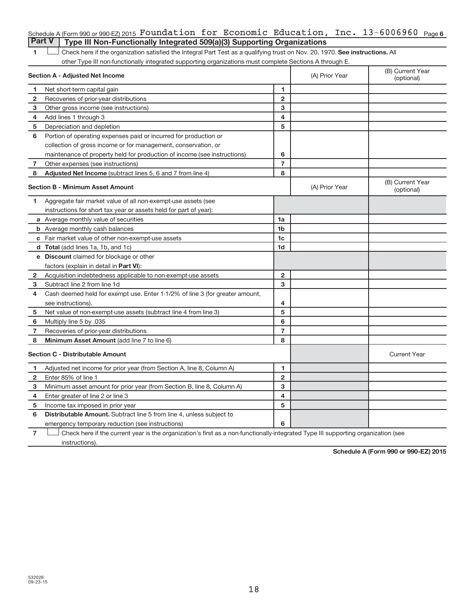| 1            | Check here if the organization satisfied the Integral Part Test as a qualifying trust on Nov. 20, 1970. See instructions. All |                |                |                                |
|--------------|-------------------------------------------------------------------------------------------------------------------------------|----------------|----------------|--------------------------------|
|              | other Type III non-functionally integrated supporting organizations must complete Sections A through E.                       |                |                |                                |
|              | Section A - Adjusted Net Income                                                                                               |                | (A) Prior Year | (B) Current Year<br>(optional) |
| $\mathbf{1}$ | Net short-term capital gain                                                                                                   | 1              |                |                                |
| $\mathbf{2}$ | Recoveries of prior-year distributions                                                                                        | $\overline{2}$ |                |                                |
| 3            | Other gross income (see instructions)                                                                                         | 3              |                |                                |
| 4            | Add lines 1 through 3                                                                                                         | 4              |                |                                |
| 5            | Depreciation and depletion                                                                                                    | 5              |                |                                |
| 6            | Portion of operating expenses paid or incurred for production or                                                              |                |                |                                |
|              | collection of gross income or for management, conservation, or                                                                |                |                |                                |
|              | maintenance of property held for production of income (see instructions)                                                      | 6              |                |                                |
| 7            | Other expenses (see instructions)                                                                                             | $\overline{7}$ |                |                                |
| 8            | Adjusted Net Income (subtract lines 5, 6 and 7 from line 4)                                                                   | 8              |                |                                |
|              | <b>Section B - Minimum Asset Amount</b>                                                                                       |                | (A) Prior Year | (B) Current Year<br>(optional) |
| 1            | Aggregate fair market value of all non-exempt-use assets (see                                                                 |                |                |                                |
|              | instructions for short tax year or assets held for part of year):                                                             |                |                |                                |
|              | a Average monthly value of securities                                                                                         | 1a             |                |                                |
|              | <b>b</b> Average monthly cash balances                                                                                        | 1b             |                |                                |
|              | c Fair market value of other non-exempt-use assets                                                                            | 1 <sub>c</sub> |                |                                |
|              | <b>d</b> Total (add lines 1a, 1b, and 1c)                                                                                     | 1d             |                |                                |
|              | e Discount claimed for blockage or other                                                                                      |                |                |                                |
|              | factors (explain in detail in <b>Part VI)</b> :                                                                               |                |                |                                |
| $\mathbf{2}$ | Acquisition indebtedness applicable to non-exempt-use assets                                                                  | $\overline{2}$ |                |                                |
| 3            | Subtract line 2 from line 1d                                                                                                  | 3              |                |                                |
| 4            | Cash deemed held for exempt use. Enter 1-1/2% of line 3 (for greater amount,                                                  |                |                |                                |
|              | see instructions).                                                                                                            | 4              |                |                                |
| 5            | Net value of non-exempt-use assets (subtract line 4 from line 3)                                                              | 5              |                |                                |
| 6            | Multiply line 5 by .035                                                                                                       | 6              |                |                                |
| $\mathbf{7}$ | Recoveries of prior-year distributions                                                                                        | $\overline{7}$ |                |                                |
| 8            | Minimum Asset Amount (add line 7 to line 6)                                                                                   | 8              |                |                                |
|              | <b>Section C - Distributable Amount</b>                                                                                       |                |                | <b>Current Year</b>            |
| 1            | Adjusted net income for prior year (from Section A, line 8, Column A)                                                         | 1              |                |                                |
| $\mathbf{2}$ | Enter 85% of line 1                                                                                                           | $\overline{2}$ |                |                                |
| 3            | Minimum asset amount for prior year (from Section B, line 8, Column A)                                                        | 3              |                |                                |
| 4            | Enter greater of line 2 or line 3                                                                                             | 4              |                |                                |
| 5            | Income tax imposed in prior year                                                                                              | 5              |                |                                |

Schedule A (Form 990 or 990-EZ) 2015  $\verb|Foundation for Economic Education, Inc. 13-6006960$  Page **6** 

**Part V Type III Non-Functionally Integrated 509(a)(3) Supporting Organizations** 

**6 6** Distributable Amount. Subtract line 5 from line 4, unless subject to emergency temporary reduction (see instructions)

**7** Check here if the current year is the organization's first as a non-functionally-integrated Type III supporting organization (see instructions).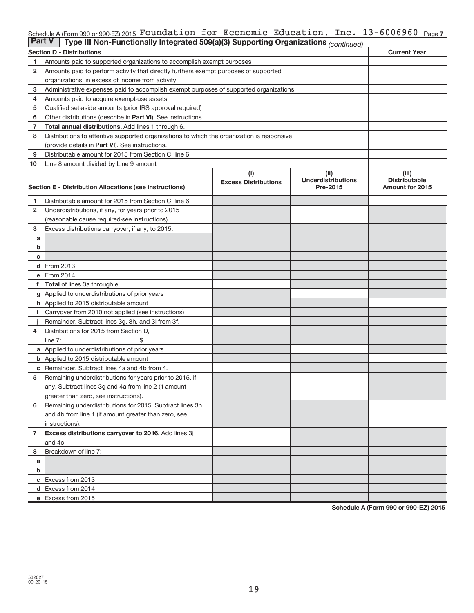#### Schedule A (Form 990 or 990-EZ) 2015 **FOUNdation for ECONOMiC Education, Inc. 1**3-6006960 <sub>Page 7</sub> Foundation for Economic Education, Inc. 13-6006960

| <b>Part V</b>  | Type III Non-Functionally Integrated 509(a)(3) Supporting Organizations (continued)        |                             |                                       |                                         |
|----------------|--------------------------------------------------------------------------------------------|-----------------------------|---------------------------------------|-----------------------------------------|
|                | <b>Section D - Distributions</b>                                                           |                             |                                       | <b>Current Year</b>                     |
| 1              | Amounts paid to supported organizations to accomplish exempt purposes                      |                             |                                       |                                         |
| 2              | Amounts paid to perform activity that directly furthers exempt purposes of supported       |                             |                                       |                                         |
|                | organizations, in excess of income from activity                                           |                             |                                       |                                         |
| 3              | Administrative expenses paid to accomplish exempt purposes of supported organizations      |                             |                                       |                                         |
| 4              | Amounts paid to acquire exempt-use assets                                                  |                             |                                       |                                         |
| 5              | Qualified set-aside amounts (prior IRS approval required)                                  |                             |                                       |                                         |
| 6              | Other distributions (describe in Part VI). See instructions.                               |                             |                                       |                                         |
| 7              | Total annual distributions. Add lines 1 through 6.                                         |                             |                                       |                                         |
| 8              | Distributions to attentive supported organizations to which the organization is responsive |                             |                                       |                                         |
|                | (provide details in Part VI). See instructions.                                            |                             |                                       |                                         |
| 9              | Distributable amount for 2015 from Section C, line 6                                       |                             |                                       |                                         |
| 10             | Line 8 amount divided by Line 9 amount                                                     |                             |                                       |                                         |
|                |                                                                                            | (i)                         | (ii)                                  | (iii)                                   |
|                |                                                                                            | <b>Excess Distributions</b> | <b>Underdistributions</b><br>Pre-2015 | <b>Distributable</b><br>Amount for 2015 |
|                | Section E - Distribution Allocations (see instructions)                                    |                             |                                       |                                         |
| 1              | Distributable amount for 2015 from Section C, line 6                                       |                             |                                       |                                         |
| $\mathbf{2}$   | Underdistributions, if any, for years prior to 2015                                        |                             |                                       |                                         |
|                | (reasonable cause required-see instructions)                                               |                             |                                       |                                         |
| 3              | Excess distributions carryover, if any, to 2015:                                           |                             |                                       |                                         |
| a              |                                                                                            |                             |                                       |                                         |
| b              |                                                                                            |                             |                                       |                                         |
| с              |                                                                                            |                             |                                       |                                         |
|                | d From 2013                                                                                |                             |                                       |                                         |
|                | e From 2014                                                                                |                             |                                       |                                         |
|                | <b>Total</b> of lines 3a through e                                                         |                             |                                       |                                         |
|                | g Applied to underdistributions of prior years                                             |                             |                                       |                                         |
|                | h Applied to 2015 distributable amount                                                     |                             |                                       |                                         |
| Ť.             | Carryover from 2010 not applied (see instructions)                                         |                             |                                       |                                         |
|                | Remainder. Subtract lines 3g, 3h, and 3i from 3f.                                          |                             |                                       |                                         |
| 4              | Distributions for 2015 from Section D,                                                     |                             |                                       |                                         |
|                | line $7:$                                                                                  |                             |                                       |                                         |
|                | a Applied to underdistributions of prior years                                             |                             |                                       |                                         |
|                | <b>b</b> Applied to 2015 distributable amount                                              |                             |                                       |                                         |
| с              | Remainder. Subtract lines 4a and 4b from 4.                                                |                             |                                       |                                         |
| 5              | Remaining underdistributions for years prior to 2015, if                                   |                             |                                       |                                         |
|                | any. Subtract lines 3g and 4a from line 2 (if amount                                       |                             |                                       |                                         |
|                | greater than zero, see instructions).                                                      |                             |                                       |                                         |
| 6              | Remaining underdistributions for 2015. Subtract lines 3h                                   |                             |                                       |                                         |
|                | and 4b from line 1 (if amount greater than zero, see                                       |                             |                                       |                                         |
|                | instructions).                                                                             |                             |                                       |                                         |
| $\overline{7}$ | Excess distributions carryover to 2016. Add lines 3j                                       |                             |                                       |                                         |
|                | and 4c.                                                                                    |                             |                                       |                                         |
| 8              | Breakdown of line 7:                                                                       |                             |                                       |                                         |
| a              |                                                                                            |                             |                                       |                                         |
| b              |                                                                                            |                             |                                       |                                         |
|                | c Excess from 2013                                                                         |                             |                                       |                                         |
|                | d Excess from 2014                                                                         |                             |                                       |                                         |
|                | e Excess from 2015                                                                         |                             |                                       |                                         |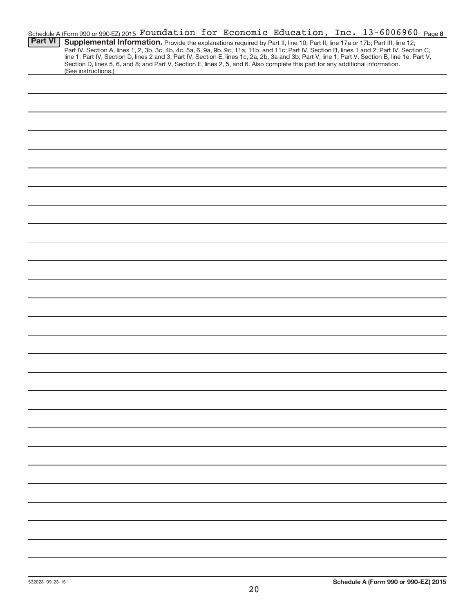|                | Schedule A (Form 990 or 990-EZ) 2015 Foundation for Economic Education, Inc. 13-6006960 Page 8                                                                                                                                                                                                  |
|----------------|-------------------------------------------------------------------------------------------------------------------------------------------------------------------------------------------------------------------------------------------------------------------------------------------------|
| <b>Part VI</b> | Supplemental Information. Provide the explanations required by Part II, line 10; Part II, line 17a or 17b; Part III, line 12;                                                                                                                                                                   |
|                | Part IV, Section A, lines 1, 2, 3b, 3c, 4b, 4c, 5a, 6, 9a, 9b, 9c, 11a, 11b, and 11c; Part IV, Section B, lines 1 and 2; Part IV, Section C,<br>line 1; Part IV, Section D, lines 2 and 3; Part IV, Section E, lines 1c, 2a, 2b, 3a and 3b; Part V, line 1; Part V, Section B, line 1e; Part V, |
|                | Section D, lines 5, 6, and 8; and Part V, Section E, lines 2, 5, and 6. Also complete this part for any additional information.                                                                                                                                                                 |
|                | (See instructions.)                                                                                                                                                                                                                                                                             |
|                |                                                                                                                                                                                                                                                                                                 |
|                |                                                                                                                                                                                                                                                                                                 |
|                |                                                                                                                                                                                                                                                                                                 |
|                |                                                                                                                                                                                                                                                                                                 |
|                |                                                                                                                                                                                                                                                                                                 |
|                |                                                                                                                                                                                                                                                                                                 |
|                |                                                                                                                                                                                                                                                                                                 |
|                |                                                                                                                                                                                                                                                                                                 |
|                |                                                                                                                                                                                                                                                                                                 |
|                |                                                                                                                                                                                                                                                                                                 |
|                |                                                                                                                                                                                                                                                                                                 |
|                |                                                                                                                                                                                                                                                                                                 |
|                |                                                                                                                                                                                                                                                                                                 |
|                |                                                                                                                                                                                                                                                                                                 |
|                |                                                                                                                                                                                                                                                                                                 |
|                |                                                                                                                                                                                                                                                                                                 |
|                |                                                                                                                                                                                                                                                                                                 |
|                |                                                                                                                                                                                                                                                                                                 |
|                |                                                                                                                                                                                                                                                                                                 |
|                |                                                                                                                                                                                                                                                                                                 |
|                |                                                                                                                                                                                                                                                                                                 |
|                |                                                                                                                                                                                                                                                                                                 |
|                |                                                                                                                                                                                                                                                                                                 |
|                |                                                                                                                                                                                                                                                                                                 |
|                |                                                                                                                                                                                                                                                                                                 |
|                |                                                                                                                                                                                                                                                                                                 |
|                |                                                                                                                                                                                                                                                                                                 |
|                |                                                                                                                                                                                                                                                                                                 |
|                |                                                                                                                                                                                                                                                                                                 |
|                |                                                                                                                                                                                                                                                                                                 |
|                |                                                                                                                                                                                                                                                                                                 |
|                |                                                                                                                                                                                                                                                                                                 |
|                |                                                                                                                                                                                                                                                                                                 |
|                |                                                                                                                                                                                                                                                                                                 |
|                |                                                                                                                                                                                                                                                                                                 |
|                |                                                                                                                                                                                                                                                                                                 |
|                |                                                                                                                                                                                                                                                                                                 |
|                |                                                                                                                                                                                                                                                                                                 |
|                |                                                                                                                                                                                                                                                                                                 |
|                |                                                                                                                                                                                                                                                                                                 |
|                |                                                                                                                                                                                                                                                                                                 |
|                |                                                                                                                                                                                                                                                                                                 |
|                |                                                                                                                                                                                                                                                                                                 |
|                |                                                                                                                                                                                                                                                                                                 |
|                |                                                                                                                                                                                                                                                                                                 |
|                |                                                                                                                                                                                                                                                                                                 |
|                |                                                                                                                                                                                                                                                                                                 |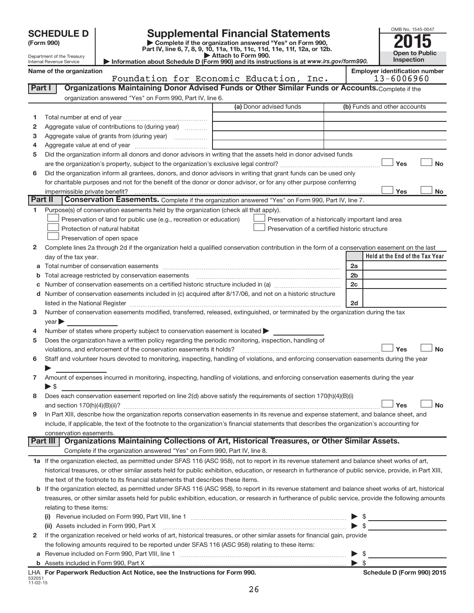|        | <b>SCHEDULE D</b>                         |                                                                                                 | <b>Supplemental Financial Statements</b>                                                                                                                                                                                       |                     | OMB No. 1545-0047                                   |
|--------|-------------------------------------------|-------------------------------------------------------------------------------------------------|--------------------------------------------------------------------------------------------------------------------------------------------------------------------------------------------------------------------------------|---------------------|-----------------------------------------------------|
|        | (Form 990)                                |                                                                                                 | Complete if the organization answered "Yes" on Form 990,                                                                                                                                                                       |                     |                                                     |
|        | Department of the Treasury                |                                                                                                 | Part IV, line 6, 7, 8, 9, 10, 11a, 11b, 11c, 11d, 11e, 11f, 12a, or 12b.<br>Attach to Form 990.                                                                                                                                |                     | <b>Open to Public</b>                               |
|        | Internal Revenue Service                  |                                                                                                 | Information about Schedule D (Form 990) and its instructions is at www.irs.gov/form990.                                                                                                                                        |                     | Inspection                                          |
|        | Name of the organization                  |                                                                                                 | Foundation for Economic Education, Inc.                                                                                                                                                                                        |                     | <b>Employer identification number</b><br>13-6006960 |
| Part I |                                           |                                                                                                 | Organizations Maintaining Donor Advised Funds or Other Similar Funds or Accounts. Complete if the                                                                                                                              |                     |                                                     |
|        |                                           | organization answered "Yes" on Form 990, Part IV, line 6.                                       |                                                                                                                                                                                                                                |                     |                                                     |
|        |                                           |                                                                                                 | (a) Donor advised funds                                                                                                                                                                                                        |                     | (b) Funds and other accounts                        |
| 1      |                                           |                                                                                                 |                                                                                                                                                                                                                                |                     |                                                     |
| 2      |                                           | Aggregate value of contributions to (during year)                                               |                                                                                                                                                                                                                                |                     |                                                     |
| з      |                                           |                                                                                                 |                                                                                                                                                                                                                                |                     |                                                     |
| 4      |                                           |                                                                                                 |                                                                                                                                                                                                                                |                     |                                                     |
| 5      |                                           |                                                                                                 | Did the organization inform all donors and donor advisors in writing that the assets held in donor advised funds                                                                                                               |                     |                                                     |
|        |                                           |                                                                                                 |                                                                                                                                                                                                                                |                     | Yes<br><b>No</b>                                    |
| 6      |                                           |                                                                                                 | Did the organization inform all grantees, donors, and donor advisors in writing that grant funds can be used only                                                                                                              |                     |                                                     |
|        |                                           |                                                                                                 | for charitable purposes and not for the benefit of the donor or donor advisor, or for any other purpose conferring                                                                                                             |                     |                                                     |
|        | impermissible private benefit?<br>Part II |                                                                                                 | <b>Conservation Easements.</b> Complete if the organization answered "Yes" on Form 990, Part IV, line 7.                                                                                                                       |                     | Yes<br><b>No</b>                                    |
| 1.     |                                           | Purpose(s) of conservation easements held by the organization (check all that apply).           |                                                                                                                                                                                                                                |                     |                                                     |
|        |                                           | Preservation of land for public use (e.g., recreation or education)                             | Preservation of a historically important land area                                                                                                                                                                             |                     |                                                     |
|        |                                           | Protection of natural habitat                                                                   | Preservation of a certified historic structure                                                                                                                                                                                 |                     |                                                     |
|        |                                           | Preservation of open space                                                                      |                                                                                                                                                                                                                                |                     |                                                     |
| 2      |                                           |                                                                                                 | Complete lines 2a through 2d if the organization held a qualified conservation contribution in the form of a conservation easement on the last                                                                                 |                     |                                                     |
|        | day of the tax year.                      |                                                                                                 |                                                                                                                                                                                                                                |                     | Held at the End of the Tax Year                     |
|        |                                           |                                                                                                 |                                                                                                                                                                                                                                | 2a                  |                                                     |
|        |                                           | Total acreage restricted by conservation easements                                              |                                                                                                                                                                                                                                | 2 <sub>b</sub>      |                                                     |
|        |                                           |                                                                                                 | Number of conservation easements on a certified historic structure included in (a) manufacture included in (a)                                                                                                                 | 2c                  |                                                     |
|        |                                           |                                                                                                 | d Number of conservation easements included in (c) acquired after 8/17/06, and not on a historic structure                                                                                                                     |                     |                                                     |
|        |                                           |                                                                                                 | listed in the National Register [111] [12] The National Register [11] All also resummated in the National Register [11] [12] All also results and the National Register [11] All also results and results and results are rela | 2d                  |                                                     |
| з      |                                           |                                                                                                 | Number of conservation easements modified, transferred, released, extinguished, or terminated by the organization during the tax                                                                                               |                     |                                                     |
| 4      | year                                      | Number of states where property subject to conservation easement is located >                   |                                                                                                                                                                                                                                |                     |                                                     |
| 5      |                                           |                                                                                                 | Does the organization have a written policy regarding the periodic monitoring, inspection, handling of                                                                                                                         |                     |                                                     |
|        |                                           | violations, and enforcement of the conservation easements it holds?                             |                                                                                                                                                                                                                                |                     | <b>No</b><br>Yes                                    |
| 6      |                                           |                                                                                                 | Staff and volunteer hours devoted to monitoring, inspecting, handling of violations, and enforcing conservation easements during the year                                                                                      |                     |                                                     |
|        |                                           |                                                                                                 |                                                                                                                                                                                                                                |                     |                                                     |
| 7      |                                           |                                                                                                 | Amount of expenses incurred in monitoring, inspecting, handling of violations, and enforcing conservation easements during the year                                                                                            |                     |                                                     |
|        | $\blacktriangleright$ \$                  |                                                                                                 |                                                                                                                                                                                                                                |                     |                                                     |
| 8      |                                           |                                                                                                 | Does each conservation easement reported on line 2(d) above satisfy the requirements of section 170(h)(4)(B)(i)                                                                                                                |                     |                                                     |
|        |                                           |                                                                                                 |                                                                                                                                                                                                                                |                     | Yes<br><b>No</b>                                    |
| 9      |                                           |                                                                                                 | In Part XIII, describe how the organization reports conservation easements in its revenue and expense statement, and balance sheet, and                                                                                        |                     |                                                     |
|        |                                           |                                                                                                 | include, if applicable, the text of the footnote to the organization's financial statements that describes the organization's accounting for                                                                                   |                     |                                                     |
|        | conservation easements.<br>Part III       |                                                                                                 | Organizations Maintaining Collections of Art, Historical Treasures, or Other Similar Assets.                                                                                                                                   |                     |                                                     |
|        |                                           | Complete if the organization answered "Yes" on Form 990, Part IV, line 8.                       |                                                                                                                                                                                                                                |                     |                                                     |
|        |                                           |                                                                                                 | 1a If the organization elected, as permitted under SFAS 116 (ASC 958), not to report in its revenue statement and balance sheet works of art,                                                                                  |                     |                                                     |
|        |                                           |                                                                                                 | historical treasures, or other similar assets held for public exhibition, education, or research in furtherance of public service, provide, in Part XIII,                                                                      |                     |                                                     |
|        |                                           | the text of the footnote to its financial statements that describes these items.                |                                                                                                                                                                                                                                |                     |                                                     |
|        |                                           |                                                                                                 | b If the organization elected, as permitted under SFAS 116 (ASC 958), to report in its revenue statement and balance sheet works of art, historical                                                                            |                     |                                                     |
|        |                                           |                                                                                                 | treasures, or other similar assets held for public exhibition, education, or research in furtherance of public service, provide the following amounts                                                                          |                     |                                                     |
|        | relating to these items:                  |                                                                                                 |                                                                                                                                                                                                                                |                     |                                                     |
|        |                                           |                                                                                                 |                                                                                                                                                                                                                                |                     |                                                     |
|        |                                           | (ii) Assets included in Form 990, Part X                                                        |                                                                                                                                                                                                                                | $\triangleright$ \$ |                                                     |
| 2      |                                           |                                                                                                 | If the organization received or held works of art, historical treasures, or other similar assets for financial gain, provide                                                                                                   |                     |                                                     |
|        |                                           | the following amounts required to be reported under SFAS 116 (ASC 958) relating to these items: |                                                                                                                                                                                                                                |                     |                                                     |

|                | <b>b</b> Assets included in Form 990. Part X                               |  |
|----------------|----------------------------------------------------------------------------|--|
|                | LHA For Paperwork Reduction Act Notice, see the Instructions for Form 990. |  |
| 532051         |                                                                            |  |
| $11 - 02 - 15$ |                                                                            |  |

**a** Revenue included on Form 990, Part VIII, line 1 ~~~~~~~~~~~~~~~~~~~~~~~~~~~~~~ | \$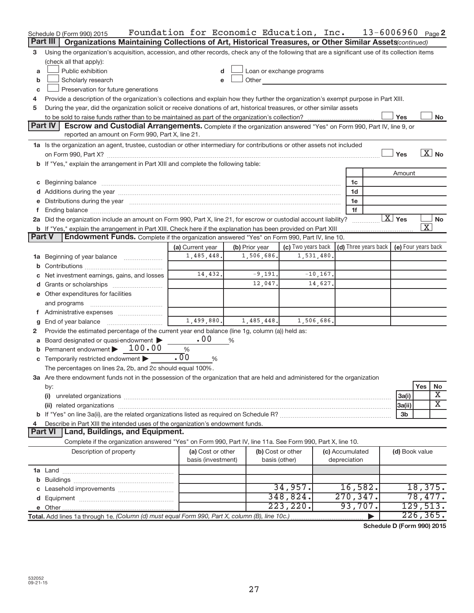|               | Schedule D (Form 990) 2015                                                                                                                                                                                                     | Foundation for Economic Education, Inc. |                |                                                                                                                                                                                                                                      |                                      | $13 - 6006960$ Page 2    |
|---------------|--------------------------------------------------------------------------------------------------------------------------------------------------------------------------------------------------------------------------------|-----------------------------------------|----------------|--------------------------------------------------------------------------------------------------------------------------------------------------------------------------------------------------------------------------------------|--------------------------------------|--------------------------|
|               | Part III   Organizations Maintaining Collections of Art, Historical Treasures, or Other Similar Assets (continued)                                                                                                             |                                         |                |                                                                                                                                                                                                                                      |                                      |                          |
| 3             | Using the organization's acquisition, accession, and other records, check any of the following that are a significant use of its collection items                                                                              |                                         |                |                                                                                                                                                                                                                                      |                                      |                          |
|               | (check all that apply):                                                                                                                                                                                                        |                                         |                |                                                                                                                                                                                                                                      |                                      |                          |
| a             | Public exhibition                                                                                                                                                                                                              |                                         |                | Loan or exchange programs                                                                                                                                                                                                            |                                      |                          |
| b             | Scholarly research                                                                                                                                                                                                             | e                                       |                | Other <u>and the set of the set of the set of the set of the set of the set of the set of the set of the set of the set of the set of the set of the set of the set of the set of the set of the set of the set of the set of th</u> |                                      |                          |
| c             | Preservation for future generations                                                                                                                                                                                            |                                         |                |                                                                                                                                                                                                                                      |                                      |                          |
| 4             | Provide a description of the organization's collections and explain how they further the organization's exempt purpose in Part XIII.                                                                                           |                                         |                |                                                                                                                                                                                                                                      |                                      |                          |
| 5             | During the year, did the organization solicit or receive donations of art, historical treasures, or other similar assets                                                                                                       |                                         |                |                                                                                                                                                                                                                                      |                                      |                          |
|               |                                                                                                                                                                                                                                |                                         |                |                                                                                                                                                                                                                                      |                                      | Yes<br>No                |
|               | <b>Part IV</b><br>Escrow and Custodial Arrangements. Complete if the organization answered "Yes" on Form 990, Part IV, line 9, or                                                                                              |                                         |                |                                                                                                                                                                                                                                      |                                      |                          |
|               | reported an amount on Form 990, Part X, line 21.                                                                                                                                                                               |                                         |                |                                                                                                                                                                                                                                      |                                      |                          |
|               | 1a Is the organization an agent, trustee, custodian or other intermediary for contributions or other assets not included                                                                                                       |                                         |                |                                                                                                                                                                                                                                      |                                      |                          |
|               |                                                                                                                                                                                                                                |                                         |                |                                                                                                                                                                                                                                      |                                      | $\overline{X}$ No<br>Yes |
|               | b If "Yes," explain the arrangement in Part XIII and complete the following table:                                                                                                                                             |                                         |                |                                                                                                                                                                                                                                      |                                      |                          |
|               |                                                                                                                                                                                                                                |                                         |                |                                                                                                                                                                                                                                      |                                      | Amount                   |
|               |                                                                                                                                                                                                                                |                                         |                |                                                                                                                                                                                                                                      | 1c                                   |                          |
|               |                                                                                                                                                                                                                                |                                         |                |                                                                                                                                                                                                                                      | 1d                                   |                          |
|               | e Distributions during the year manufactured and continuum and contact the year manufactured and contact the year manufactured and contact the year manufactured and contact the year manufactured and contact the year manufa |                                         |                |                                                                                                                                                                                                                                      | 1e                                   |                          |
|               |                                                                                                                                                                                                                                |                                         |                |                                                                                                                                                                                                                                      | 1f                                   |                          |
|               | 2a Did the organization include an amount on Form 990, Part X, line 21, for escrow or custodial account liability?                                                                                                             |                                         |                |                                                                                                                                                                                                                                      |                                      | $\overline{X}$ Yes<br>No |
|               | b If "Yes," explain the arrangement in Part XIII. Check here if the explanation has been provided on Part XIII                                                                                                                 |                                         |                |                                                                                                                                                                                                                                      |                                      | $\overline{\textbf{X}}$  |
| <b>Part V</b> | Endowment Funds. Complete if the organization answered "Yes" on Form 990, Part IV, line 10.                                                                                                                                    |                                         |                |                                                                                                                                                                                                                                      |                                      |                          |
|               |                                                                                                                                                                                                                                | (a) Current year                        | (b) Prior year | (c) Two years back                                                                                                                                                                                                                   | $\vert$ (d) Three years back $\vert$ | (e) Four years back      |
|               | 1a Beginning of year balance                                                                                                                                                                                                   | 1,485,448.                              | 1,506,686.     | 1,531,480.                                                                                                                                                                                                                           |                                      |                          |
|               |                                                                                                                                                                                                                                |                                         |                |                                                                                                                                                                                                                                      |                                      |                          |
|               | Net investment earnings, gains, and losses                                                                                                                                                                                     | 14,432.                                 | $-9,191.$      | $-10, 167.$                                                                                                                                                                                                                          |                                      |                          |
|               |                                                                                                                                                                                                                                |                                         | 12,047.        | 14,627.                                                                                                                                                                                                                              |                                      |                          |
|               | e Other expenditures for facilities                                                                                                                                                                                            |                                         |                |                                                                                                                                                                                                                                      |                                      |                          |
|               |                                                                                                                                                                                                                                |                                         |                |                                                                                                                                                                                                                                      |                                      |                          |
|               |                                                                                                                                                                                                                                |                                         |                |                                                                                                                                                                                                                                      |                                      |                          |
|               | End of year balance                                                                                                                                                                                                            | 1,499,880.                              | 1,485,448.     | 1,506,686.                                                                                                                                                                                                                           |                                      |                          |
| 2             | Provide the estimated percentage of the current year end balance (line 1g, column (a)) held as:                                                                                                                                |                                         |                |                                                                                                                                                                                                                                      |                                      |                          |
|               | Board designated or quasi-endowment                                                                                                                                                                                            | .00                                     | %              |                                                                                                                                                                                                                                      |                                      |                          |
|               | Permanent endowment > 100.00                                                                                                                                                                                                   | $\%$                                    |                |                                                                                                                                                                                                                                      |                                      |                          |
|               | Temporarily restricted endowment                                                                                                                                                                                               | .00<br>%                                |                |                                                                                                                                                                                                                                      |                                      |                          |
|               | The percentages on lines 2a, 2b, and 2c should equal 100%.                                                                                                                                                                     |                                         |                |                                                                                                                                                                                                                                      |                                      |                          |
|               | 3a Are there endowment funds not in the possession of the organization that are held and administered for the organization                                                                                                     |                                         |                |                                                                                                                                                                                                                                      |                                      |                          |
|               | by:                                                                                                                                                                                                                            |                                         |                |                                                                                                                                                                                                                                      |                                      | Yes<br>No                |
|               | (i)                                                                                                                                                                                                                            |                                         |                |                                                                                                                                                                                                                                      |                                      | Χ<br>3a(i)               |
|               | (ii) related organizations                                                                                                                                                                                                     |                                         |                |                                                                                                                                                                                                                                      |                                      | Χ<br>3a(ii)              |
|               |                                                                                                                                                                                                                                |                                         |                |                                                                                                                                                                                                                                      |                                      | 3b                       |
|               | Describe in Part XIII the intended uses of the organization's endowment funds.                                                                                                                                                 |                                         |                |                                                                                                                                                                                                                                      |                                      |                          |
|               | Land, Buildings, and Equipment.<br><b>Part VI</b>                                                                                                                                                                              |                                         |                |                                                                                                                                                                                                                                      |                                      |                          |
|               | Complete if the organization answered "Yes" on Form 990, Part IV, line 11a. See Form 990, Part X, line 10.                                                                                                                     |                                         |                |                                                                                                                                                                                                                                      |                                      |                          |
|               | Description of property                                                                                                                                                                                                        | (a) Cost or other<br>basis (investment) |                | (b) Cost or other<br>basis (other)                                                                                                                                                                                                   | (c) Accumulated<br>depreciation      | (d) Book value           |
|               |                                                                                                                                                                                                                                |                                         |                |                                                                                                                                                                                                                                      |                                      |                          |
|               |                                                                                                                                                                                                                                |                                         |                |                                                                                                                                                                                                                                      |                                      |                          |
|               |                                                                                                                                                                                                                                |                                         |                | 34,957.                                                                                                                                                                                                                              | 16,582.                              | 18,375.                  |
|               |                                                                                                                                                                                                                                |                                         |                | 348,824.                                                                                                                                                                                                                             | 270, 347.                            | 78,477.                  |
|               |                                                                                                                                                                                                                                |                                         |                | 223, 220.                                                                                                                                                                                                                            | 93,707.                              | 129,513.                 |
|               | Total. Add lines 1a through 1e. (Column (d) must equal Form 990, Part X, column (B), line 10c.)                                                                                                                                |                                         |                |                                                                                                                                                                                                                                      |                                      | 226, 365.                |

**Schedule D (Form 990) 2015**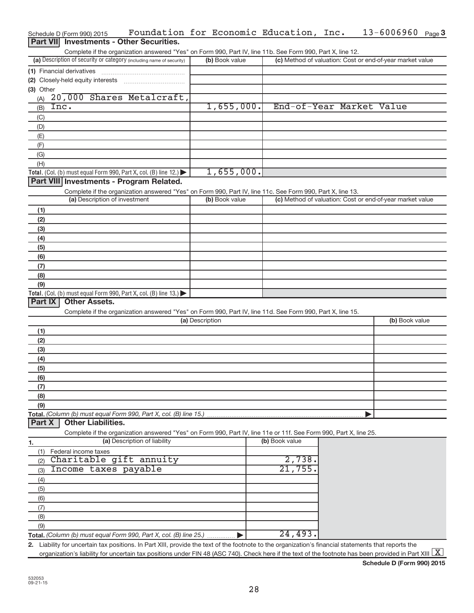|                  | Schedule D (Form 990) 2015    | Foundation for Economic Education, Inc.                                                                                                                               |                 |                |                                                           |  | $13 - 6006960$ Page 3 |  |
|------------------|-------------------------------|-----------------------------------------------------------------------------------------------------------------------------------------------------------------------|-----------------|----------------|-----------------------------------------------------------|--|-----------------------|--|
| <b>Part VIII</b> |                               | <b>Investments - Other Securities.</b>                                                                                                                                |                 |                |                                                           |  |                       |  |
|                  |                               | Complete if the organization answered "Yes" on Form 990, Part IV, line 11b. See Form 990, Part X, line 12.                                                            |                 |                |                                                           |  |                       |  |
|                  |                               | (a) Description of security or category (including name of security)                                                                                                  |                 | (b) Book value | (c) Method of valuation: Cost or end-of-year market value |  |                       |  |
|                  | (1) Financial derivatives     |                                                                                                                                                                       |                 |                |                                                           |  |                       |  |
|                  |                               |                                                                                                                                                                       |                 |                |                                                           |  |                       |  |
| (3) Other        |                               |                                                                                                                                                                       |                 |                |                                                           |  |                       |  |
| (A)              |                               | 20,000 Shares Metalcraft,                                                                                                                                             |                 |                |                                                           |  |                       |  |
| (B)              | Inc.                          |                                                                                                                                                                       |                 | 1,655,000.     | End-of-Year Market Value                                  |  |                       |  |
| (C)              |                               |                                                                                                                                                                       |                 |                |                                                           |  |                       |  |
| (D)              |                               |                                                                                                                                                                       |                 |                |                                                           |  |                       |  |
| (E)              |                               |                                                                                                                                                                       |                 |                |                                                           |  |                       |  |
| (F)              |                               |                                                                                                                                                                       |                 |                |                                                           |  |                       |  |
| (G)              |                               |                                                                                                                                                                       |                 |                |                                                           |  |                       |  |
| (H)              |                               |                                                                                                                                                                       |                 |                |                                                           |  |                       |  |
|                  |                               | <b>Total.</b> (Col. (b) must equal Form 990, Part X, col. (B) line 12.) $\blacktriangleright$                                                                         |                 | 1,655,000.     |                                                           |  |                       |  |
|                  |                               | Part VIII Investments - Program Related.                                                                                                                              |                 |                |                                                           |  |                       |  |
|                  |                               | Complete if the organization answered "Yes" on Form 990, Part IV, line 11c. See Form 990, Part X, line 13.                                                            |                 |                |                                                           |  |                       |  |
|                  | (a) Description of investment |                                                                                                                                                                       |                 | (b) Book value | (c) Method of valuation: Cost or end-of-year market value |  |                       |  |
| (1)              |                               |                                                                                                                                                                       |                 |                |                                                           |  |                       |  |
| (2)              |                               |                                                                                                                                                                       |                 |                |                                                           |  |                       |  |
| (3)              |                               |                                                                                                                                                                       |                 |                |                                                           |  |                       |  |
| (4)              |                               |                                                                                                                                                                       |                 |                |                                                           |  |                       |  |
| (5)              |                               |                                                                                                                                                                       |                 |                |                                                           |  |                       |  |
| (6)              |                               |                                                                                                                                                                       |                 |                |                                                           |  |                       |  |
| (7)              |                               |                                                                                                                                                                       |                 |                |                                                           |  |                       |  |
| (8)              |                               |                                                                                                                                                                       |                 |                |                                                           |  |                       |  |
| (9)              |                               |                                                                                                                                                                       |                 |                |                                                           |  |                       |  |
|                  |                               | <b>Total.</b> (Col. (b) must equal Form 990, Part X, col. (B) line 13.)                                                                                               |                 |                |                                                           |  |                       |  |
| Part IX          | <b>Other Assets.</b>          |                                                                                                                                                                       |                 |                |                                                           |  |                       |  |
|                  |                               | Complete if the organization answered "Yes" on Form 990, Part IV, line 11d. See Form 990, Part X, line 15.                                                            |                 |                |                                                           |  |                       |  |
|                  |                               |                                                                                                                                                                       | (a) Description |                |                                                           |  | (b) Book value        |  |
| (1)              |                               |                                                                                                                                                                       |                 |                |                                                           |  |                       |  |
| (2)              |                               |                                                                                                                                                                       |                 |                |                                                           |  |                       |  |
| (3)              |                               |                                                                                                                                                                       |                 |                |                                                           |  |                       |  |
| (4)              |                               |                                                                                                                                                                       |                 |                |                                                           |  |                       |  |
| (5)              |                               |                                                                                                                                                                       |                 |                |                                                           |  |                       |  |
| (6)              |                               |                                                                                                                                                                       |                 |                |                                                           |  |                       |  |
| (7)              |                               |                                                                                                                                                                       |                 |                |                                                           |  |                       |  |
| (8)              |                               |                                                                                                                                                                       |                 |                |                                                           |  |                       |  |
| (9)              |                               |                                                                                                                                                                       |                 |                |                                                           |  |                       |  |
|                  |                               | Total. (Column (b) must equal Form 990, Part X, col. (B) line 15.)                                                                                                    |                 |                |                                                           |  |                       |  |
| Part X           | <b>Other Liabilities.</b>     |                                                                                                                                                                       |                 |                |                                                           |  |                       |  |
|                  |                               | Complete if the organization answered "Yes" on Form 990, Part IV, line 11e or 11f. See Form 990, Part X, line 25.                                                     |                 |                |                                                           |  |                       |  |
| 1.               |                               | (a) Description of liability                                                                                                                                          |                 |                | (b) Book value                                            |  |                       |  |
| (1)              | Federal income taxes          |                                                                                                                                                                       |                 |                |                                                           |  |                       |  |
| (2)              |                               | Charitable gift annuity                                                                                                                                               |                 |                | 2,738                                                     |  |                       |  |
| (3)              | Income taxes payable          |                                                                                                                                                                       |                 |                | 21,755                                                    |  |                       |  |
| (4)              |                               |                                                                                                                                                                       |                 |                |                                                           |  |                       |  |
| (5)              |                               |                                                                                                                                                                       |                 |                |                                                           |  |                       |  |
| (6)              |                               |                                                                                                                                                                       |                 |                |                                                           |  |                       |  |
| (7)              |                               |                                                                                                                                                                       |                 |                |                                                           |  |                       |  |
| (8)              |                               |                                                                                                                                                                       |                 |                |                                                           |  |                       |  |
| (9)              |                               |                                                                                                                                                                       |                 |                |                                                           |  |                       |  |
|                  |                               | Total. (Column (b) must equal Form 990, Part X, col. (B) line 25.)                                                                                                    |                 |                | 24,493                                                    |  |                       |  |
|                  |                               | 2. Liability for uncertain tax positions. In Part XIII, provide the text of the footnote to the organization's financial statements that reports the                  |                 |                |                                                           |  |                       |  |
|                  |                               | organization's liability for uncertain tax positions under FIN 48 (ASC 740). Check here if the text of the footnote has been provided in Part XIII $\boxed{\text{X}}$ |                 |                |                                                           |  |                       |  |

**Schedule D (Form 990) 2015**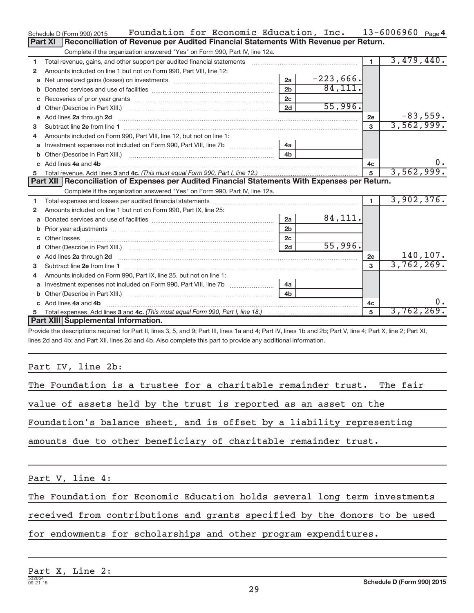|              | Foundation for Economic Education, Inc.<br>Schedule D (Form 990) 2015                                                                                                                                                              |                |             |                | $13 - 6006960$ Page 4 |
|--------------|------------------------------------------------------------------------------------------------------------------------------------------------------------------------------------------------------------------------------------|----------------|-------------|----------------|-----------------------|
|              | Reconciliation of Revenue per Audited Financial Statements With Revenue per Return.<br>Part XI                                                                                                                                     |                |             |                |                       |
|              | Complete if the organization answered "Yes" on Form 990, Part IV, line 12a.                                                                                                                                                        |                |             |                |                       |
| 1            | Total revenue, gains, and other support per audited financial statements                                                                                                                                                           |                |             | $\blacksquare$ | 3,479,440.            |
| $\mathbf{2}$ | Amounts included on line 1 but not on Form 990, Part VIII, line 12:                                                                                                                                                                |                |             |                |                       |
| a            | Net unrealized gains (losses) on investments [111] [12] matter contracts and a local metal of the university of                                                                                                                    | 2a             | $-223,666.$ |                |                       |
|              |                                                                                                                                                                                                                                    | 2 <sub>b</sub> | 84,111.     |                |                       |
| c            |                                                                                                                                                                                                                                    | 2c             |             |                |                       |
| d            |                                                                                                                                                                                                                                    | 2d             | 55,996.     |                |                       |
| е            | Add lines 2a through 2d                                                                                                                                                                                                            |                |             | 2e             | $-83,559.$            |
| 3            |                                                                                                                                                                                                                                    |                |             | 3              | 3,562,999.            |
| 4            | Amounts included on Form 990, Part VIII, line 12, but not on line 1:                                                                                                                                                               |                |             |                |                       |
|              |                                                                                                                                                                                                                                    |                |             |                |                       |
|              |                                                                                                                                                                                                                                    | 4 <sub>h</sub> |             |                |                       |
| $\mathbf{c}$ | Add lines 4a and 4b                                                                                                                                                                                                                |                |             | 4c             | 0.                    |
|              |                                                                                                                                                                                                                                    |                |             | 5              | 3,562,999.            |
|              |                                                                                                                                                                                                                                    |                |             |                |                       |
|              | Part XII Reconciliation of Expenses per Audited Financial Statements With Expenses per Return.                                                                                                                                     |                |             |                |                       |
|              | Complete if the organization answered "Yes" on Form 990, Part IV, line 12a.                                                                                                                                                        |                |             |                |                       |
| 1            |                                                                                                                                                                                                                                    |                |             | $\blacksquare$ | 3,902,376.            |
| 2            | Amounts included on line 1 but not on Form 990, Part IX, line 25:                                                                                                                                                                  |                |             |                |                       |
| a            |                                                                                                                                                                                                                                    | 2a             | 84,111.     |                |                       |
| b            |                                                                                                                                                                                                                                    | 2 <sub>b</sub> |             |                |                       |
|              |                                                                                                                                                                                                                                    | 2 <sub>c</sub> |             |                |                       |
|              |                                                                                                                                                                                                                                    | 2d             | 55,996.     |                |                       |
|              | e Add lines 2a through 2d <b>contained a control and a control and a</b> control and a control and a control and a control and a control and a control and a control and a control and a control and a control and a control and a |                |             | 2e             | 140,107.              |
| з            |                                                                                                                                                                                                                                    |                |             | $\mathbf{a}$   | 3,762,269.            |
| 4            | Amounts included on Form 990, Part IX, line 25, but not on line 1:                                                                                                                                                                 |                |             |                |                       |
| a            | Investment expenses not included on Form 990, Part VIII, line 7b [                                                                                                                                                                 | 4a             |             |                |                       |
|              |                                                                                                                                                                                                                                    | 4 <sub>h</sub> |             |                |                       |
|              | c Add lines 4a and 4b                                                                                                                                                                                                              |                |             | 4c             | $0$ .                 |
|              | Part XIII Supplemental Information.                                                                                                                                                                                                |                |             |                | 3,762,269.            |

Provide the descriptions required for Part II, lines 3, 5, and 9; Part III, lines 1a and 4; Part IV, lines 1b and 2b; Part V, line 4; Part X, line 2; Part XI, lines 2d and 4b; and Part XII, lines 2d and 4b. Also complete this part to provide any additional information.

# Part IV, line 2b:

| The Foundation is a trustee for a charitable remainder trust. The fair |
|------------------------------------------------------------------------|
| value of assets held by the trust is reported as an asset on the       |
| Foundation's balance sheet, and is offset by a liability representing  |
| amounts due to other beneficiary of charitable remainder trust.        |
|                                                                        |

Part V, line 4:

The Foundation for Economic Education holds several long term investments

received from contributions and grants specified by the donors to be used

for endowments for scholarships and other program expenditures.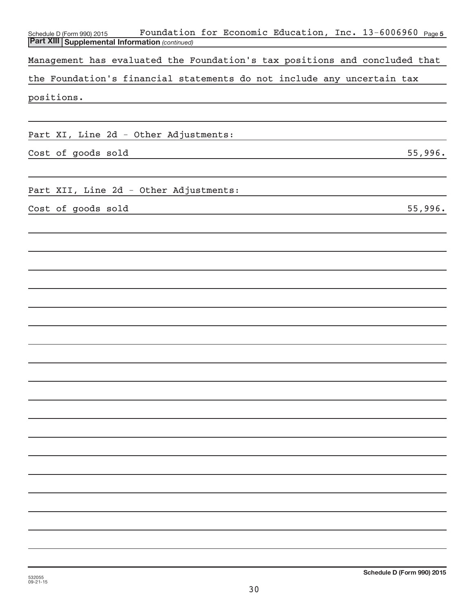| Foundation for Economic Education, Inc. 13-6006960 Page5<br>Schedule D (Form 990) 2015<br><b>Part XIII Supplemental Information (continued)</b> |
|-------------------------------------------------------------------------------------------------------------------------------------------------|
|                                                                                                                                                 |
| Management has evaluated the Foundation's tax positions and concluded that                                                                      |
| the Foundation's financial statements do not include any uncertain tax                                                                          |
| positions.                                                                                                                                      |
|                                                                                                                                                 |
|                                                                                                                                                 |
| Part XI, Line 2d - Other Adjustments:                                                                                                           |
| Cost of goods sold<br>55,996.                                                                                                                   |
|                                                                                                                                                 |
| Part XII, Line 2d - Other Adjustments:                                                                                                          |
|                                                                                                                                                 |
| Cost of goods sold<br>55,996.                                                                                                                   |
|                                                                                                                                                 |
|                                                                                                                                                 |
|                                                                                                                                                 |
|                                                                                                                                                 |
|                                                                                                                                                 |
|                                                                                                                                                 |
|                                                                                                                                                 |
|                                                                                                                                                 |
|                                                                                                                                                 |
|                                                                                                                                                 |
|                                                                                                                                                 |
|                                                                                                                                                 |
|                                                                                                                                                 |
|                                                                                                                                                 |
|                                                                                                                                                 |
|                                                                                                                                                 |
|                                                                                                                                                 |
|                                                                                                                                                 |
|                                                                                                                                                 |
|                                                                                                                                                 |
|                                                                                                                                                 |
|                                                                                                                                                 |
|                                                                                                                                                 |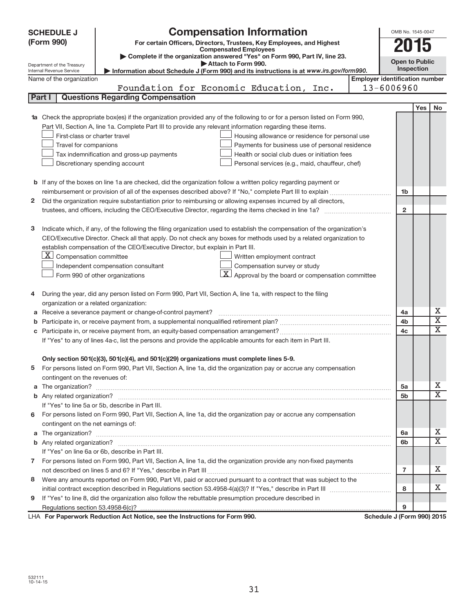| (Form 990)<br>For certain Officers, Directors, Trustees, Key Employees, and Highest<br>2015<br><b>Compensated Employees</b><br>Complete if the organization answered "Yes" on Form 990, Part IV, line 23.<br><b>Open to Public</b><br>Attach to Form 990.<br>Department of the Treasury<br>Inspection<br>Internal Revenue Service<br>Information about Schedule J (Form 990) and its instructions is at www.irs.gov/form990.<br><b>Employer identification number</b><br>Name of the organization<br>Foundation for Economic Education,<br>13-6006960<br>Inc.<br>Part I<br><b>Questions Regarding Compensation</b><br>Yes<br>No<br><b>1a</b> Check the appropriate box(es) if the organization provided any of the following to or for a person listed on Form 990,<br>Part VII, Section A, line 1a. Complete Part III to provide any relevant information regarding these items.<br>First-class or charter travel<br>Housing allowance or residence for personal use<br>Travel for companions<br>Payments for business use of personal residence<br>Tax indemnification and gross-up payments<br>Health or social club dues or initiation fees<br>Discretionary spending account<br>Personal services (e.g., maid, chauffeur, chef)<br><b>b</b> If any of the boxes on line 1a are checked, did the organization follow a written policy regarding payment or<br>1 <sub>b</sub><br>Did the organization require substantiation prior to reimbursing or allowing expenses incurred by all directors,<br>2<br>$\overline{2}$<br>Indicate which, if any, of the following the filing organization used to establish the compensation of the organization's<br>з<br>CEO/Executive Director. Check all that apply. Do not check any boxes for methods used by a related organization to<br>establish compensation of the CEO/Executive Director, but explain in Part III.<br>$X$ Compensation committee<br>Written employment contract<br>Compensation survey or study<br>Independent compensation consultant<br>$\mathbf{X}$ Approval by the board or compensation committee<br>Form 990 of other organizations<br>During the year, did any person listed on Form 990, Part VII, Section A, line 1a, with respect to the filing<br>4<br>organization or a related organization:<br>х<br>Receive a severance payment or change-of-control payment?<br>4a<br>а<br>$\overline{\textbf{X}}$<br>4b<br>b<br>X<br>4c<br>If "Yes" to any of lines 4a-c, list the persons and provide the applicable amounts for each item in Part III.<br>Only section 501(c)(3), 501(c)(4), and 501(c)(29) organizations must complete lines 5-9.<br>For persons listed on Form 990, Part VII, Section A, line 1a, did the organization pay or accrue any compensation<br>contingent on the revenues of:<br>x<br>5a<br>X<br>5 <sub>b</sub><br>If "Yes" to line 5a or 5b, describe in Part III.<br>6 For persons listed on Form 990, Part VII, Section A, line 1a, did the organization pay or accrue any compensation<br>contingent on the net earnings of:<br>x<br>6a<br>x<br>6b<br>If "Yes" on line 6a or 6b, describe in Part III.<br>7 For persons listed on Form 990, Part VII, Section A, line 1a, did the organization provide any non-fixed payments<br>x<br>7<br>Were any amounts reported on Form 990, Part VII, paid or accrued pursuant to a contract that was subject to the<br>8<br>x<br>8<br>If "Yes" to line 8, did the organization also follow the rebuttable presumption procedure described in<br>9<br>9<br>LHA For Paperwork Reduction Act Notice, see the Instructions for Form 990.<br>Schedule J (Form 990) 2015 |  | <b>SCHEDULE J</b> | <b>Compensation Information</b> |  | OMB No. 1545-0047 |  |  |
|----------------------------------------------------------------------------------------------------------------------------------------------------------------------------------------------------------------------------------------------------------------------------------------------------------------------------------------------------------------------------------------------------------------------------------------------------------------------------------------------------------------------------------------------------------------------------------------------------------------------------------------------------------------------------------------------------------------------------------------------------------------------------------------------------------------------------------------------------------------------------------------------------------------------------------------------------------------------------------------------------------------------------------------------------------------------------------------------------------------------------------------------------------------------------------------------------------------------------------------------------------------------------------------------------------------------------------------------------------------------------------------------------------------------------------------------------------------------------------------------------------------------------------------------------------------------------------------------------------------------------------------------------------------------------------------------------------------------------------------------------------------------------------------------------------------------------------------------------------------------------------------------------------------------------------------------------------------------------------------------------------------------------------------------------------------------------------------------------------------------------------------------------------------------------------------------------------------------------------------------------------------------------------------------------------------------------------------------------------------------------------------------------------------------------------------------------------------------------------------------------------------------------------------------------------------------------------------------------------------------------------------------------------------------------------------------------------------------------------------------------------------------------------------------------------------------------------------------------------------------------------------------------------------------------------------------------------------------------------------------------------------------------------------------------------------------------------------------------------------------------------------------------------------------------------------------------------------------------------------------------------------------------------------------------------------------------------------------------------------------------------------------------------------------------------------------------------------------------------------------------------------------------------------------------------------------------------------------------------------|--|-------------------|---------------------------------|--|-------------------|--|--|
|                                                                                                                                                                                                                                                                                                                                                                                                                                                                                                                                                                                                                                                                                                                                                                                                                                                                                                                                                                                                                                                                                                                                                                                                                                                                                                                                                                                                                                                                                                                                                                                                                                                                                                                                                                                                                                                                                                                                                                                                                                                                                                                                                                                                                                                                                                                                                                                                                                                                                                                                                                                                                                                                                                                                                                                                                                                                                                                                                                                                                                                                                                                                                                                                                                                                                                                                                                                                                                                                                                                                                                                                                |  |                   |                                 |  |                   |  |  |
|                                                                                                                                                                                                                                                                                                                                                                                                                                                                                                                                                                                                                                                                                                                                                                                                                                                                                                                                                                                                                                                                                                                                                                                                                                                                                                                                                                                                                                                                                                                                                                                                                                                                                                                                                                                                                                                                                                                                                                                                                                                                                                                                                                                                                                                                                                                                                                                                                                                                                                                                                                                                                                                                                                                                                                                                                                                                                                                                                                                                                                                                                                                                                                                                                                                                                                                                                                                                                                                                                                                                                                                                                |  |                   |                                 |  |                   |  |  |
|                                                                                                                                                                                                                                                                                                                                                                                                                                                                                                                                                                                                                                                                                                                                                                                                                                                                                                                                                                                                                                                                                                                                                                                                                                                                                                                                                                                                                                                                                                                                                                                                                                                                                                                                                                                                                                                                                                                                                                                                                                                                                                                                                                                                                                                                                                                                                                                                                                                                                                                                                                                                                                                                                                                                                                                                                                                                                                                                                                                                                                                                                                                                                                                                                                                                                                                                                                                                                                                                                                                                                                                                                |  |                   |                                 |  |                   |  |  |
|                                                                                                                                                                                                                                                                                                                                                                                                                                                                                                                                                                                                                                                                                                                                                                                                                                                                                                                                                                                                                                                                                                                                                                                                                                                                                                                                                                                                                                                                                                                                                                                                                                                                                                                                                                                                                                                                                                                                                                                                                                                                                                                                                                                                                                                                                                                                                                                                                                                                                                                                                                                                                                                                                                                                                                                                                                                                                                                                                                                                                                                                                                                                                                                                                                                                                                                                                                                                                                                                                                                                                                                                                |  |                   |                                 |  |                   |  |  |
|                                                                                                                                                                                                                                                                                                                                                                                                                                                                                                                                                                                                                                                                                                                                                                                                                                                                                                                                                                                                                                                                                                                                                                                                                                                                                                                                                                                                                                                                                                                                                                                                                                                                                                                                                                                                                                                                                                                                                                                                                                                                                                                                                                                                                                                                                                                                                                                                                                                                                                                                                                                                                                                                                                                                                                                                                                                                                                                                                                                                                                                                                                                                                                                                                                                                                                                                                                                                                                                                                                                                                                                                                |  |                   |                                 |  |                   |  |  |
|                                                                                                                                                                                                                                                                                                                                                                                                                                                                                                                                                                                                                                                                                                                                                                                                                                                                                                                                                                                                                                                                                                                                                                                                                                                                                                                                                                                                                                                                                                                                                                                                                                                                                                                                                                                                                                                                                                                                                                                                                                                                                                                                                                                                                                                                                                                                                                                                                                                                                                                                                                                                                                                                                                                                                                                                                                                                                                                                                                                                                                                                                                                                                                                                                                                                                                                                                                                                                                                                                                                                                                                                                |  |                   |                                 |  |                   |  |  |
|                                                                                                                                                                                                                                                                                                                                                                                                                                                                                                                                                                                                                                                                                                                                                                                                                                                                                                                                                                                                                                                                                                                                                                                                                                                                                                                                                                                                                                                                                                                                                                                                                                                                                                                                                                                                                                                                                                                                                                                                                                                                                                                                                                                                                                                                                                                                                                                                                                                                                                                                                                                                                                                                                                                                                                                                                                                                                                                                                                                                                                                                                                                                                                                                                                                                                                                                                                                                                                                                                                                                                                                                                |  |                   |                                 |  |                   |  |  |
|                                                                                                                                                                                                                                                                                                                                                                                                                                                                                                                                                                                                                                                                                                                                                                                                                                                                                                                                                                                                                                                                                                                                                                                                                                                                                                                                                                                                                                                                                                                                                                                                                                                                                                                                                                                                                                                                                                                                                                                                                                                                                                                                                                                                                                                                                                                                                                                                                                                                                                                                                                                                                                                                                                                                                                                                                                                                                                                                                                                                                                                                                                                                                                                                                                                                                                                                                                                                                                                                                                                                                                                                                |  |                   |                                 |  |                   |  |  |
|                                                                                                                                                                                                                                                                                                                                                                                                                                                                                                                                                                                                                                                                                                                                                                                                                                                                                                                                                                                                                                                                                                                                                                                                                                                                                                                                                                                                                                                                                                                                                                                                                                                                                                                                                                                                                                                                                                                                                                                                                                                                                                                                                                                                                                                                                                                                                                                                                                                                                                                                                                                                                                                                                                                                                                                                                                                                                                                                                                                                                                                                                                                                                                                                                                                                                                                                                                                                                                                                                                                                                                                                                |  |                   |                                 |  |                   |  |  |
|                                                                                                                                                                                                                                                                                                                                                                                                                                                                                                                                                                                                                                                                                                                                                                                                                                                                                                                                                                                                                                                                                                                                                                                                                                                                                                                                                                                                                                                                                                                                                                                                                                                                                                                                                                                                                                                                                                                                                                                                                                                                                                                                                                                                                                                                                                                                                                                                                                                                                                                                                                                                                                                                                                                                                                                                                                                                                                                                                                                                                                                                                                                                                                                                                                                                                                                                                                                                                                                                                                                                                                                                                |  |                   |                                 |  |                   |  |  |
|                                                                                                                                                                                                                                                                                                                                                                                                                                                                                                                                                                                                                                                                                                                                                                                                                                                                                                                                                                                                                                                                                                                                                                                                                                                                                                                                                                                                                                                                                                                                                                                                                                                                                                                                                                                                                                                                                                                                                                                                                                                                                                                                                                                                                                                                                                                                                                                                                                                                                                                                                                                                                                                                                                                                                                                                                                                                                                                                                                                                                                                                                                                                                                                                                                                                                                                                                                                                                                                                                                                                                                                                                |  |                   |                                 |  |                   |  |  |
|                                                                                                                                                                                                                                                                                                                                                                                                                                                                                                                                                                                                                                                                                                                                                                                                                                                                                                                                                                                                                                                                                                                                                                                                                                                                                                                                                                                                                                                                                                                                                                                                                                                                                                                                                                                                                                                                                                                                                                                                                                                                                                                                                                                                                                                                                                                                                                                                                                                                                                                                                                                                                                                                                                                                                                                                                                                                                                                                                                                                                                                                                                                                                                                                                                                                                                                                                                                                                                                                                                                                                                                                                |  |                   |                                 |  |                   |  |  |
|                                                                                                                                                                                                                                                                                                                                                                                                                                                                                                                                                                                                                                                                                                                                                                                                                                                                                                                                                                                                                                                                                                                                                                                                                                                                                                                                                                                                                                                                                                                                                                                                                                                                                                                                                                                                                                                                                                                                                                                                                                                                                                                                                                                                                                                                                                                                                                                                                                                                                                                                                                                                                                                                                                                                                                                                                                                                                                                                                                                                                                                                                                                                                                                                                                                                                                                                                                                                                                                                                                                                                                                                                |  |                   |                                 |  |                   |  |  |
|                                                                                                                                                                                                                                                                                                                                                                                                                                                                                                                                                                                                                                                                                                                                                                                                                                                                                                                                                                                                                                                                                                                                                                                                                                                                                                                                                                                                                                                                                                                                                                                                                                                                                                                                                                                                                                                                                                                                                                                                                                                                                                                                                                                                                                                                                                                                                                                                                                                                                                                                                                                                                                                                                                                                                                                                                                                                                                                                                                                                                                                                                                                                                                                                                                                                                                                                                                                                                                                                                                                                                                                                                |  |                   |                                 |  |                   |  |  |
|                                                                                                                                                                                                                                                                                                                                                                                                                                                                                                                                                                                                                                                                                                                                                                                                                                                                                                                                                                                                                                                                                                                                                                                                                                                                                                                                                                                                                                                                                                                                                                                                                                                                                                                                                                                                                                                                                                                                                                                                                                                                                                                                                                                                                                                                                                                                                                                                                                                                                                                                                                                                                                                                                                                                                                                                                                                                                                                                                                                                                                                                                                                                                                                                                                                                                                                                                                                                                                                                                                                                                                                                                |  |                   |                                 |  |                   |  |  |
|                                                                                                                                                                                                                                                                                                                                                                                                                                                                                                                                                                                                                                                                                                                                                                                                                                                                                                                                                                                                                                                                                                                                                                                                                                                                                                                                                                                                                                                                                                                                                                                                                                                                                                                                                                                                                                                                                                                                                                                                                                                                                                                                                                                                                                                                                                                                                                                                                                                                                                                                                                                                                                                                                                                                                                                                                                                                                                                                                                                                                                                                                                                                                                                                                                                                                                                                                                                                                                                                                                                                                                                                                |  |                   |                                 |  |                   |  |  |
|                                                                                                                                                                                                                                                                                                                                                                                                                                                                                                                                                                                                                                                                                                                                                                                                                                                                                                                                                                                                                                                                                                                                                                                                                                                                                                                                                                                                                                                                                                                                                                                                                                                                                                                                                                                                                                                                                                                                                                                                                                                                                                                                                                                                                                                                                                                                                                                                                                                                                                                                                                                                                                                                                                                                                                                                                                                                                                                                                                                                                                                                                                                                                                                                                                                                                                                                                                                                                                                                                                                                                                                                                |  |                   |                                 |  |                   |  |  |
|                                                                                                                                                                                                                                                                                                                                                                                                                                                                                                                                                                                                                                                                                                                                                                                                                                                                                                                                                                                                                                                                                                                                                                                                                                                                                                                                                                                                                                                                                                                                                                                                                                                                                                                                                                                                                                                                                                                                                                                                                                                                                                                                                                                                                                                                                                                                                                                                                                                                                                                                                                                                                                                                                                                                                                                                                                                                                                                                                                                                                                                                                                                                                                                                                                                                                                                                                                                                                                                                                                                                                                                                                |  |                   |                                 |  |                   |  |  |
|                                                                                                                                                                                                                                                                                                                                                                                                                                                                                                                                                                                                                                                                                                                                                                                                                                                                                                                                                                                                                                                                                                                                                                                                                                                                                                                                                                                                                                                                                                                                                                                                                                                                                                                                                                                                                                                                                                                                                                                                                                                                                                                                                                                                                                                                                                                                                                                                                                                                                                                                                                                                                                                                                                                                                                                                                                                                                                                                                                                                                                                                                                                                                                                                                                                                                                                                                                                                                                                                                                                                                                                                                |  |                   |                                 |  |                   |  |  |
|                                                                                                                                                                                                                                                                                                                                                                                                                                                                                                                                                                                                                                                                                                                                                                                                                                                                                                                                                                                                                                                                                                                                                                                                                                                                                                                                                                                                                                                                                                                                                                                                                                                                                                                                                                                                                                                                                                                                                                                                                                                                                                                                                                                                                                                                                                                                                                                                                                                                                                                                                                                                                                                                                                                                                                                                                                                                                                                                                                                                                                                                                                                                                                                                                                                                                                                                                                                                                                                                                                                                                                                                                |  |                   |                                 |  |                   |  |  |
|                                                                                                                                                                                                                                                                                                                                                                                                                                                                                                                                                                                                                                                                                                                                                                                                                                                                                                                                                                                                                                                                                                                                                                                                                                                                                                                                                                                                                                                                                                                                                                                                                                                                                                                                                                                                                                                                                                                                                                                                                                                                                                                                                                                                                                                                                                                                                                                                                                                                                                                                                                                                                                                                                                                                                                                                                                                                                                                                                                                                                                                                                                                                                                                                                                                                                                                                                                                                                                                                                                                                                                                                                |  |                   |                                 |  |                   |  |  |
|                                                                                                                                                                                                                                                                                                                                                                                                                                                                                                                                                                                                                                                                                                                                                                                                                                                                                                                                                                                                                                                                                                                                                                                                                                                                                                                                                                                                                                                                                                                                                                                                                                                                                                                                                                                                                                                                                                                                                                                                                                                                                                                                                                                                                                                                                                                                                                                                                                                                                                                                                                                                                                                                                                                                                                                                                                                                                                                                                                                                                                                                                                                                                                                                                                                                                                                                                                                                                                                                                                                                                                                                                |  |                   |                                 |  |                   |  |  |
|                                                                                                                                                                                                                                                                                                                                                                                                                                                                                                                                                                                                                                                                                                                                                                                                                                                                                                                                                                                                                                                                                                                                                                                                                                                                                                                                                                                                                                                                                                                                                                                                                                                                                                                                                                                                                                                                                                                                                                                                                                                                                                                                                                                                                                                                                                                                                                                                                                                                                                                                                                                                                                                                                                                                                                                                                                                                                                                                                                                                                                                                                                                                                                                                                                                                                                                                                                                                                                                                                                                                                                                                                |  |                   |                                 |  |                   |  |  |
|                                                                                                                                                                                                                                                                                                                                                                                                                                                                                                                                                                                                                                                                                                                                                                                                                                                                                                                                                                                                                                                                                                                                                                                                                                                                                                                                                                                                                                                                                                                                                                                                                                                                                                                                                                                                                                                                                                                                                                                                                                                                                                                                                                                                                                                                                                                                                                                                                                                                                                                                                                                                                                                                                                                                                                                                                                                                                                                                                                                                                                                                                                                                                                                                                                                                                                                                                                                                                                                                                                                                                                                                                |  |                   |                                 |  |                   |  |  |
|                                                                                                                                                                                                                                                                                                                                                                                                                                                                                                                                                                                                                                                                                                                                                                                                                                                                                                                                                                                                                                                                                                                                                                                                                                                                                                                                                                                                                                                                                                                                                                                                                                                                                                                                                                                                                                                                                                                                                                                                                                                                                                                                                                                                                                                                                                                                                                                                                                                                                                                                                                                                                                                                                                                                                                                                                                                                                                                                                                                                                                                                                                                                                                                                                                                                                                                                                                                                                                                                                                                                                                                                                |  |                   |                                 |  |                   |  |  |
|                                                                                                                                                                                                                                                                                                                                                                                                                                                                                                                                                                                                                                                                                                                                                                                                                                                                                                                                                                                                                                                                                                                                                                                                                                                                                                                                                                                                                                                                                                                                                                                                                                                                                                                                                                                                                                                                                                                                                                                                                                                                                                                                                                                                                                                                                                                                                                                                                                                                                                                                                                                                                                                                                                                                                                                                                                                                                                                                                                                                                                                                                                                                                                                                                                                                                                                                                                                                                                                                                                                                                                                                                |  |                   |                                 |  |                   |  |  |
|                                                                                                                                                                                                                                                                                                                                                                                                                                                                                                                                                                                                                                                                                                                                                                                                                                                                                                                                                                                                                                                                                                                                                                                                                                                                                                                                                                                                                                                                                                                                                                                                                                                                                                                                                                                                                                                                                                                                                                                                                                                                                                                                                                                                                                                                                                                                                                                                                                                                                                                                                                                                                                                                                                                                                                                                                                                                                                                                                                                                                                                                                                                                                                                                                                                                                                                                                                                                                                                                                                                                                                                                                |  |                   |                                 |  |                   |  |  |
|                                                                                                                                                                                                                                                                                                                                                                                                                                                                                                                                                                                                                                                                                                                                                                                                                                                                                                                                                                                                                                                                                                                                                                                                                                                                                                                                                                                                                                                                                                                                                                                                                                                                                                                                                                                                                                                                                                                                                                                                                                                                                                                                                                                                                                                                                                                                                                                                                                                                                                                                                                                                                                                                                                                                                                                                                                                                                                                                                                                                                                                                                                                                                                                                                                                                                                                                                                                                                                                                                                                                                                                                                |  |                   |                                 |  |                   |  |  |
|                                                                                                                                                                                                                                                                                                                                                                                                                                                                                                                                                                                                                                                                                                                                                                                                                                                                                                                                                                                                                                                                                                                                                                                                                                                                                                                                                                                                                                                                                                                                                                                                                                                                                                                                                                                                                                                                                                                                                                                                                                                                                                                                                                                                                                                                                                                                                                                                                                                                                                                                                                                                                                                                                                                                                                                                                                                                                                                                                                                                                                                                                                                                                                                                                                                                                                                                                                                                                                                                                                                                                                                                                |  |                   |                                 |  |                   |  |  |
|                                                                                                                                                                                                                                                                                                                                                                                                                                                                                                                                                                                                                                                                                                                                                                                                                                                                                                                                                                                                                                                                                                                                                                                                                                                                                                                                                                                                                                                                                                                                                                                                                                                                                                                                                                                                                                                                                                                                                                                                                                                                                                                                                                                                                                                                                                                                                                                                                                                                                                                                                                                                                                                                                                                                                                                                                                                                                                                                                                                                                                                                                                                                                                                                                                                                                                                                                                                                                                                                                                                                                                                                                |  |                   |                                 |  |                   |  |  |
|                                                                                                                                                                                                                                                                                                                                                                                                                                                                                                                                                                                                                                                                                                                                                                                                                                                                                                                                                                                                                                                                                                                                                                                                                                                                                                                                                                                                                                                                                                                                                                                                                                                                                                                                                                                                                                                                                                                                                                                                                                                                                                                                                                                                                                                                                                                                                                                                                                                                                                                                                                                                                                                                                                                                                                                                                                                                                                                                                                                                                                                                                                                                                                                                                                                                                                                                                                                                                                                                                                                                                                                                                |  |                   |                                 |  |                   |  |  |
|                                                                                                                                                                                                                                                                                                                                                                                                                                                                                                                                                                                                                                                                                                                                                                                                                                                                                                                                                                                                                                                                                                                                                                                                                                                                                                                                                                                                                                                                                                                                                                                                                                                                                                                                                                                                                                                                                                                                                                                                                                                                                                                                                                                                                                                                                                                                                                                                                                                                                                                                                                                                                                                                                                                                                                                                                                                                                                                                                                                                                                                                                                                                                                                                                                                                                                                                                                                                                                                                                                                                                                                                                |  |                   |                                 |  |                   |  |  |
|                                                                                                                                                                                                                                                                                                                                                                                                                                                                                                                                                                                                                                                                                                                                                                                                                                                                                                                                                                                                                                                                                                                                                                                                                                                                                                                                                                                                                                                                                                                                                                                                                                                                                                                                                                                                                                                                                                                                                                                                                                                                                                                                                                                                                                                                                                                                                                                                                                                                                                                                                                                                                                                                                                                                                                                                                                                                                                                                                                                                                                                                                                                                                                                                                                                                                                                                                                                                                                                                                                                                                                                                                |  |                   |                                 |  |                   |  |  |
|                                                                                                                                                                                                                                                                                                                                                                                                                                                                                                                                                                                                                                                                                                                                                                                                                                                                                                                                                                                                                                                                                                                                                                                                                                                                                                                                                                                                                                                                                                                                                                                                                                                                                                                                                                                                                                                                                                                                                                                                                                                                                                                                                                                                                                                                                                                                                                                                                                                                                                                                                                                                                                                                                                                                                                                                                                                                                                                                                                                                                                                                                                                                                                                                                                                                                                                                                                                                                                                                                                                                                                                                                |  |                   |                                 |  |                   |  |  |
|                                                                                                                                                                                                                                                                                                                                                                                                                                                                                                                                                                                                                                                                                                                                                                                                                                                                                                                                                                                                                                                                                                                                                                                                                                                                                                                                                                                                                                                                                                                                                                                                                                                                                                                                                                                                                                                                                                                                                                                                                                                                                                                                                                                                                                                                                                                                                                                                                                                                                                                                                                                                                                                                                                                                                                                                                                                                                                                                                                                                                                                                                                                                                                                                                                                                                                                                                                                                                                                                                                                                                                                                                |  |                   |                                 |  |                   |  |  |
|                                                                                                                                                                                                                                                                                                                                                                                                                                                                                                                                                                                                                                                                                                                                                                                                                                                                                                                                                                                                                                                                                                                                                                                                                                                                                                                                                                                                                                                                                                                                                                                                                                                                                                                                                                                                                                                                                                                                                                                                                                                                                                                                                                                                                                                                                                                                                                                                                                                                                                                                                                                                                                                                                                                                                                                                                                                                                                                                                                                                                                                                                                                                                                                                                                                                                                                                                                                                                                                                                                                                                                                                                |  |                   |                                 |  |                   |  |  |
|                                                                                                                                                                                                                                                                                                                                                                                                                                                                                                                                                                                                                                                                                                                                                                                                                                                                                                                                                                                                                                                                                                                                                                                                                                                                                                                                                                                                                                                                                                                                                                                                                                                                                                                                                                                                                                                                                                                                                                                                                                                                                                                                                                                                                                                                                                                                                                                                                                                                                                                                                                                                                                                                                                                                                                                                                                                                                                                                                                                                                                                                                                                                                                                                                                                                                                                                                                                                                                                                                                                                                                                                                |  |                   |                                 |  |                   |  |  |
|                                                                                                                                                                                                                                                                                                                                                                                                                                                                                                                                                                                                                                                                                                                                                                                                                                                                                                                                                                                                                                                                                                                                                                                                                                                                                                                                                                                                                                                                                                                                                                                                                                                                                                                                                                                                                                                                                                                                                                                                                                                                                                                                                                                                                                                                                                                                                                                                                                                                                                                                                                                                                                                                                                                                                                                                                                                                                                                                                                                                                                                                                                                                                                                                                                                                                                                                                                                                                                                                                                                                                                                                                |  |                   |                                 |  |                   |  |  |
|                                                                                                                                                                                                                                                                                                                                                                                                                                                                                                                                                                                                                                                                                                                                                                                                                                                                                                                                                                                                                                                                                                                                                                                                                                                                                                                                                                                                                                                                                                                                                                                                                                                                                                                                                                                                                                                                                                                                                                                                                                                                                                                                                                                                                                                                                                                                                                                                                                                                                                                                                                                                                                                                                                                                                                                                                                                                                                                                                                                                                                                                                                                                                                                                                                                                                                                                                                                                                                                                                                                                                                                                                |  |                   |                                 |  |                   |  |  |
|                                                                                                                                                                                                                                                                                                                                                                                                                                                                                                                                                                                                                                                                                                                                                                                                                                                                                                                                                                                                                                                                                                                                                                                                                                                                                                                                                                                                                                                                                                                                                                                                                                                                                                                                                                                                                                                                                                                                                                                                                                                                                                                                                                                                                                                                                                                                                                                                                                                                                                                                                                                                                                                                                                                                                                                                                                                                                                                                                                                                                                                                                                                                                                                                                                                                                                                                                                                                                                                                                                                                                                                                                |  |                   |                                 |  |                   |  |  |
|                                                                                                                                                                                                                                                                                                                                                                                                                                                                                                                                                                                                                                                                                                                                                                                                                                                                                                                                                                                                                                                                                                                                                                                                                                                                                                                                                                                                                                                                                                                                                                                                                                                                                                                                                                                                                                                                                                                                                                                                                                                                                                                                                                                                                                                                                                                                                                                                                                                                                                                                                                                                                                                                                                                                                                                                                                                                                                                                                                                                                                                                                                                                                                                                                                                                                                                                                                                                                                                                                                                                                                                                                |  |                   |                                 |  |                   |  |  |
|                                                                                                                                                                                                                                                                                                                                                                                                                                                                                                                                                                                                                                                                                                                                                                                                                                                                                                                                                                                                                                                                                                                                                                                                                                                                                                                                                                                                                                                                                                                                                                                                                                                                                                                                                                                                                                                                                                                                                                                                                                                                                                                                                                                                                                                                                                                                                                                                                                                                                                                                                                                                                                                                                                                                                                                                                                                                                                                                                                                                                                                                                                                                                                                                                                                                                                                                                                                                                                                                                                                                                                                                                |  |                   |                                 |  |                   |  |  |
|                                                                                                                                                                                                                                                                                                                                                                                                                                                                                                                                                                                                                                                                                                                                                                                                                                                                                                                                                                                                                                                                                                                                                                                                                                                                                                                                                                                                                                                                                                                                                                                                                                                                                                                                                                                                                                                                                                                                                                                                                                                                                                                                                                                                                                                                                                                                                                                                                                                                                                                                                                                                                                                                                                                                                                                                                                                                                                                                                                                                                                                                                                                                                                                                                                                                                                                                                                                                                                                                                                                                                                                                                |  |                   |                                 |  |                   |  |  |
|                                                                                                                                                                                                                                                                                                                                                                                                                                                                                                                                                                                                                                                                                                                                                                                                                                                                                                                                                                                                                                                                                                                                                                                                                                                                                                                                                                                                                                                                                                                                                                                                                                                                                                                                                                                                                                                                                                                                                                                                                                                                                                                                                                                                                                                                                                                                                                                                                                                                                                                                                                                                                                                                                                                                                                                                                                                                                                                                                                                                                                                                                                                                                                                                                                                                                                                                                                                                                                                                                                                                                                                                                |  |                   |                                 |  |                   |  |  |
|                                                                                                                                                                                                                                                                                                                                                                                                                                                                                                                                                                                                                                                                                                                                                                                                                                                                                                                                                                                                                                                                                                                                                                                                                                                                                                                                                                                                                                                                                                                                                                                                                                                                                                                                                                                                                                                                                                                                                                                                                                                                                                                                                                                                                                                                                                                                                                                                                                                                                                                                                                                                                                                                                                                                                                                                                                                                                                                                                                                                                                                                                                                                                                                                                                                                                                                                                                                                                                                                                                                                                                                                                |  |                   |                                 |  |                   |  |  |
|                                                                                                                                                                                                                                                                                                                                                                                                                                                                                                                                                                                                                                                                                                                                                                                                                                                                                                                                                                                                                                                                                                                                                                                                                                                                                                                                                                                                                                                                                                                                                                                                                                                                                                                                                                                                                                                                                                                                                                                                                                                                                                                                                                                                                                                                                                                                                                                                                                                                                                                                                                                                                                                                                                                                                                                                                                                                                                                                                                                                                                                                                                                                                                                                                                                                                                                                                                                                                                                                                                                                                                                                                |  |                   |                                 |  |                   |  |  |
|                                                                                                                                                                                                                                                                                                                                                                                                                                                                                                                                                                                                                                                                                                                                                                                                                                                                                                                                                                                                                                                                                                                                                                                                                                                                                                                                                                                                                                                                                                                                                                                                                                                                                                                                                                                                                                                                                                                                                                                                                                                                                                                                                                                                                                                                                                                                                                                                                                                                                                                                                                                                                                                                                                                                                                                                                                                                                                                                                                                                                                                                                                                                                                                                                                                                                                                                                                                                                                                                                                                                                                                                                |  |                   |                                 |  |                   |  |  |
|                                                                                                                                                                                                                                                                                                                                                                                                                                                                                                                                                                                                                                                                                                                                                                                                                                                                                                                                                                                                                                                                                                                                                                                                                                                                                                                                                                                                                                                                                                                                                                                                                                                                                                                                                                                                                                                                                                                                                                                                                                                                                                                                                                                                                                                                                                                                                                                                                                                                                                                                                                                                                                                                                                                                                                                                                                                                                                                                                                                                                                                                                                                                                                                                                                                                                                                                                                                                                                                                                                                                                                                                                |  |                   |                                 |  |                   |  |  |
|                                                                                                                                                                                                                                                                                                                                                                                                                                                                                                                                                                                                                                                                                                                                                                                                                                                                                                                                                                                                                                                                                                                                                                                                                                                                                                                                                                                                                                                                                                                                                                                                                                                                                                                                                                                                                                                                                                                                                                                                                                                                                                                                                                                                                                                                                                                                                                                                                                                                                                                                                                                                                                                                                                                                                                                                                                                                                                                                                                                                                                                                                                                                                                                                                                                                                                                                                                                                                                                                                                                                                                                                                |  |                   |                                 |  |                   |  |  |
|                                                                                                                                                                                                                                                                                                                                                                                                                                                                                                                                                                                                                                                                                                                                                                                                                                                                                                                                                                                                                                                                                                                                                                                                                                                                                                                                                                                                                                                                                                                                                                                                                                                                                                                                                                                                                                                                                                                                                                                                                                                                                                                                                                                                                                                                                                                                                                                                                                                                                                                                                                                                                                                                                                                                                                                                                                                                                                                                                                                                                                                                                                                                                                                                                                                                                                                                                                                                                                                                                                                                                                                                                |  |                   |                                 |  |                   |  |  |
|                                                                                                                                                                                                                                                                                                                                                                                                                                                                                                                                                                                                                                                                                                                                                                                                                                                                                                                                                                                                                                                                                                                                                                                                                                                                                                                                                                                                                                                                                                                                                                                                                                                                                                                                                                                                                                                                                                                                                                                                                                                                                                                                                                                                                                                                                                                                                                                                                                                                                                                                                                                                                                                                                                                                                                                                                                                                                                                                                                                                                                                                                                                                                                                                                                                                                                                                                                                                                                                                                                                                                                                                                |  |                   |                                 |  |                   |  |  |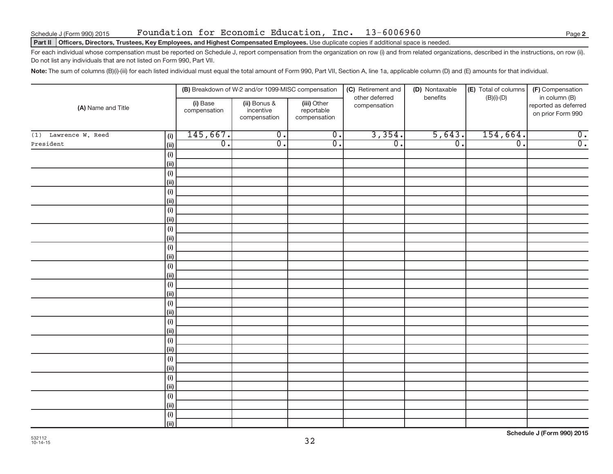### **Part II Officers, Directors, Trustees, Key Employees, and Highest Compensated Employees.** Use duplicate copies if additional space is needed.

For each individual whose compensation must be reported on Schedule J, report compensation from the organization on row (i) and from related organizations, described in the instructions, on row (ii). Do not list any individuals that are not listed on Form 990, Part VII.

**Note:** The sum of columns (B)(i)-(iii) for each listed individual must equal the total amount of Form 990, Part VII, Section A, line 1a, applicable column (D) and (E) amounts for that individual.

| (A) Name and Title   |             |                          | (B) Breakdown of W-2 and/or 1099-MISC compensation |                                           | (C) Retirement and<br>other deferred | (D) Nontaxable<br>benefits | (E) Total of columns | (F) Compensation<br>in column (B)         |
|----------------------|-------------|--------------------------|----------------------------------------------------|-------------------------------------------|--------------------------------------|----------------------------|----------------------|-------------------------------------------|
|                      |             | (i) Base<br>compensation | (ii) Bonus &<br>incentive<br>compensation          | (iii) Other<br>reportable<br>compensation | compensation                         |                            | $(B)(i)-(D)$         | reported as deferred<br>on prior Form 990 |
| (1) Lawrence W. Reed | (i)         | 145,667.                 | $\overline{0}$ .                                   | $\overline{0}$ .                          | 3,354.                               | 5,643.                     | 154,664.             | $\overline{0}$ .                          |
| President            | (ii)        | $\overline{0}$ .         | $\overline{0}$ .                                   | $\overline{0}$ .                          | $\overline{0}$ .                     | $\overline{0}$ .           | $\overline{0}$ .     | $\overline{0}$ .                          |
|                      | (i)         |                          |                                                    |                                           |                                      |                            |                      |                                           |
|                      | (ii)        |                          |                                                    |                                           |                                      |                            |                      |                                           |
|                      | (i)         |                          |                                                    |                                           |                                      |                            |                      |                                           |
|                      | (ii)        |                          |                                                    |                                           |                                      |                            |                      |                                           |
|                      | (i)         |                          |                                                    |                                           |                                      |                            |                      |                                           |
|                      | (ii)        |                          |                                                    |                                           |                                      |                            |                      |                                           |
|                      | (i)         |                          |                                                    |                                           |                                      |                            |                      |                                           |
|                      | (ii)        |                          |                                                    |                                           |                                      |                            |                      |                                           |
|                      | (i)         |                          |                                                    |                                           |                                      |                            |                      |                                           |
|                      | (ii)        |                          |                                                    |                                           |                                      |                            |                      |                                           |
|                      | (i)         |                          |                                                    |                                           |                                      |                            |                      |                                           |
|                      | (ii)        |                          |                                                    |                                           |                                      |                            |                      |                                           |
|                      | (i)         |                          |                                                    |                                           |                                      |                            |                      |                                           |
|                      | (ii)        |                          |                                                    |                                           |                                      |                            |                      |                                           |
|                      | (i)<br>(ii) |                          |                                                    |                                           |                                      |                            |                      |                                           |
|                      | (i)         |                          |                                                    |                                           |                                      |                            |                      |                                           |
|                      | (ii)        |                          |                                                    |                                           |                                      |                            |                      |                                           |
|                      | (i)         |                          |                                                    |                                           |                                      |                            |                      |                                           |
|                      | (ii)        |                          |                                                    |                                           |                                      |                            |                      |                                           |
|                      | (i)         |                          |                                                    |                                           |                                      |                            |                      |                                           |
|                      | (iii)       |                          |                                                    |                                           |                                      |                            |                      |                                           |
|                      | (i)         |                          |                                                    |                                           |                                      |                            |                      |                                           |
|                      | (ii)        |                          |                                                    |                                           |                                      |                            |                      |                                           |
|                      | (i)         |                          |                                                    |                                           |                                      |                            |                      |                                           |
|                      | (ii)        |                          |                                                    |                                           |                                      |                            |                      |                                           |
|                      | (i)         |                          |                                                    |                                           |                                      |                            |                      |                                           |
|                      | (ii)        |                          |                                                    |                                           |                                      |                            |                      |                                           |
|                      | (i)         |                          |                                                    |                                           |                                      |                            |                      |                                           |
|                      | (ii)        |                          |                                                    |                                           |                                      |                            |                      |                                           |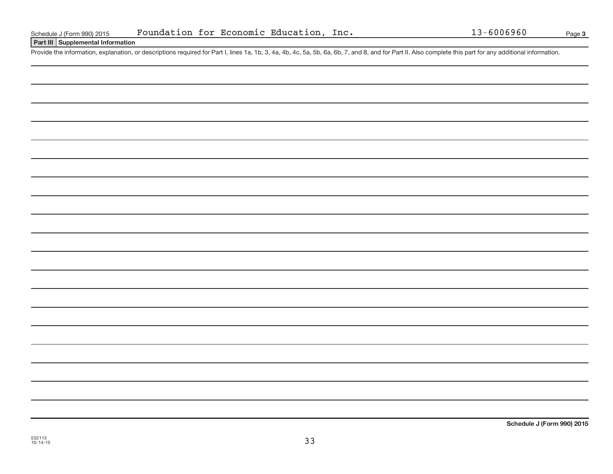**Part III Supplemental Information**

Provide the information, explanation, or descriptions required for Part I, lines 1a, 1b, 3, 4a, 4b, 4c, 5a, 5b, 6a, 6b, 7, and 8, and for Part II. Also complete this part for any additional information.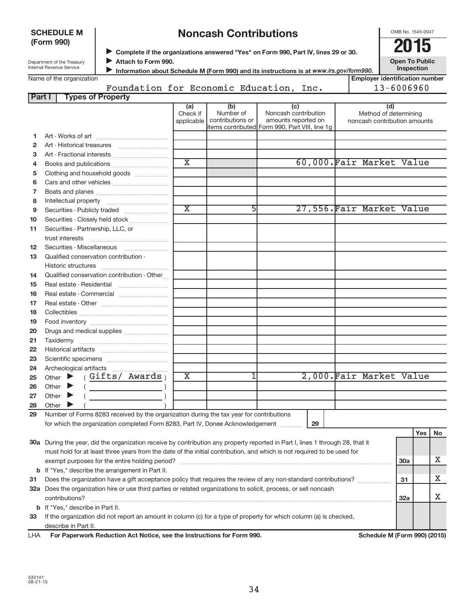| <b>SCHEDULE M</b> |  |
|-------------------|--|
| (Form 990)        |  |

# **Noncash Contributions**

OMB No. 1545-0047

| Department of the Treasury |
|----------------------------|
| Internal Revenue Service   |

◆ Complete if the organizations answered "Yes" on Form 990, Part IV, lines 29 or 30.<br>● **2015** Attach to Form 990.

**Open To Public Inspection**

| Information about Schedule M (Form 990) and its instructions is at www.irs.gov/form990. |
|-----------------------------------------------------------------------------------------|
|-----------------------------------------------------------------------------------------|

| Name of the organization  |                                    |  |      | l Emplover identification number |
|---------------------------|------------------------------------|--|------|----------------------------------|
|                           | Foundation for Economic Education, |  | Inc. | $13 - 6006960$                   |
| Part<br>Tynes of Property |                                    |  |      |                                  |

| , art 1 | <u>iyes on nopenty</u>                                                                                                                                                                                                                                                                                                                                                                                                                                                                                                                                                                                            |                             |                                                   |                                                                                                      |                                                              |     |     |    |
|---------|-------------------------------------------------------------------------------------------------------------------------------------------------------------------------------------------------------------------------------------------------------------------------------------------------------------------------------------------------------------------------------------------------------------------------------------------------------------------------------------------------------------------------------------------------------------------------------------------------------------------|-----------------------------|---------------------------------------------------|------------------------------------------------------------------------------------------------------|--------------------------------------------------------------|-----|-----|----|
|         |                                                                                                                                                                                                                                                                                                                                                                                                                                                                                                                                                                                                                   | (a)<br>Check if             | (b)<br>Number of<br>applicable   contributions or | (c)<br>Noncash contribution<br>amounts reported on<br>items contributed Form 990, Part VIII, line 1g | (d)<br>Method of determining<br>noncash contribution amounts |     |     |    |
| 1       |                                                                                                                                                                                                                                                                                                                                                                                                                                                                                                                                                                                                                   |                             |                                                   |                                                                                                      |                                                              |     |     |    |
| 2       |                                                                                                                                                                                                                                                                                                                                                                                                                                                                                                                                                                                                                   |                             |                                                   |                                                                                                      |                                                              |     |     |    |
| з       |                                                                                                                                                                                                                                                                                                                                                                                                                                                                                                                                                                                                                   |                             |                                                   |                                                                                                      |                                                              |     |     |    |
| 4       |                                                                                                                                                                                                                                                                                                                                                                                                                                                                                                                                                                                                                   | $\overline{\text{x}}$       |                                                   |                                                                                                      | 60,000. Fair Market Value                                    |     |     |    |
| 5       | Clothing and household goods                                                                                                                                                                                                                                                                                                                                                                                                                                                                                                                                                                                      |                             |                                                   |                                                                                                      |                                                              |     |     |    |
| 6       |                                                                                                                                                                                                                                                                                                                                                                                                                                                                                                                                                                                                                   |                             |                                                   |                                                                                                      |                                                              |     |     |    |
| 7       |                                                                                                                                                                                                                                                                                                                                                                                                                                                                                                                                                                                                                   |                             |                                                   |                                                                                                      |                                                              |     |     |    |
| 8       |                                                                                                                                                                                                                                                                                                                                                                                                                                                                                                                                                                                                                   |                             |                                                   |                                                                                                      |                                                              |     |     |    |
| 9       | Securities - Publicly traded                                                                                                                                                                                                                                                                                                                                                                                                                                                                                                                                                                                      | $\overline{\textnormal{x}}$ | 5                                                 |                                                                                                      | 27,556. Fair Market Value                                    |     |     |    |
| 10      | Securities - Closely held stock                                                                                                                                                                                                                                                                                                                                                                                                                                                                                                                                                                                   |                             |                                                   |                                                                                                      |                                                              |     |     |    |
| 11      | Securities - Partnership, LLC, or                                                                                                                                                                                                                                                                                                                                                                                                                                                                                                                                                                                 |                             |                                                   |                                                                                                      |                                                              |     |     |    |
|         |                                                                                                                                                                                                                                                                                                                                                                                                                                                                                                                                                                                                                   |                             |                                                   |                                                                                                      |                                                              |     |     |    |
| 12      | Securities - Miscellaneous                                                                                                                                                                                                                                                                                                                                                                                                                                                                                                                                                                                        |                             |                                                   |                                                                                                      |                                                              |     |     |    |
| 13      | Qualified conservation contribution -                                                                                                                                                                                                                                                                                                                                                                                                                                                                                                                                                                             |                             |                                                   |                                                                                                      |                                                              |     |     |    |
|         |                                                                                                                                                                                                                                                                                                                                                                                                                                                                                                                                                                                                                   |                             |                                                   |                                                                                                      |                                                              |     |     |    |
| 14      | Qualified conservation contribution - Other                                                                                                                                                                                                                                                                                                                                                                                                                                                                                                                                                                       |                             |                                                   |                                                                                                      |                                                              |     |     |    |
| 15      |                                                                                                                                                                                                                                                                                                                                                                                                                                                                                                                                                                                                                   |                             |                                                   |                                                                                                      |                                                              |     |     |    |
| 16      | Real estate - Commercial                                                                                                                                                                                                                                                                                                                                                                                                                                                                                                                                                                                          |                             |                                                   |                                                                                                      |                                                              |     |     |    |
| 17      |                                                                                                                                                                                                                                                                                                                                                                                                                                                                                                                                                                                                                   |                             |                                                   |                                                                                                      |                                                              |     |     |    |
| 18      |                                                                                                                                                                                                                                                                                                                                                                                                                                                                                                                                                                                                                   |                             |                                                   |                                                                                                      |                                                              |     |     |    |
| 19      |                                                                                                                                                                                                                                                                                                                                                                                                                                                                                                                                                                                                                   |                             |                                                   |                                                                                                      |                                                              |     |     |    |
| 20      | Drugs and medical supplies                                                                                                                                                                                                                                                                                                                                                                                                                                                                                                                                                                                        |                             |                                                   |                                                                                                      |                                                              |     |     |    |
| 21      |                                                                                                                                                                                                                                                                                                                                                                                                                                                                                                                                                                                                                   |                             |                                                   |                                                                                                      |                                                              |     |     |    |
| 22      |                                                                                                                                                                                                                                                                                                                                                                                                                                                                                                                                                                                                                   |                             |                                                   |                                                                                                      |                                                              |     |     |    |
| 23      |                                                                                                                                                                                                                                                                                                                                                                                                                                                                                                                                                                                                                   |                             |                                                   |                                                                                                      |                                                              |     |     |    |
| 24      |                                                                                                                                                                                                                                                                                                                                                                                                                                                                                                                                                                                                                   |                             |                                                   |                                                                                                      |                                                              |     |     |    |
| 25      | (Gifts/ Awards <sub>)</sub><br>Other $\blacktriangleright$                                                                                                                                                                                                                                                                                                                                                                                                                                                                                                                                                        | $\overline{\textbf{x}}$     | 1                                                 |                                                                                                      | 2,000.Fair Market Value                                      |     |     |    |
| 26      | Other $\blacktriangleright$<br>$\left(\begin{array}{ccc} \begin{array}{ccc} \end{array} & \begin{array}{ccc} \end{array} & \begin{array}{ccc} \end{array} & \begin{array}{ccc} \end{array} & \begin{array}{ccc} \end{array} & \begin{array}{ccc} \end{array} & \begin{array}{ccc} \end{array} & \begin{array}{ccc} \end{array} & \begin{array}{ccc} \end{array} & \begin{array}{ccc} \end{array} & \begin{array}{ccc} \end{array} & \begin{array}{ccc} \end{array} & \begin{array}{ccc} \end{array} & \begin{array}{ccc} \end{array} & \begin{array}{ccc} \end{array} & \begin{array}{ccc} \end{array} & \begin{$ |                             |                                                   |                                                                                                      |                                                              |     |     |    |
| 27      | Other $\blacktriangleright$                                                                                                                                                                                                                                                                                                                                                                                                                                                                                                                                                                                       |                             |                                                   |                                                                                                      |                                                              |     |     |    |
| 28      | Other                                                                                                                                                                                                                                                                                                                                                                                                                                                                                                                                                                                                             |                             |                                                   |                                                                                                      |                                                              |     |     |    |
| 29      | Number of Forms 8283 received by the organization during the tax year for contributions                                                                                                                                                                                                                                                                                                                                                                                                                                                                                                                           |                             |                                                   |                                                                                                      |                                                              |     |     |    |
|         | for which the organization completed Form 8283, Part IV, Donee Acknowledgement                                                                                                                                                                                                                                                                                                                                                                                                                                                                                                                                    |                             |                                                   | 29                                                                                                   |                                                              |     |     |    |
|         |                                                                                                                                                                                                                                                                                                                                                                                                                                                                                                                                                                                                                   |                             |                                                   |                                                                                                      |                                                              |     | Yes | No |
|         | 30a During the year, did the organization receive by contribution any property reported in Part I, lines 1 through 28, that it                                                                                                                                                                                                                                                                                                                                                                                                                                                                                    |                             |                                                   |                                                                                                      |                                                              |     |     |    |
|         | must hold for at least three years from the date of the initial contribution, and which is not required to be used for                                                                                                                                                                                                                                                                                                                                                                                                                                                                                            |                             |                                                   |                                                                                                      |                                                              |     |     |    |
|         |                                                                                                                                                                                                                                                                                                                                                                                                                                                                                                                                                                                                                   |                             |                                                   |                                                                                                      |                                                              | 30a |     | х  |
|         | <b>b</b> If "Yes," describe the arrangement in Part II.                                                                                                                                                                                                                                                                                                                                                                                                                                                                                                                                                           |                             |                                                   |                                                                                                      |                                                              |     |     |    |
| 31      | Does the organization have a gift acceptance policy that requires the review of any non-standard contributions?                                                                                                                                                                                                                                                                                                                                                                                                                                                                                                   |                             |                                                   |                                                                                                      |                                                              | 31  |     | х  |
|         | 32a Does the organization hire or use third parties or related organizations to solicit, process, or sell noncash                                                                                                                                                                                                                                                                                                                                                                                                                                                                                                 |                             |                                                   |                                                                                                      |                                                              |     |     |    |
|         | contributions?                                                                                                                                                                                                                                                                                                                                                                                                                                                                                                                                                                                                    |                             |                                                   |                                                                                                      |                                                              | 32a |     | х  |
|         | <b>b</b> If "Yes," describe in Part II.                                                                                                                                                                                                                                                                                                                                                                                                                                                                                                                                                                           |                             |                                                   |                                                                                                      |                                                              |     |     |    |
| 33      | If the organization did not report an amount in column (c) for a type of property for which column (a) is checked,                                                                                                                                                                                                                                                                                                                                                                                                                                                                                                |                             |                                                   |                                                                                                      |                                                              |     |     |    |
|         | describe in Part II.                                                                                                                                                                                                                                                                                                                                                                                                                                                                                                                                                                                              |                             |                                                   |                                                                                                      |                                                              |     |     |    |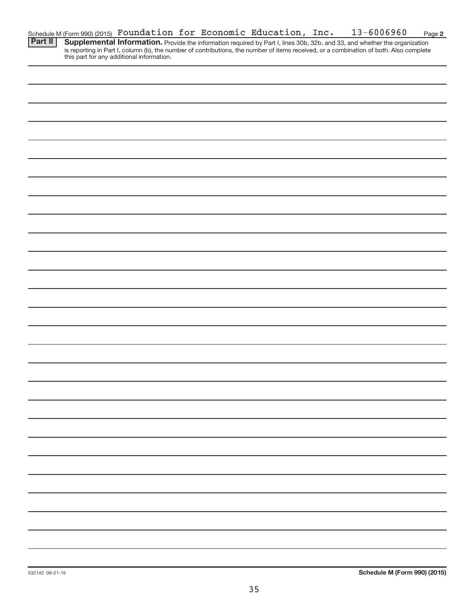|         | Schedule M (Form 990) (2015) Foundation for Economic Education, $Inc.$ |  |  | $13 - 6006960$                                                                                                                         | Page 2 |
|---------|------------------------------------------------------------------------|--|--|----------------------------------------------------------------------------------------------------------------------------------------|--------|
| Part II |                                                                        |  |  | Supplemental Information. Provide the information required by Part I, lines 30b, 32b, and 33, and whether the organization             |        |
|         |                                                                        |  |  | is reporting in Part I, column (b), the number of contributions, the number of items received, or a combination of both. Also complete |        |
|         | this part for any additional information.                              |  |  |                                                                                                                                        |        |
|         |                                                                        |  |  |                                                                                                                                        |        |
|         |                                                                        |  |  |                                                                                                                                        |        |
|         |                                                                        |  |  |                                                                                                                                        |        |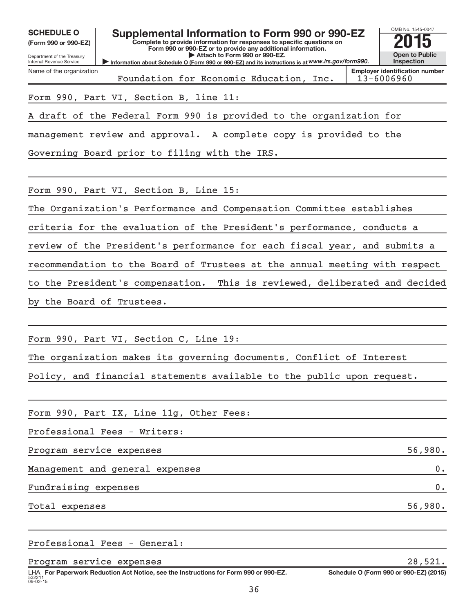| <b>SCHEDULE O</b><br>(Form 990 or 990-EZ)<br>Department of the Treasury<br>Internal Revenue Service | Supplemental Information to Form 990 or 990-EZ<br>Complete to provide information for responses to specific questions on<br>Form 990 or 990-EZ or to provide any additional information.<br>Attach to Form 990 or 990-EZ.<br>Information about Schedule O (Form 990 or 990-EZ) and its instructions is at WWW.irs.gov/form990. | OMB No. 1545-0047<br><b>Open to Public</b><br>Inspection |
|-----------------------------------------------------------------------------------------------------|--------------------------------------------------------------------------------------------------------------------------------------------------------------------------------------------------------------------------------------------------------------------------------------------------------------------------------|----------------------------------------------------------|
| Name of the organization                                                                            | Foundation for Economic Education, Inc.                                                                                                                                                                                                                                                                                        | <b>Emplover identification number</b><br>13-6006960      |
|                                                                                                     | Form 990, Part VI, Section B, line 11:                                                                                                                                                                                                                                                                                         |                                                          |
|                                                                                                     | A draft of the Federal Form 990 is provided to the organization for                                                                                                                                                                                                                                                            |                                                          |
|                                                                                                     | management review and approval. A complete copy is provided to the                                                                                                                                                                                                                                                             |                                                          |
|                                                                                                     | Governing Board prior to filing with the IRS.                                                                                                                                                                                                                                                                                  |                                                          |
|                                                                                                     |                                                                                                                                                                                                                                                                                                                                |                                                          |
|                                                                                                     | Form 990, Part VI, Section B, Line 15:                                                                                                                                                                                                                                                                                         |                                                          |
|                                                                                                     | The Organization's Performance and Compensation Committee establishes                                                                                                                                                                                                                                                          |                                                          |
|                                                                                                     | criteria for the evaluation of the President's performance, conducts a                                                                                                                                                                                                                                                         |                                                          |
|                                                                                                     | review of the President's performance for each fiscal year, and submits a                                                                                                                                                                                                                                                      |                                                          |
|                                                                                                     | recommendation to the Board of Trustees at the annual meeting with respect                                                                                                                                                                                                                                                     |                                                          |
|                                                                                                     | This is reviewed, deliberated and decided<br>to the President's compensation.                                                                                                                                                                                                                                                  |                                                          |
|                                                                                                     | by the Board of Trustees.                                                                                                                                                                                                                                                                                                      |                                                          |
|                                                                                                     |                                                                                                                                                                                                                                                                                                                                |                                                          |
|                                                                                                     | Form 990, Part VI, Section C, Line 19:                                                                                                                                                                                                                                                                                         |                                                          |
|                                                                                                     | The organization makes its governing documents, Conflict of Interest                                                                                                                                                                                                                                                           |                                                          |
|                                                                                                     | Policy, and financial statements available to the public upon request.                                                                                                                                                                                                                                                         |                                                          |
|                                                                                                     |                                                                                                                                                                                                                                                                                                                                |                                                          |
|                                                                                                     | Form 990, Part IX, Line 11g, Other Fees:                                                                                                                                                                                                                                                                                       |                                                          |
|                                                                                                     | Professional Fees - Writers:                                                                                                                                                                                                                                                                                                   |                                                          |
| Program service expenses                                                                            |                                                                                                                                                                                                                                                                                                                                | 56,980.                                                  |
|                                                                                                     | Management and general expenses                                                                                                                                                                                                                                                                                                | $0 \cdot$                                                |
| Fundraising expenses                                                                                |                                                                                                                                                                                                                                                                                                                                | 0.                                                       |
| Total expenses                                                                                      |                                                                                                                                                                                                                                                                                                                                | 56,980.                                                  |
|                                                                                                     |                                                                                                                                                                                                                                                                                                                                |                                                          |
|                                                                                                     | Professional Fees - General:                                                                                                                                                                                                                                                                                                   |                                                          |

Program service expenses 28,521.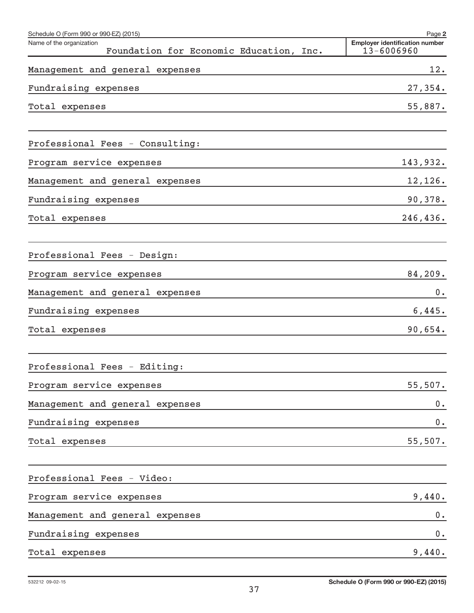| Schedule O (Form 990 or 990-EZ) (2015)                              | Page 2                                              |
|---------------------------------------------------------------------|-----------------------------------------------------|
| Name of the organization<br>Foundation for Economic Education, Inc. | <b>Employer identification number</b><br>13-6006960 |
| Management and general expenses                                     | 12.                                                 |
| Fundraising expenses                                                | 27,354.                                             |
| Total expenses                                                      | 55,887.                                             |
| Professional Fees - Consulting:                                     |                                                     |
| Program service expenses                                            | 143,932.                                            |
| Management and general expenses                                     | 12,126.                                             |
| Fundraising expenses                                                | 90,378.                                             |
| Total expenses                                                      | 246,436.                                            |
| Professional Fees - Design:                                         |                                                     |
| Program service expenses                                            | 84,209.                                             |
| Management and general expenses                                     | 0.                                                  |
| Fundraising expenses                                                | 6,445.                                              |
| Total expenses                                                      | 90,654.                                             |
| Professional Fees - Editing:                                        |                                                     |
| Program service expenses                                            | 55,507.                                             |
| Management and general expenses                                     | $0 \cdot$                                           |
| Fundraising expenses                                                | $0$ .                                               |
| Total expenses                                                      | 55,507.                                             |
| Professional Fees - Video:                                          |                                                     |
| Program service expenses                                            | 9,440.                                              |
| Management and general expenses                                     | $0$ .                                               |
| Fundraising expenses                                                | 0.                                                  |
| Total expenses                                                      | 9,440.                                              |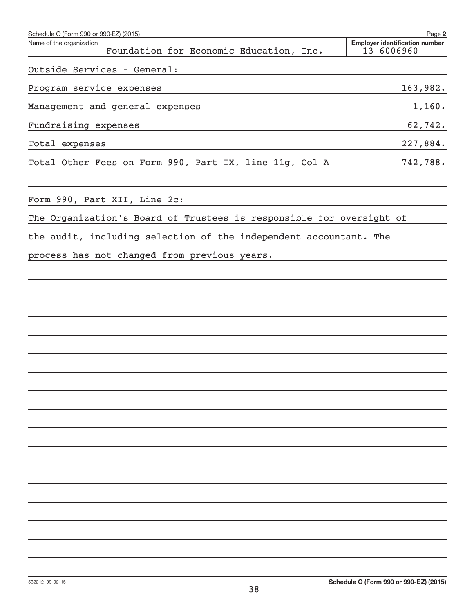| Schedule O (Form 990 or 990-EZ) (2015)                               |  |                                         | Page 2                                              |
|----------------------------------------------------------------------|--|-----------------------------------------|-----------------------------------------------------|
| Name of the organization                                             |  | Foundation for Economic Education, Inc. | <b>Employer identification number</b><br>13-6006960 |
| Outside Services - General:                                          |  |                                         |                                                     |
| Program service expenses                                             |  |                                         | 163,982.                                            |
| Management and general expenses                                      |  |                                         | 1,160.                                              |
| Fundraising expenses                                                 |  |                                         | 62,742.                                             |
| Total expenses                                                       |  |                                         | 227,884.                                            |
| Total Other Fees on Form 990, Part IX, line 11g, Col A               |  |                                         | 742,788.                                            |
| Form 990, Part XII, Line 2c:                                         |  |                                         |                                                     |
| The Organization's Board of Trustees is responsible for oversight of |  |                                         |                                                     |

the audit, including selection of the independent accountant. The

process has not changed from previous years.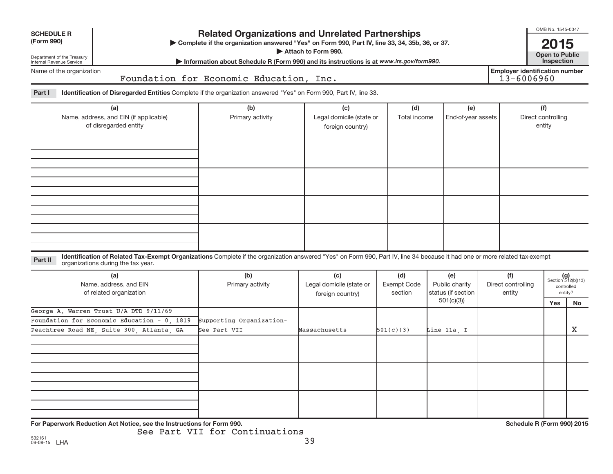| <b>SCHEDULE R</b>                                                                              |                                                                                                                                                                            | <b>Related Organizations and Unrelated Partnerships</b>                                                                                                                                     | OMB No. 1545-0047                                   |                                      |                                                          |                                     |                                             |                                                            |
|------------------------------------------------------------------------------------------------|----------------------------------------------------------------------------------------------------------------------------------------------------------------------------|---------------------------------------------------------------------------------------------------------------------------------------------------------------------------------------------|-----------------------------------------------------|--------------------------------------|----------------------------------------------------------|-------------------------------------|---------------------------------------------|------------------------------------------------------------|
| (Form 990)<br>Department of the Treasury<br>Internal Revenue Service                           |                                                                                                                                                                            | > Complete if the organization answered "Yes" on Form 990, Part IV, line 33, 34, 35b, 36, or 37.<br>Information about Schedule R (Form 990) and its instructions is at www.irs.gov/form990. | Attach to Form 990.                                 |                                      |                                                          |                                     | 2015<br><b>Open to Public</b><br>Inspection |                                                            |
| Name of the organization                                                                       |                                                                                                                                                                            | Foundation for Economic Education, Inc.                                                                                                                                                     |                                                     |                                      |                                                          | 13-6006960                          | <b>Employer identification number</b>       |                                                            |
| Part I                                                                                         | Identification of Disregarded Entities Complete if the organization answered "Yes" on Form 990, Part IV, line 33.                                                          |                                                                                                                                                                                             |                                                     |                                      |                                                          |                                     |                                             |                                                            |
| (a)<br>Name, address, and EIN (if applicable)<br>of disregarded entity                         |                                                                                                                                                                            | (b)<br>Primary activity                                                                                                                                                                     | (c)<br>Legal domicile (state or<br>foreign country) | (d)<br>Total income                  | (e)<br>End-of-year assets                                |                                     | (f)<br>Direct controlling<br>entity         |                                                            |
|                                                                                                |                                                                                                                                                                            |                                                                                                                                                                                             |                                                     |                                      |                                                          |                                     |                                             |                                                            |
| Part II                                                                                        | Identification of Related Tax-Exempt Organizations Complete if the organization answered "Yes" on Form 990, Part IV, line 34 because it had one or more related tax-exempt |                                                                                                                                                                                             |                                                     |                                      |                                                          |                                     |                                             |                                                            |
| organizations during the tax year.<br>(a)<br>Name, address, and EIN<br>of related organization |                                                                                                                                                                            | (b)<br>Primary activity                                                                                                                                                                     | (c)<br>Legal domicile (state or<br>foreign country) | (d)<br><b>Exempt Code</b><br>section | (e)<br>Public charity<br>status (if section<br>501(c)(3) | (f)<br>Direct controlling<br>entity | Yes                                         | $(g)$<br>Section 512(b)(13)<br>controlled<br>entity?<br>No |
|                                                                                                | George A. Warren Trust U/A DTD 9/11/69<br>Foundation for Economic Education - 0, 1819<br>Peachtree Road NE, Suite 300, Atlanta, GA                                         | Supporting Organization-<br>See Part VII                                                                                                                                                    | Massachusetts                                       | 501(c)(3)                            | Line 11a, I                                              |                                     |                                             | х                                                          |
|                                                                                                |                                                                                                                                                                            |                                                                                                                                                                                             |                                                     |                                      |                                                          |                                     |                                             |                                                            |
|                                                                                                | For Paperwork Reduction Act Notice, see the Instructions for Form 990.                                                                                                     |                                                                                                                                                                                             |                                                     |                                      |                                                          |                                     | Schedule R (Form 990) 2015                  |                                                            |

See Part VII for Continuations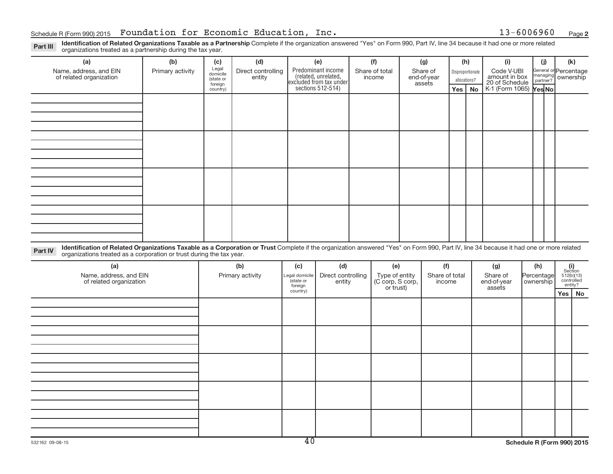**2**

Part III Identification of Related Organizations Taxable as a Partnership Complete if the organization answered "Yes" on Form 990, Part IV, line 34 because it had one or more related<br>organizations treated as a partnership

| (a)                                                                                                                                                                                                                                                                       | (b)              | (c)                                                   | (d)                          |                                        | (e)                                                                                                                    |  | (f)       |                                    | (g) | (h)                                     |  | (i)                                                                                  |  | (i)                                         | (k)                                 |           |
|---------------------------------------------------------------------------------------------------------------------------------------------------------------------------------------------------------------------------------------------------------------------------|------------------|-------------------------------------------------------|------------------------------|----------------------------------------|------------------------------------------------------------------------------------------------------------------------|--|-----------|------------------------------------|-----|-----------------------------------------|--|--------------------------------------------------------------------------------------|--|---------------------------------------------|-------------------------------------|-----------|
| Name, address, and EIN<br>of related organization                                                                                                                                                                                                                         | Primary activity | Legal<br>domicile<br>(state or<br>foreign<br>country) | Direct controlling<br>entity |                                        | Predominant income<br>Share of total<br>(related, unrelated,<br>excluded from tax under<br>income<br>sections 512-514) |  |           | Share of<br>end-of-year<br>assets  |     | Disproportionate<br>allocations?<br>Yes |  | Code V-UBI<br>amount in box<br>20 of Schedule<br>K-1 (Form 1065) Yes No<br><b>No</b> |  | General or Percentage<br>managing ownership |                                     |           |
|                                                                                                                                                                                                                                                                           |                  |                                                       |                              |                                        |                                                                                                                        |  |           |                                    |     |                                         |  |                                                                                      |  |                                             |                                     |           |
|                                                                                                                                                                                                                                                                           |                  |                                                       |                              |                                        |                                                                                                                        |  |           |                                    |     |                                         |  |                                                                                      |  |                                             |                                     |           |
|                                                                                                                                                                                                                                                                           |                  |                                                       |                              |                                        |                                                                                                                        |  |           |                                    |     |                                         |  |                                                                                      |  |                                             |                                     |           |
|                                                                                                                                                                                                                                                                           |                  |                                                       |                              |                                        |                                                                                                                        |  |           |                                    |     |                                         |  |                                                                                      |  |                                             |                                     |           |
|                                                                                                                                                                                                                                                                           |                  |                                                       |                              |                                        |                                                                                                                        |  |           |                                    |     |                                         |  |                                                                                      |  |                                             |                                     |           |
|                                                                                                                                                                                                                                                                           |                  |                                                       |                              |                                        |                                                                                                                        |  |           |                                    |     |                                         |  |                                                                                      |  |                                             |                                     |           |
|                                                                                                                                                                                                                                                                           |                  |                                                       |                              |                                        |                                                                                                                        |  |           |                                    |     |                                         |  |                                                                                      |  |                                             |                                     |           |
|                                                                                                                                                                                                                                                                           |                  |                                                       |                              |                                        |                                                                                                                        |  |           |                                    |     |                                         |  |                                                                                      |  |                                             |                                     |           |
|                                                                                                                                                                                                                                                                           |                  |                                                       |                              |                                        |                                                                                                                        |  |           |                                    |     |                                         |  |                                                                                      |  |                                             |                                     |           |
|                                                                                                                                                                                                                                                                           |                  |                                                       |                              |                                        |                                                                                                                        |  |           |                                    |     |                                         |  |                                                                                      |  |                                             |                                     |           |
|                                                                                                                                                                                                                                                                           |                  |                                                       |                              |                                        |                                                                                                                        |  |           |                                    |     |                                         |  |                                                                                      |  |                                             |                                     |           |
|                                                                                                                                                                                                                                                                           |                  |                                                       |                              |                                        |                                                                                                                        |  |           |                                    |     |                                         |  |                                                                                      |  |                                             |                                     |           |
|                                                                                                                                                                                                                                                                           |                  |                                                       |                              |                                        |                                                                                                                        |  |           |                                    |     |                                         |  |                                                                                      |  |                                             |                                     |           |
|                                                                                                                                                                                                                                                                           |                  |                                                       |                              |                                        |                                                                                                                        |  |           |                                    |     |                                         |  |                                                                                      |  |                                             |                                     |           |
|                                                                                                                                                                                                                                                                           |                  |                                                       |                              |                                        |                                                                                                                        |  |           |                                    |     |                                         |  |                                                                                      |  |                                             |                                     |           |
| Identification of Related Organizations Taxable as a Corporation or Trust Complete if the organization answered "Yes" on Form 990, Part IV, line 34 because it had one or more related<br>Part IV<br>organizations treated as a corporation or trust during the tax year. |                  |                                                       |                              |                                        |                                                                                                                        |  |           |                                    |     |                                         |  |                                                                                      |  |                                             |                                     |           |
| (a)                                                                                                                                                                                                                                                                       |                  |                                                       | (b)                          | (c)                                    | (d)                                                                                                                    |  | (e)       |                                    | (f) |                                         |  | (g)                                                                                  |  | (h)                                         | (i)<br>Section                      |           |
| Name, address, and EIN<br>of related organization                                                                                                                                                                                                                         |                  | Primary activity                                      |                              | Legal domicile<br>(state or<br>foreign | Direct controlling<br>entity                                                                                           |  |           | Type of entity<br>(C corp, S corp, |     | Share of total<br>income                |  | Share of<br>end-of-year                                                              |  | Percentage<br>ownership                     | 512(b)(13)<br>controlled<br>entity? |           |
|                                                                                                                                                                                                                                                                           |                  |                                                       |                              | country)                               |                                                                                                                        |  | or trust) |                                    |     |                                         |  | assets                                                                               |  |                                             | Yes                                 | <b>No</b> |
|                                                                                                                                                                                                                                                                           |                  |                                                       |                              |                                        |                                                                                                                        |  |           |                                    |     |                                         |  |                                                                                      |  |                                             |                                     |           |

|  |  | 1 N |  | $\sim$ $\sim$ $\sim$ $\sim$ $\sim$ $\sim$ $\sim$ |  |  |
|--|--|-----|--|--------------------------------------------------|--|--|
|  |  |     |  |                                                  |  |  |
|  |  |     |  |                                                  |  |  |
|  |  |     |  |                                                  |  |  |
|  |  |     |  |                                                  |  |  |
|  |  |     |  |                                                  |  |  |
|  |  |     |  |                                                  |  |  |
|  |  |     |  |                                                  |  |  |
|  |  |     |  |                                                  |  |  |
|  |  |     |  |                                                  |  |  |
|  |  |     |  |                                                  |  |  |
|  |  |     |  |                                                  |  |  |
|  |  |     |  |                                                  |  |  |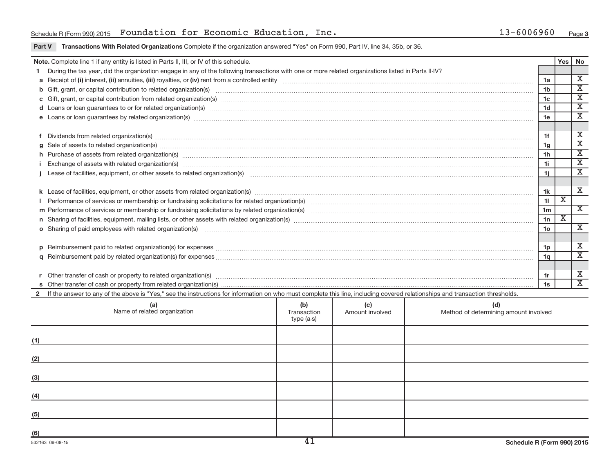# Schedule R (Form 990) 2015 Page Foundation for Economic Education, Inc. 13-6006960

### **Part V Transactions With Related Organizations** Complete if the organization answered "Yes" on Form 990, Part IV, line 34, 35b, or 36.

|                                                                                                                                                         | Note. Complete line 1 if any entity is listed in Parts II, III, or IV of this schedule.                                                                                                                                                          |  |  |  |                | Yes | No                                                   |  |  |  |
|---------------------------------------------------------------------------------------------------------------------------------------------------------|--------------------------------------------------------------------------------------------------------------------------------------------------------------------------------------------------------------------------------------------------|--|--|--|----------------|-----|------------------------------------------------------|--|--|--|
|                                                                                                                                                         | During the tax year, did the organization engage in any of the following transactions with one or more related organizations listed in Parts II-IV?                                                                                              |  |  |  |                |     |                                                      |  |  |  |
|                                                                                                                                                         | 1a                                                                                                                                                                                                                                               |  |  |  |                |     |                                                      |  |  |  |
|                                                                                                                                                         | b Gift, grant, or capital contribution to related organization(s) manufactured content and content of the contribution to related organization(s) manufactured content and content of the content of the content of the conten                   |  |  |  |                |     |                                                      |  |  |  |
|                                                                                                                                                         | 1 <sub>c</sub>                                                                                                                                                                                                                                   |  |  |  |                |     |                                                      |  |  |  |
|                                                                                                                                                         | 1 <sub>d</sub><br>d Loans or loan guarantees to or for related organization(s) www.communically.com/www.communically.com/www.communically.com/www.communically.com/www.communically.com/www.communically.com/www.communically.com/www.communical |  |  |  |                |     |                                                      |  |  |  |
|                                                                                                                                                         |                                                                                                                                                                                                                                                  |  |  |  |                |     |                                                      |  |  |  |
|                                                                                                                                                         |                                                                                                                                                                                                                                                  |  |  |  |                |     |                                                      |  |  |  |
|                                                                                                                                                         | Dividends from related organization(s) material contracts and contracts and contracts are contracted as a contract or contract or contract or contract or contract or contract or contract or contract or contract or contract                   |  |  |  | 1f             |     | Х                                                    |  |  |  |
|                                                                                                                                                         | Sale of assets to related organization(s) www.assettion.com/www.assettion.com/www.assettion.com/www.assettion.com/www.assettion.com/www.assettion.com/www.assettion.com/www.assettion.com/www.assettion.com/www.assettion.com/                   |  |  |  | 1g             |     | $\overline{\mathbf{X}}$                              |  |  |  |
|                                                                                                                                                         | h Purchase of assets from related organization(s) manufactured and content and content and content and content and content and content and content and content and content and content and content and content and content and                   |  |  |  | 1 <sub>h</sub> |     | $\overline{\textnormal{x}}$<br>$\overline{\text{X}}$ |  |  |  |
|                                                                                                                                                         | Exchange of assets with related organization(s) www.assettion.com/www.assettion.com/www.assettion.com/www.assettion.com/www.assettion.com/www.assettion.com/www.assettion.com/www.assettion.com/www.assettion.com/www.assettio                   |  |  |  |                |     |                                                      |  |  |  |
|                                                                                                                                                         |                                                                                                                                                                                                                                                  |  |  |  |                |     |                                                      |  |  |  |
|                                                                                                                                                         |                                                                                                                                                                                                                                                  |  |  |  |                |     |                                                      |  |  |  |
|                                                                                                                                                         |                                                                                                                                                                                                                                                  |  |  |  |                |     |                                                      |  |  |  |
|                                                                                                                                                         |                                                                                                                                                                                                                                                  |  |  |  |                |     |                                                      |  |  |  |
|                                                                                                                                                         |                                                                                                                                                                                                                                                  |  |  |  | 1 <sub>m</sub> |     | X                                                    |  |  |  |
|                                                                                                                                                         |                                                                                                                                                                                                                                                  |  |  |  | 1n             | X   |                                                      |  |  |  |
|                                                                                                                                                         |                                                                                                                                                                                                                                                  |  |  |  | 1o             |     | $\overline{\mathbf{x}}$                              |  |  |  |
|                                                                                                                                                         |                                                                                                                                                                                                                                                  |  |  |  |                |     |                                                      |  |  |  |
|                                                                                                                                                         |                                                                                                                                                                                                                                                  |  |  |  | 1p             |     | Х                                                    |  |  |  |
|                                                                                                                                                         |                                                                                                                                                                                                                                                  |  |  |  | 1 <sub>q</sub> |     | $\overline{\mathbf{X}}$                              |  |  |  |
|                                                                                                                                                         |                                                                                                                                                                                                                                                  |  |  |  |                |     |                                                      |  |  |  |
|                                                                                                                                                         |                                                                                                                                                                                                                                                  |  |  |  | 1r             |     | х                                                    |  |  |  |
|                                                                                                                                                         |                                                                                                                                                                                                                                                  |  |  |  | 1s             |     | $\overline{\mathbf{x}}$                              |  |  |  |
| $2^{\circ}$                                                                                                                                             | If the answer to any of the above is "Yes," see the instructions for information on who must complete this line, including covered relationships and transaction thresholds.                                                                     |  |  |  |                |     |                                                      |  |  |  |
| (b)<br>(c)<br>(a)<br>Name of related organization<br>(d)<br>Method of determining amount involved<br>Amount involved<br>Transaction<br>$t$ and $(a, c)$ |                                                                                                                                                                                                                                                  |  |  |  |                |     |                                                      |  |  |  |

| Name of related organization | (W)<br>Transaction<br>type (a-s) | ्रा<br>Amount involved | Method of determining amount involved |
|------------------------------|----------------------------------|------------------------|---------------------------------------|
| (1)                          |                                  |                        |                                       |
| (2)                          |                                  |                        |                                       |
| (3)                          |                                  |                        |                                       |
| (4)                          |                                  |                        |                                       |
| (5)                          |                                  |                        |                                       |
| (6)                          | $\overline{11}$                  |                        |                                       |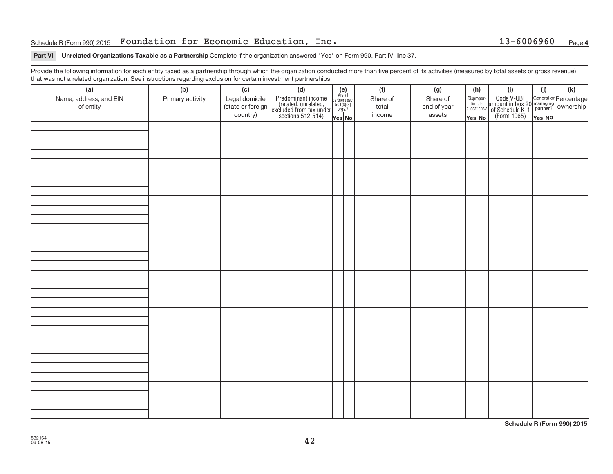# Schedule R (Form 990) 2015 Page Foundation for Economic Education, Inc. 13-6006960

## **Part VI** Unrelated Organizations Taxable as a Partnership Complete if the organization answered "Yes" on Form 990, Part IV, line 37.

Provide the following information for each entity taxed as a partnership through which the organization conducted more than five percent of its activities (measured by total assets or gross revenue) that was not a related organization. See instructions regarding exclusion for certain investment partnerships.

| mat mad not a rolated organization. Occ included for regarding excludion for contain invectment partneremper.<br>(a) | (b)              | (c)               | (d)                                                                                        |                                                          | (f)      | (g)         |                                  | (h) | (i)                                                                                                  | (j)    | (k) |  |
|----------------------------------------------------------------------------------------------------------------------|------------------|-------------------|--------------------------------------------------------------------------------------------|----------------------------------------------------------|----------|-------------|----------------------------------|-----|------------------------------------------------------------------------------------------------------|--------|-----|--|
| Name, address, and EIN                                                                                               | Primary activity | Legal domicile    |                                                                                            | (e)<br>Are all<br>partners sec.<br>$501(c)(3)$<br>orgs.? | Share of | Share of    |                                  |     |                                                                                                      |        |     |  |
| of entity                                                                                                            |                  | (state or foreign | Predominant income<br>(related, unrelated,<br>excluded from tax under<br>sections 512-514) |                                                          | total    | end-of-year | Disproportionate<br>allocations? |     | Code V-UBI<br>amount in box 20 managing<br>of Schedule K-1<br>(Form 1065)<br>$\overline{Y}_{res}$ No |        |     |  |
|                                                                                                                      |                  | country)          |                                                                                            | Yes No                                                   | income   | assets      | Yes No                           |     |                                                                                                      | Yes NO |     |  |
|                                                                                                                      |                  |                   |                                                                                            |                                                          |          |             |                                  |     |                                                                                                      |        |     |  |
|                                                                                                                      |                  |                   |                                                                                            |                                                          |          |             |                                  |     |                                                                                                      |        |     |  |
|                                                                                                                      |                  |                   |                                                                                            |                                                          |          |             |                                  |     |                                                                                                      |        |     |  |
|                                                                                                                      |                  |                   |                                                                                            |                                                          |          |             |                                  |     |                                                                                                      |        |     |  |
|                                                                                                                      |                  |                   |                                                                                            |                                                          |          |             |                                  |     |                                                                                                      |        |     |  |
|                                                                                                                      |                  |                   |                                                                                            |                                                          |          |             |                                  |     |                                                                                                      |        |     |  |
|                                                                                                                      |                  |                   |                                                                                            |                                                          |          |             |                                  |     |                                                                                                      |        |     |  |
|                                                                                                                      |                  |                   |                                                                                            |                                                          |          |             |                                  |     |                                                                                                      |        |     |  |
|                                                                                                                      |                  |                   |                                                                                            |                                                          |          |             |                                  |     |                                                                                                      |        |     |  |
|                                                                                                                      |                  |                   |                                                                                            |                                                          |          |             |                                  |     |                                                                                                      |        |     |  |
|                                                                                                                      |                  |                   |                                                                                            |                                                          |          |             |                                  |     |                                                                                                      |        |     |  |
|                                                                                                                      |                  |                   |                                                                                            |                                                          |          |             |                                  |     |                                                                                                      |        |     |  |
|                                                                                                                      |                  |                   |                                                                                            |                                                          |          |             |                                  |     |                                                                                                      |        |     |  |
|                                                                                                                      |                  |                   |                                                                                            |                                                          |          |             |                                  |     |                                                                                                      |        |     |  |
|                                                                                                                      |                  |                   |                                                                                            |                                                          |          |             |                                  |     |                                                                                                      |        |     |  |
|                                                                                                                      |                  |                   |                                                                                            |                                                          |          |             |                                  |     |                                                                                                      |        |     |  |
|                                                                                                                      |                  |                   |                                                                                            |                                                          |          |             |                                  |     |                                                                                                      |        |     |  |
|                                                                                                                      |                  |                   |                                                                                            |                                                          |          |             |                                  |     |                                                                                                      |        |     |  |
|                                                                                                                      |                  |                   |                                                                                            |                                                          |          |             |                                  |     |                                                                                                      |        |     |  |
|                                                                                                                      |                  |                   |                                                                                            |                                                          |          |             |                                  |     |                                                                                                      |        |     |  |
|                                                                                                                      |                  |                   |                                                                                            |                                                          |          |             |                                  |     |                                                                                                      |        |     |  |
|                                                                                                                      |                  |                   |                                                                                            |                                                          |          |             |                                  |     |                                                                                                      |        |     |  |
|                                                                                                                      |                  |                   |                                                                                            |                                                          |          |             |                                  |     |                                                                                                      |        |     |  |
|                                                                                                                      |                  |                   |                                                                                            |                                                          |          |             |                                  |     |                                                                                                      |        |     |  |
|                                                                                                                      |                  |                   |                                                                                            |                                                          |          |             |                                  |     |                                                                                                      |        |     |  |
|                                                                                                                      |                  |                   |                                                                                            |                                                          |          |             |                                  |     |                                                                                                      |        |     |  |
|                                                                                                                      |                  |                   |                                                                                            |                                                          |          |             |                                  |     |                                                                                                      |        |     |  |
|                                                                                                                      |                  |                   |                                                                                            |                                                          |          |             |                                  |     |                                                                                                      |        |     |  |
|                                                                                                                      |                  |                   |                                                                                            |                                                          |          |             |                                  |     |                                                                                                      |        |     |  |
|                                                                                                                      |                  |                   |                                                                                            |                                                          |          |             |                                  |     |                                                                                                      |        |     |  |
|                                                                                                                      |                  |                   |                                                                                            |                                                          |          |             |                                  |     |                                                                                                      |        |     |  |
|                                                                                                                      |                  |                   |                                                                                            |                                                          |          |             |                                  |     |                                                                                                      |        |     |  |
|                                                                                                                      |                  |                   |                                                                                            |                                                          |          |             |                                  |     |                                                                                                      |        |     |  |
|                                                                                                                      |                  |                   |                                                                                            |                                                          |          |             |                                  |     |                                                                                                      |        |     |  |

**Schedule R (Form 990) 2015**